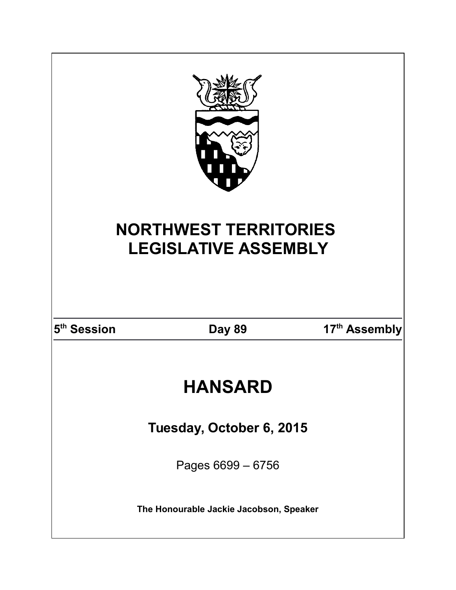| <b>NORTHWEST TERRITORIES</b> |                                         |               |  |  |
|------------------------------|-----------------------------------------|---------------|--|--|
| <b>LEGISLATIVE ASSEMBLY</b>  |                                         |               |  |  |
|                              |                                         |               |  |  |
| 5 <sup>th</sup> Session      | <b>Day 89</b>                           | 17th Assembly |  |  |
| <b>HANSARD</b>               |                                         |               |  |  |
| Tuesday, October 6, 2015     |                                         |               |  |  |
|                              | Pages 6699 - 6756                       |               |  |  |
|                              | The Honourable Jackie Jacobson, Speaker |               |  |  |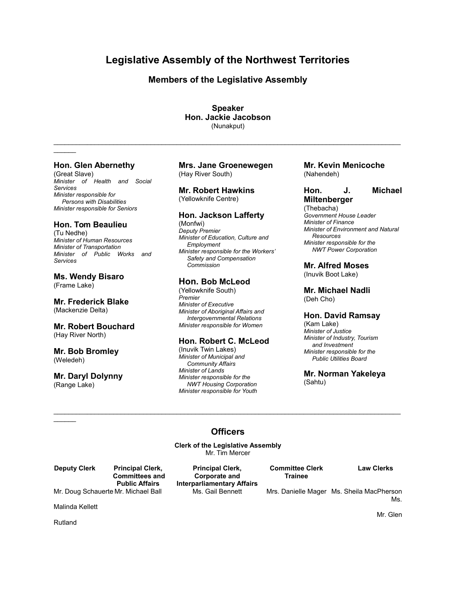# **Legislative Assembly of the Northwest Territories**

# **Members of the Legislative Assembly**

**Speaker Hon. Jackie Jacobson** (Nunakput)

 $\mathcal{L}_\mathcal{L} = \mathcal{L}_\mathcal{L} = \mathcal{L}_\mathcal{L} = \mathcal{L}_\mathcal{L} = \mathcal{L}_\mathcal{L} = \mathcal{L}_\mathcal{L} = \mathcal{L}_\mathcal{L} = \mathcal{L}_\mathcal{L} = \mathcal{L}_\mathcal{L} = \mathcal{L}_\mathcal{L} = \mathcal{L}_\mathcal{L} = \mathcal{L}_\mathcal{L} = \mathcal{L}_\mathcal{L} = \mathcal{L}_\mathcal{L} = \mathcal{L}_\mathcal{L} = \mathcal{L}_\mathcal{L} = \mathcal{L}_\mathcal{L}$ 

# **Hon. Glen Abernethy**

 $\frac{1}{2}$ 

(Great Slave) *Minister of Health and Social Services Minister responsible for Persons with Disabilities Minister responsible for Seniors*

# **Hon. Tom Beaulieu**

(Tu Nedhe) *Minister of Human Resources Minister of Transportation Minister of Public Works and Services*

**Ms. Wendy Bisaro** (Frame Lake)

**Mr. Frederick Blake** (Mackenzie Delta)

# **Mr. Robert Bouchard**

(Hay River North)

**Mr. Bob Bromley** (Weledeh)

# **Mr. Daryl Dolynny** (Range Lake)

**Mrs. Jane Groenewegen** (Hay River South)

# **Mr. Robert Hawkins** (Yellowknife Centre)

# **Hon. Jackson Lafferty**

(Monfwi) *Deputy Premier Minister of Education, Culture and Employment Minister responsible for the Workers' Safety and Compensation Commission*

# **Hon. Bob McLeod**

(Yellowknife South) *Premier Minister of Executive Minister of Aboriginal Affairs and Intergovernmental Relations Minister responsible for Women*

# **Hon. Robert C. McLeod**

(Inuvik Twin Lakes) *Minister of Municipal and Community Affairs Minister of Lands Minister responsible for the NWT Housing Corporation Minister responsible for Youth*

# **Mr. Kevin Menicoche** (Nahendeh)

**Hon. J. Michael**

# **Miltenberger**

(Thebacha) *Government House Leader Minister of Finance Minister of Environment and Natural Resources Minister responsible for the NWT Power Corporation*

# **Mr. Alfred Moses**

(Inuvik Boot Lake)

**Mr. Michael Nadli** (Deh Cho)

# **Hon. David Ramsay**

(Kam Lake) *Minister of Justice Minister of Industry, Tourism and Investment Minister responsible for the Public Utilities Board*

**Mr. Norman Yakeleya** (Sahtu)

# **Officers**

 $\mathcal{L}_\mathcal{L} = \mathcal{L}_\mathcal{L} = \mathcal{L}_\mathcal{L} = \mathcal{L}_\mathcal{L} = \mathcal{L}_\mathcal{L} = \mathcal{L}_\mathcal{L} = \mathcal{L}_\mathcal{L} = \mathcal{L}_\mathcal{L} = \mathcal{L}_\mathcal{L} = \mathcal{L}_\mathcal{L} = \mathcal{L}_\mathcal{L} = \mathcal{L}_\mathcal{L} = \mathcal{L}_\mathcal{L} = \mathcal{L}_\mathcal{L} = \mathcal{L}_\mathcal{L} = \mathcal{L}_\mathcal{L} = \mathcal{L}_\mathcal{L}$ 

**Clerk of the Legislative Assembly** Mr. Tim Mercer

**Deputy Clerk Principal Clerk, Principal Clerk, Committee Clerk Law Clerks**

 **Committees and Corporate and Trainee Public Affairs Interparliamentary Affairs**

Mr. Doug Schauerte Mr. Michael Ball Ms. Gail Bennett Mrs. Danielle Mager Ms. Sheila MacPherson Ms.

Malinda Kellett

Rutland

 $\frac{1}{2}$ 

Mr. Glen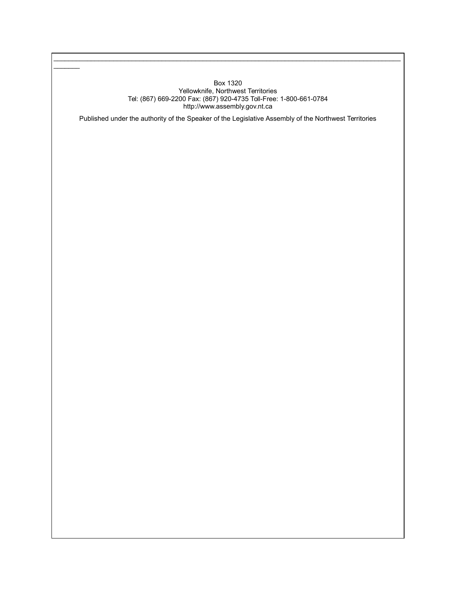# Box 1320 Yellowknife, Northwest Territories Tel: (867) 669-2200 Fax: (867) 920-4735 Toll-Free: 1-800-661-0784 http://www.assembly.gov.nt.ca

 $\mathcal{L}_\mathcal{L} = \mathcal{L}_\mathcal{L} = \mathcal{L}_\mathcal{L} = \mathcal{L}_\mathcal{L} = \mathcal{L}_\mathcal{L} = \mathcal{L}_\mathcal{L} = \mathcal{L}_\mathcal{L} = \mathcal{L}_\mathcal{L} = \mathcal{L}_\mathcal{L} = \mathcal{L}_\mathcal{L} = \mathcal{L}_\mathcal{L} = \mathcal{L}_\mathcal{L} = \mathcal{L}_\mathcal{L} = \mathcal{L}_\mathcal{L} = \mathcal{L}_\mathcal{L} = \mathcal{L}_\mathcal{L} = \mathcal{L}_\mathcal{L}$ 

 $\frac{1}{2}$ 

Published under the authority of the Speaker of the Legislative Assembly of the Northwest Territories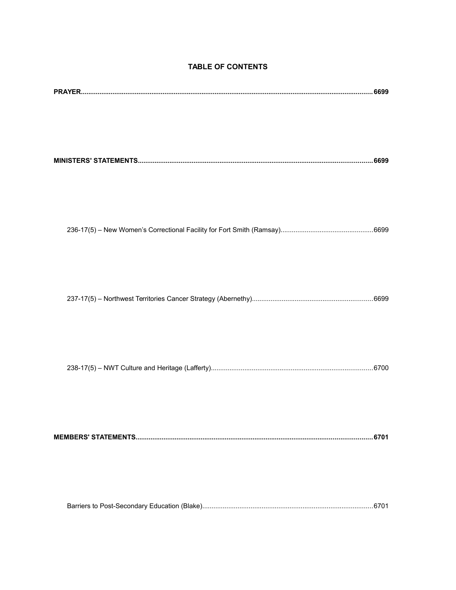# **TABLE OF CONTENTS**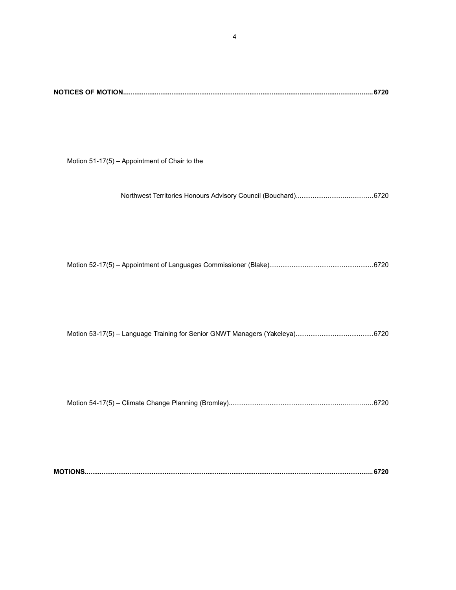Motion 51-17(5) – Appointment of Chair to the

Northwest Territories Honours Advisory Council (Bouchard).........................................6720

Motion 52-17(5) – Appointment of Languages Commissioner (Blake)........................................................6720

Motion 53-17(5) – Language Training for Senior GNWT Managers (Yakeleya)..........................................6720

Motion 54-17(5) – Climate Change Planning (Bromley).............................................................................6720

|--|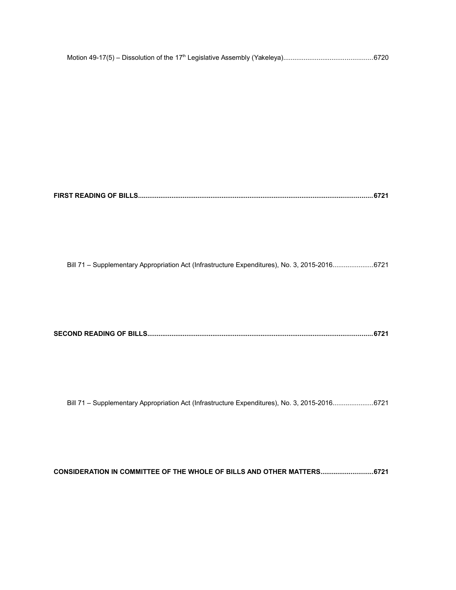**FIRST READING OF BILLS..............................................................................................................................6721**

Bill 71 – Supplementary Appropriation Act (Infrastructure Expenditures), No. 3, 2015-2016......................6721

|--|

Bill 71 – Supplementary Appropriation Act (Infrastructure Expenditures), No. 3, 2015-2016......................6721

**CONSIDERATION IN COMMITTEE OF THE WHOLE OF BILLS AND OTHER MATTERS............................6721**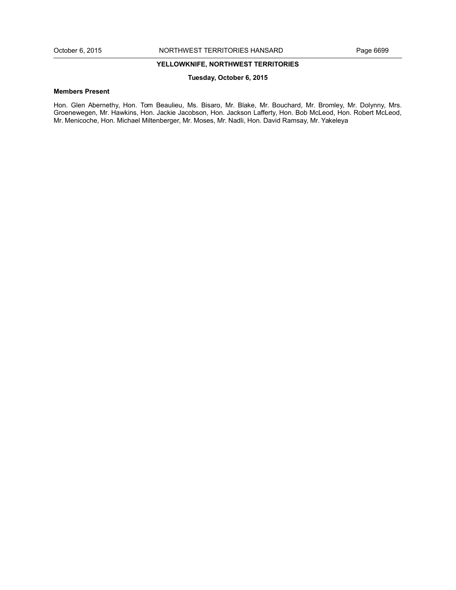# **YELLOWKNIFE, NORTHWEST TERRITORIES**

# **Tuesday, October 6, 2015**

# **Members Present**

Hon. Glen Abernethy, Hon. Tom Beaulieu, Ms. Bisaro, Mr. Blake, Mr. Bouchard, Mr. Bromley, Mr. Dolynny, Mrs. Groenewegen, Mr. Hawkins, Hon. Jackie Jacobson, Hon. Jackson Lafferty, Hon. Bob McLeod, Hon. Robert McLeod, Mr. Menicoche, Hon. Michael Miltenberger, Mr. Moses, Mr. Nadli, Hon. David Ramsay, Mr. Yakeleya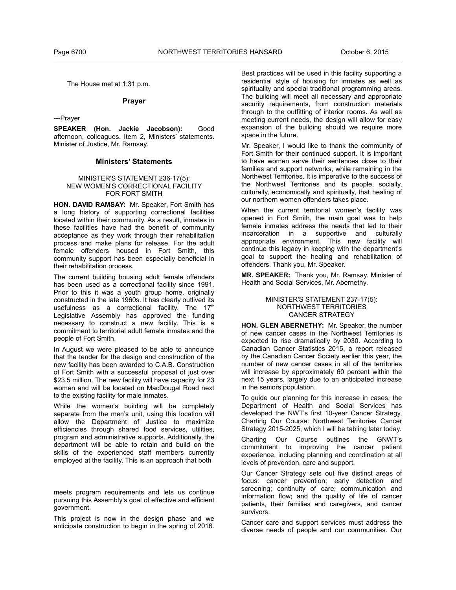The House met at 1:31 p.m.

# **Prayer**

---Prayer

**SPEAKER (Hon. Jackie Jacobson):** Good afternoon, colleagues. Item 2, Ministers' statements. Minister of Justice, Mr. Ramsay.

# **Ministers' Statements**

#### MINISTER'S STATEMENT 236-17(5): NEW WOMEN'S CORRECTIONAL FACILITY FOR FORT SMITH

**HON. DAVID RAMSAY:** Mr. Speaker, Fort Smith has a long history of supporting correctional facilities located within their community. As a result, inmates in these facilities have had the benefit of community acceptance as they work through their rehabilitation process and make plans for release. For the adult female offenders housed in Fort Smith, this community support has been especially beneficial in their rehabilitation process.

The current building housing adult female offenders has been used as a correctional facility since 1991. Prior to this it was a youth group home, originally constructed in the late 1960s. It has clearly outlived its usefulness as a correctional facility. The  $17<sup>th</sup>$ Legislative Assembly has approved the funding necessary to construct a new facility. This is a commitment to territorial adult female inmates and the people of Fort Smith.

In August we were pleased to be able to announce that the tender for the design and construction of the new facility has been awarded to C.A.B. Construction of Fort Smith with a successful proposal of just over \$23.5 million. The new facility will have capacity for 23 women and will be located on MacDougal Road next to the existing facility for male inmates.

While the women's building will be completely separate from the men's unit, using this location will allow the Department of Justice to maximize efficiencies through shared food services, utilities, program and administrative supports. Additionally, the department will be able to retain and build on the skills of the experienced staff members currently employed at the facility. This is an approach that both

meets program requirements and lets us continue pursuing this Assembly's goal of effective and efficient government.

This project is now in the design phase and we anticipate construction to begin in the spring of 2016.

Best practices will be used in this facility supporting a residential style of housing for inmates as well as spirituality and special traditional programming areas. The building will meet all necessary and appropriate security requirements, from construction materials through to the outfitting of interior rooms. As well as meeting current needs, the design will allow for easy expansion of the building should we require more space in the future.

Mr. Speaker, I would like to thank the community of Fort Smith for their continued support. It is important to have women serve their sentences close to their families and support networks, while remaining in the Northwest Territories. It is imperative to the success of the Northwest Territories and its people, socially, culturally, economically and spiritually, that healing of our northern women offenders takes place.

When the current territorial women's facility was opened in Fort Smith, the main goal was to help female inmates address the needs that led to their incarceration in a supportive and culturally appropriate environment. This new facility will continue this legacy in keeping with the department's goal to support the healing and rehabilitation of offenders. Thank you, Mr. Speaker.

**MR. SPEAKER:** Thank you, Mr. Ramsay. Minister of Health and Social Services, Mr. Abernethy.

# MINISTER'S STATEMENT 237-17(5): NORTHWEST TERRITORIES CANCER STRATEGY

**HON. GLEN ABERNETHY:** Mr. Speaker, the number of new cancer cases in the Northwest Territories is expected to rise dramatically by 2030. According to Canadian Cancer Statistics 2015, a report released by the Canadian Cancer Society earlier this year, the number of new cancer cases in all of the territories will increase by approximately 60 percent within the next 15 years, largely due to an anticipated increase in the seniors population.

To guide our planning for this increase in cases, the Department of Health and Social Services has developed the NWT's first 10-year Cancer Strategy, Charting Our Course: Northwest Territories Cancer Strategy 2015-2025, which I will be tabling later today.

Charting Our Course outlines the GNWT's commitment to improving the cancer patient experience, including planning and coordination at all levels of prevention, care and support.

Our Cancer Strategy sets out five distinct areas of focus: cancer prevention; early detection and screening; continuity of care; communication and information flow; and the quality of life of cancer patients, their families and caregivers, and cancer survivors.

Cancer care and support services must address the diverse needs of people and our communities. Our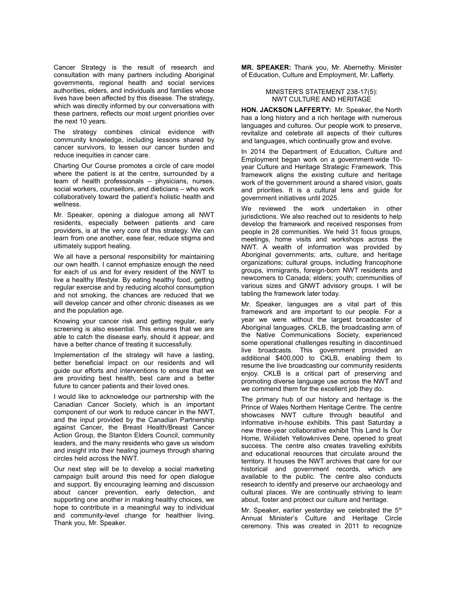Cancer Strategy is the result of research and consultation with many partners including Aboriginal governments, regional health and social services authorities, elders, and individuals and families whose lives have been affected by this disease. The strategy, which was directly informed by our conversations with these partners, reflects our most urgent priorities over the next 10 years.

The strategy combines clinical evidence with community knowledge, including lessons shared by cancer survivors, to lessen our cancer burden and reduce inequities in cancer care.

Charting Our Course promotes a circle of care model where the patient is at the centre, surrounded by a team of health professionals – physicians, nurses, social workers, counsellors, and dieticians – who work collaboratively toward the patient's holistic health and wellness.

Mr. Speaker, opening a dialogue among all NWT residents, especially between patients and care providers, is at the very core of this strategy. We can learn from one another, ease fear, reduce stigma and ultimately support healing.

We all have a personal responsibility for maintaining our own health. I cannot emphasize enough the need for each of us and for every resident of the NWT to live a healthy lifestyle. By eating healthy food, getting regular exercise and by reducing alcohol consumption and not smoking, the chances are reduced that we will develop cancer and other chronic diseases as we and the population age.

Knowing your cancer risk and getting regular, early screening is also essential. This ensures that we are able to catch the disease early, should it appear, and have a better chance of treating it successfully.

Implementation of the strategy will have a lasting, better beneficial impact on our residents and will guide our efforts and interventions to ensure that we are providing best health, best care and a better future to cancer patients and their loved ones.

I would like to acknowledge our partnership with the Canadian Cancer Society, which is an important component of our work to reduce cancer in the NWT, and the input provided by the Canadian Partnership against Cancer, the Breast Health/Breast Cancer Action Group, the Stanton Elders Council, community leaders, and the many residents who gave us wisdom and insight into their healing journeys through sharing circles held across the NWT.

Our next step will be to develop a social marketing campaign built around this need for open dialogue and support. By encouraging learning and discussion about cancer prevention, early detection, and supporting one another in making healthy choices, we hope to contribute in a meaningful way to individual and community-level change for healthier living. Thank you, Mr. Speaker.

**MR. SPEAKER:** Thank you, Mr. Abernethy. Minister of Education, Culture and Employment, Mr. Lafferty.

# MINISTER'S STATEMENT 238-17(5): NWT CULTURE AND HERITAGE

**HON. JACKSON LAFFERTY:** Mr. Speaker, the North has a long history and a rich heritage with numerous languages and cultures. Our people work to preserve, revitalize and celebrate all aspects of their cultures and languages, which continually grow and evolve.

In 2014 the Department of Education, Culture and Employment began work on a government-wide 10 year Culture and Heritage Strategic Framework. This framework aligns the existing culture and heritage work of the government around a shared vision, goals and priorities. It is a cultural lens and guide for government initiatives until 2025.

We reviewed the work undertaken in other jurisdictions. We also reached out to residents to help develop the framework and received responses from people in 28 communities. We held 31 focus groups, meetings, home visits and workshops across the NWT. A wealth of information was provided by Aboriginal governments; arts, culture, and heritage organizations; cultural groups, including francophone groups, immigrants, foreign-born NWT residents and newcomers to Canada; elders; youth; communities of various sizes and GNWT advisory groups. I will be tabling the framework later today.

Mr. Speaker, languages are a vital part of this framework and are important to our people. For a year we were without the largest broadcaster of Aboriginal languages. CKLB, the broadcasting arm of the Native Communications Society, experienced some operational challenges resulting in discontinued live broadcasts. This government provided an additional \$400,000 to CKLB, enabling them to resume the live broadcasting our community residents enjoy. CKLB is a critical part of preserving and promoting diverse language use across the NWT and we commend them for the excellent job they do.

The primary hub of our history and heritage is the Prince of Wales Northern Heritage Centre. The centre showcases NWT culture through beautiful and informative in-house exhibits. This past Saturday a new three-year collaborative exhibit This Land Is Our Home, Wıilıideh Yellowknives Dene*,* opened to great success. The centre also creates travelling exhibits and educational resources that circulate around the territory. It houses the NWT archives that care for our historical and government records, which are available to the public. The centre also conducts research to identify and preserve our archaeology and cultural places. We are continually striving to learn about, foster and protect our culture and heritage.

Mr. Speaker, earlier yesterday we celebrated the  $5<sup>th</sup>$ Annual Minister's Culture and Heritage Circle ceremony. This was created in 2011 to recognize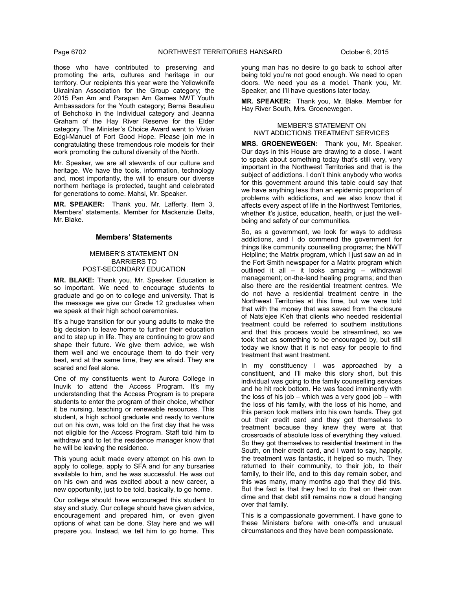those who have contributed to preserving and promoting the arts, cultures and heritage in our territory. Our recipients this year were the Yellowknife Ukrainian Association for the Group category; the 2015 Pan Am and Parapan Am Games NWT Youth Ambassadors for the Youth category; Berna Beaulieu of Behchoko in the Individual category and Jeanna Graham of the Hay River Reserve for the Elder category. The Minister's Choice Award went to Vivian Edgi-Manuel of Fort Good Hope. Please join me in congratulating these tremendous role models for their work promoting the cultural diversity of the North.

Mr. Speaker, we are all stewards of our culture and heritage. We have the tools, information, technology and, most importantly, the will to ensure our diverse northern heritage is protected, taught and celebrated for generations to come. Mahsi, Mr. Speaker.

**MR. SPEAKER:** Thank you, Mr. Lafferty. Item 3, Members' statements. Member for Mackenzie Delta, Mr. Blake.

# **Members' Statements**

#### MEMBER'S STATEMENT ON BARRIERS TO POST-SECONDARY EDUCATION

**MR. BLAKE:** Thank you, Mr. Speaker. Education is so important. We need to encourage students to graduate and go on to college and university. That is the message we give our Grade 12 graduates when we speak at their high school ceremonies.

It's a huge transition for our young adults to make the big decision to leave home to further their education and to step up in life. They are continuing to grow and shape their future. We give them advice, we wish them well and we encourage them to do their very best, and at the same time, they are afraid. They are scared and feel alone.

One of my constituents went to Aurora College in Inuvik to attend the Access Program. It's my understanding that the Access Program is to prepare students to enter the program of their choice, whether it be nursing, teaching or renewable resources. This student, a high school graduate and ready to venture out on his own, was told on the first day that he was not eligible for the Access Program. Staff told him to withdraw and to let the residence manager know that he will be leaving the residence.

This young adult made every attempt on his own to apply to college, apply to SFA and for any bursaries available to him, and he was successful. He was out on his own and was excited about a new career, a new opportunity, just to be told, basically, to go home.

Our college should have encouraged this student to stay and study. Our college should have given advice, encouragement and prepared him, or even given options of what can be done. Stay here and we will prepare you. Instead, we tell him to go home. This

young man has no desire to go back to school after being told you're not good enough. We need to open doors. We need you as a model. Thank you, Mr. Speaker, and I'll have questions later today.

**MR. SPEAKER:** Thank you, Mr. Blake. Member for Hay River South, Mrs. Groenewegen.

# MEMBER'S STATEMENT ON NWT ADDICTIONS TREATMENT SERVICES

**MRS. GROENEWEGEN:** Thank you, Mr. Speaker. Our days in this House are drawing to a close. I want to speak about something today that's still very, very important in the Northwest Territories and that is the subject of addictions. I don't think anybody who works for this government around this table could say that we have anything less than an epidemic proportion of problems with addictions, and we also know that it affects every aspect of life in the Northwest Territories, whether it's justice, education, health, or just the wellbeing and safety of our communities.

So, as a government, we look for ways to address addictions, and I do commend the government for things like community counselling programs; the NWT Helpline; the Matrix program, which I just saw an ad in the Fort Smith newspaper for a Matrix program which outlined it all – it looks amazing – withdrawal management; on-the-land healing programs; and then also there are the residential treatment centres. We do not have a residential treatment centre in the Northwest Territories at this time, but we were told that with the money that was saved from the closure of Nats'ejee K'eh that clients who needed residential treatment could be referred to southern institutions and that this process would be streamlined, so we took that as something to be encouraged by, but still today we know that it is not easy for people to find treatment that want treatment.

In my constituency I was approached by a constituent, and I'll make this story short, but this individual was going to the family counselling services and he hit rock bottom. He was faced imminently with the loss of his job – which was a very good job – with the loss of his family, with the loss of his home, and this person took matters into his own hands. They got out their credit card and they got themselves to treatment because they knew they were at that crossroads of absolute loss of everything they valued. So they got themselves to residential treatment in the South, on their credit card, and I want to say, happily, the treatment was fantastic, it helped so much. They returned to their community, to their job, to their family, to their life, and to this day remain sober, and this was many, many months ago that they did this. But the fact is that they had to do that on their own dime and that debt still remains now a cloud hanging over that family.

This is a compassionate government. I have gone to these Ministers before with one-offs and unusual circumstances and they have been compassionate.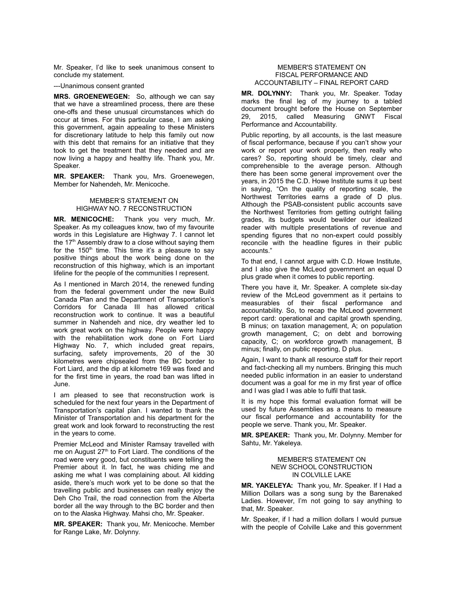Mr. Speaker, I'd like to seek unanimous consent to conclude my statement.

---Unanimous consent granted

**MRS. GROENEWEGEN:** So, although we can say that we have a streamlined process, there are these one-offs and these unusual circumstances which do occur at times. For this particular case, I am asking this government, again appealing to these Ministers for discretionary latitude to help this family out now with this debt that remains for an initiative that they took to get the treatment that they needed and are now living a happy and healthy life. Thank you, Mr. Speaker.

**MR. SPEAKER:** Thank you, Mrs. Groenewegen, Member for Nahendeh, Mr. Menicoche.

# MEMBER'S STATEMENT ON HIGHWAY NO. 7 RECONSTRUCTION

**MR. MENICOCHE:** Thank you very much, Mr. Speaker. As my colleagues know, two of my favourite words in this Legislature are Highway 7. I cannot let the  $17<sup>th</sup>$  Assembly draw to a close without saying them for the  $150<sup>th</sup>$  time. This time it's a pleasure to say positive things about the work being done on the reconstruction of this highway, which is an important lifeline for the people of the communities I represent.

As I mentioned in March 2014, the renewed funding from the federal government under the new Build Canada Plan and the Department of Transportation's Corridors for Canada III has allowed critical reconstruction work to continue. It was a beautiful summer in Nahendeh and nice, dry weather led to work great work on the highway. People were happy with the rehabilitation work done on Fort Liard Highway No. 7, which included great repairs, surfacing, safety improvements, 20 of the 30 kilometres were chipsealed from the BC border to Fort Liard, and the dip at kilometre 169 was fixed and for the first time in years, the road ban was lifted in June.

I am pleased to see that reconstruction work is scheduled for the next four years in the Department of Transportation's capital plan. I wanted to thank the Minister of Transportation and his department for the great work and look forward to reconstructing the rest in the years to come.

Premier McLeod and Minister Ramsay travelled with me on August 27<sup>th</sup> to Fort Liard. The conditions of the road were very good, but constituents were telling the Premier about it. In fact, he was chiding me and asking me what I was complaining about. All kidding aside, there's much work yet to be done so that the travelling public and businesses can really enjoy the Deh Cho Trail, the road connection from the Alberta border all the way through to the BC border and then on to the Alaska Highway. Mahsi cho, Mr. Speaker.

**MR. SPEAKER:** Thank you, Mr. Menicoche. Member for Range Lake, Mr. Dolynny.

#### MEMBER'S STATEMENT ON FISCAL PERFORMANCE AND ACCOUNTABILITY – FINAL REPORT CARD

**MR. DOLYNNY:** Thank you, Mr. Speaker. Today marks the final leg of my journey to a tabled document brought before the House on September 29, 2015, called Measuring GNWT Fiscal Performance and Accountability.

Public reporting, by all accounts, is the last measure of fiscal performance, because if you can't show your work or report your work properly, then really who cares? So, reporting should be timely, clear and comprehensible to the average person. Although there has been some general improvement over the years, in 2015 the C.D. Howe Institute sums it up best in saying, "On the quality of reporting scale, the Northwest Territories earns a grade of D plus. Although the PSAB-consistent public accounts save the Northwest Territories from getting outright failing grades, its budgets would bewilder our idealized reader with multiple presentations of revenue and spending figures that no non-expert could possibly reconcile with the headline figures in their public accounts."

To that end, I cannot argue with C.D. Howe Institute, and I also give the McLeod government an equal D plus grade when it comes to public reporting.

There you have it, Mr. Speaker. A complete six-day review of the McLeod government as it pertains to measurables of their fiscal performance and accountability. So, to recap the McLeod government report card: operational and capital growth spending, B minus; on taxation management, A; on population growth management, C; on debt and borrowing capacity, C; on workforce growth management, B minus; finally, on public reporting, D plus.

Again, I want to thank all resource staff for their report and fact-checking all my numbers. Bringing this much needed public information in an easier to understand document was a goal for me in my first year of office and I was glad I was able to fulfil that task.

It is my hope this formal evaluation format will be used by future Assemblies as a means to measure our fiscal performance and accountability for the people we serve. Thank you, Mr. Speaker.

**MR. SPEAKER:** Thank you, Mr. Dolynny. Member for Sahtu, Mr. Yakeleya.

#### MEMBER'S STATEMENT ON NEW SCHOOL CONSTRUCTION IN COLVILLE LAKE

**MR. YAKELEYA:** Thank you, Mr. Speaker. If I Had a Million Dollars was a song sung by the Barenaked Ladies. However, I'm not going to say anything to that, Mr. Speaker.

Mr. Speaker, if I had a million dollars I would pursue with the people of Colville Lake and this government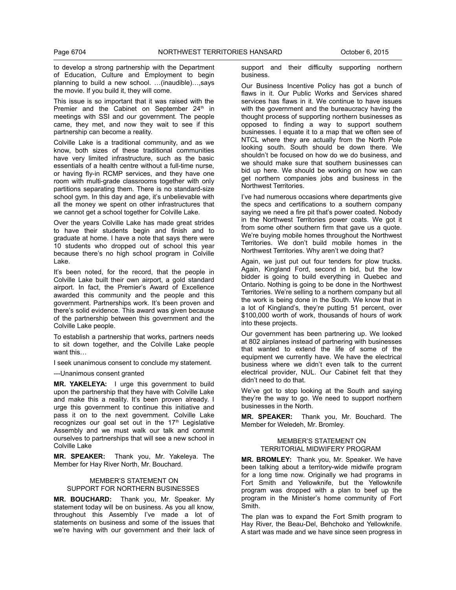to develop a strong partnership with the Department of Education, Culture and Employment to begin planning to build a new school. …(inaudible)…,says the movie. If you build it, they will come.

This issue is so important that it was raised with the Premier and the Cabinet on September  $24<sup>th</sup>$  in meetings with SSI and our government. The people came, they met, and now they wait to see if this partnership can become a reality.

Colville Lake is a traditional community, and as we know, both sizes of these traditional communities have very limited infrastructure, such as the basic essentials of a health centre without a full-time nurse, or having fly-in RCMP services, and they have one room with multi-grade classrooms together with only partitions separating them. There is no standard-size school gym. In this day and age, it's unbelievable with all the money we spent on other infrastructures that we cannot get a school together for Colville Lake.

Over the years Colville Lake has made great strides to have their students begin and finish and to graduate at home. I have a note that says there were 10 students who dropped out of school this year because there's no high school program in Colville Lake.

It's been noted, for the record, that the people in Colville Lake built their own airport, a gold standard airport. In fact, the Premier's Award of Excellence awarded this community and the people and this government. Partnerships work. It's been proven and there's solid evidence. This award was given because of the partnership between this government and the Colville Lake people.

To establish a partnership that works, partners needs to sit down together, and the Colville Lake people want this…

I seek unanimous consent to conclude my statement.

---Unanimous consent granted

**MR. YAKELEYA:** I urge this government to build upon the partnership that they have with Colville Lake and make this a reality. It's been proven already. I urge this government to continue this initiative and pass it on to the next government. Colville Lake recognizes our goal set out in the  $17<sup>th</sup>$  Legislative Assembly and we must walk our talk and commit ourselves to partnerships that will see a new school in Colville Lake

**MR. SPEAKER:** Thank you, Mr. Yakeleya. The Member for Hay River North, Mr. Bouchard.

#### MEMBER'S STATEMENT ON SUPPORT FOR NORTHERN BUSINESSES

**MR. BOUCHARD:** Thank you, Mr. Speaker. My statement today will be on business. As you all know, throughout this Assembly I've made a lot of statements on business and some of the issues that we're having with our government and their lack of

support and their difficulty supporting northern business.

Our Business Incentive Policy has got a bunch of flaws in it. Our Public Works and Services shared services has flaws in it. We continue to have issues with the government and the bureaucracy having the thought process of supporting northern businesses as opposed to finding a way to support southern businesses. I equate it to a map that we often see of NTCL where they are actually from the North Pole looking south. South should be down there. We shouldn't be focused on how do we do business, and we should make sure that southern businesses can bid up here. We should be working on how we can get northern companies jobs and business in the Northwest Territories.

I've had numerous occasions where departments give the specs and certifications to a southern company saying we need a fire pit that's power coated. Nobody in the Northwest Territories power coats. We got it from some other southern firm that gave us a quote. We're buying mobile homes throughout the Northwest Territories. We don't build mobile homes in the Northwest Territories. Why aren't we doing that?

Again, we just put out four tenders for plow trucks. Again, Kingland Ford, second in bid, but the low bidder is going to build everything in Quebec and Ontario. Nothing is going to be done in the Northwest Territories. We're selling to a northern company but all the work is being done in the South. We know that in a lot of Kingland's, they're putting 51 percent, over \$100,000 worth of work, thousands of hours of work into these projects.

Our government has been partnering up. We looked at 802 airplanes instead of partnering with businesses that wanted to extend the life of some of the equipment we currently have. We have the electrical business where we didn't even talk to the current electrical provider, NUL. Our Cabinet felt that they didn't need to do that.

We've got to stop looking at the South and saying they're the way to go. We need to support northern businesses in the North.

**MR. SPEAKER:** Thank you, Mr. Bouchard. The Member for Weledeh, Mr. Bromley.

# MEMBER'S STATEMENT ON TERRITORIAL MIDWIFERY PROGRAM

**MR. BROMLEY:** Thank you, Mr. Speaker. We have been talking about a territory-wide midwife program for a long time now. Originally we had programs in Fort Smith and Yellowknife, but the Yellowknife program was dropped with a plan to beef up the program in the Minister's home community of Fort Smith.

The plan was to expand the Fort Smith program to Hay River, the Beau-Del, Behchoko and Yellowknife. A start was made and we have since seen progress in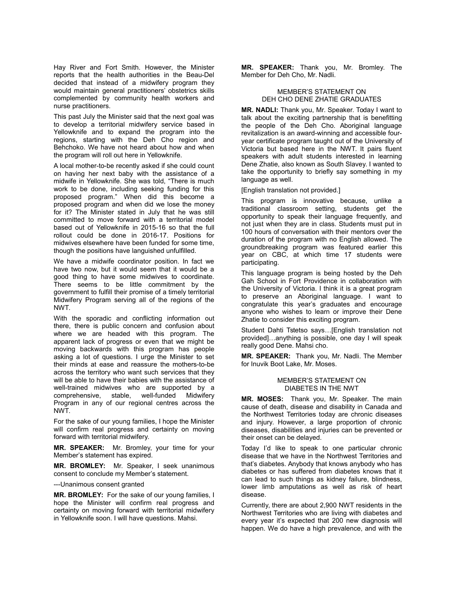Hay River and Fort Smith. However, the Minister reports that the health authorities in the Beau-Del decided that instead of a midwifery program they would maintain general practitioners' obstetrics skills complemented by community health workers and nurse practitioners.

This past July the Minister said that the next goal was to develop a territorial midwifery service based in Yellowknife and to expand the program into the regions, starting with the Deh Cho region and Behchoko. We have not heard about how and when the program will roll out here in Yellowknife.

A local mother-to-be recently asked if she could count on having her next baby with the assistance of a midwife in Yellowknife. She was told, "There is much work to be done, including seeking funding for this proposed program." When did this become a proposed program and when did we lose the money for it? The Minister stated in July that he was still committed to move forward with a territorial model based out of Yellowknife in 2015-16 so that the full rollout could be done in 2016-17. Positions for midwives elsewhere have been funded for some time, though the positions have languished unfulfilled.

We have a midwife coordinator position. In fact we have two now, but it would seem that it would be a good thing to have some midwives to coordinate. There seems to be little commitment by the government to fulfill their promise of a timely territorial Midwifery Program serving all of the regions of the NWT.

With the sporadic and conflicting information out there, there is public concern and confusion about where we are headed with this program. The apparent lack of progress or even that we might be moving backwards with this program has people asking a lot of questions. I urge the Minister to set their minds at ease and reassure the mothers-to-be across the territory who want such services that they will be able to have their babies with the assistance of well-trained midwives who are supported by a comprehensive, stable, well-funded Midwifery Program in any of our regional centres across the NWT.

For the sake of our young families, I hope the Minister will confirm real progress and certainty on moving forward with territorial midwifery.

**MR. SPEAKER:** Mr. Bromley, your time for your Member's statement has expired.

**MR. BROMLEY:** Mr. Speaker, I seek unanimous consent to conclude my Member's statement.

---Unanimous consent granted

**MR. BROMLEY:** For the sake of our young families, I hope the Minister will confirm real progress and certainty on moving forward with territorial midwifery in Yellowknife soon. I will have questions. Mahsi.

**MR. SPEAKER:** Thank you, Mr. Bromley. The Member for Deh Cho, Mr. Nadli.

# MEMBER'S STATEMENT ON DEH CHO DENE ZHATIE GRADUATES

**MR. NADLI:** Thank you, Mr. Speaker. Today I want to talk about the exciting partnership that is benefitting the people of the Deh Cho. Aboriginal language revitalization is an award-winning and accessible fouryear certificate program taught out of the University of Victoria but based here in the NWT. It pairs fluent speakers with adult students interested in learning Dene Zhatie, also known as South Slavey. I wanted to take the opportunity to briefly say something in my language as well.

[English translation not provided.]

This program is innovative because, unlike a traditional classroom setting, students get the opportunity to speak their language frequently, and not just when they are in class. Students must put in 100 hours of conversation with their mentors over the duration of the program with no English allowed. The groundbreaking program was featured earlier this year on CBC, at which time 17 students were participating.

This language program is being hosted by the Deh Gah School in Fort Providence in collaboration with the University of Victoria. I think it is a great program to preserve an Aboriginal language. I want to congratulate this year's graduates and encourage anyone who wishes to learn or improve their Dene Zhatie to consider this exciting program.

Student Dahti Tstetso says…[English translation not provided]…anything is possible, one day I will speak really good Dene. Mahsi cho.

**MR. SPEAKER:** Thank you, Mr. Nadli. The Member for Inuvik Boot Lake, Mr. Moses.

#### MEMBER'S STATEMENT ON DIABETES IN THE NWT

**MR. MOSES:** Thank you, Mr. Speaker. The main cause of death, disease and disability in Canada and the Northwest Territories today are chronic diseases and injury. However, a large proportion of chronic diseases, disabilities and injuries can be prevented or their onset can be delayed.

Today I'd like to speak to one particular chronic disease that we have in the Northwest Territories and that's diabetes. Anybody that knows anybody who has diabetes or has suffered from diabetes knows that it can lead to such things as kidney failure, blindness, lower limb amputations as well as risk of heart disease.

Currently, there are about 2,900 NWT residents in the Northwest Territories who are living with diabetes and every year it's expected that 200 new diagnosis will happen. We do have a high prevalence, and with the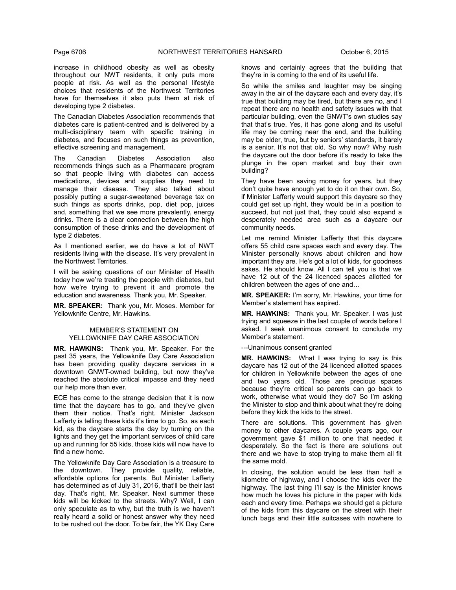increase in childhood obesity as well as obesity throughout our NWT residents, it only puts more people at risk. As well as the personal lifestyle choices that residents of the Northwest Territories have for themselves it also puts them at risk of developing type 2 diabetes.

The Canadian Diabetes Association recommends that diabetes care is patient-centred and is delivered by a multi-disciplinary team with specific training in diabetes, and focuses on such things as prevention, effective screening and management.

The Canadian Diabetes Association also recommends things such as a Pharmacare program so that people living with diabetes can access medications, devices and supplies they need to manage their disease. They also talked about possibly putting a sugar-sweetened beverage tax on such things as sports drinks, pop, diet pop, juices and, something that we see more prevalently, energy drinks. There is a clear connection between the high consumption of these drinks and the development of type 2 diabetes.

As I mentioned earlier, we do have a lot of NWT residents living with the disease. It's very prevalent in the Northwest Territories.

I will be asking questions of our Minister of Health today how we're treating the people with diabetes, but how we're trying to prevent it and promote the education and awareness. Thank you, Mr. Speaker.

**MR. SPEAKER:** Thank you, Mr. Moses. Member for Yellowknife Centre, Mr. Hawkins.

# MEMBER'S STATEMENT ON YELLOWKNIFE DAY CARE ASSOCIATION

**MR. HAWKINS:** Thank you, Mr. Speaker. For the past 35 years, the Yellowknife Day Care Association has been providing quality daycare services in a downtown GNWT-owned building, but now they've reached the absolute critical impasse and they need our help more than ever.

ECE has come to the strange decision that it is now time that the daycare has to go, and they've given them their notice. That's right. Minister Jackson Lafferty is telling these kids it's time to go. So, as each kid, as the daycare starts the day by turning on the lights and they get the important services of child care up and running for 55 kids, those kids will now have to find a new home.

The Yellowknife Day Care Association is a treasure to the downtown. They provide quality, reliable, affordable options for parents. But Minister Lafferty has determined as of July 31, 2016, that'll be their last day. That's right, Mr. Speaker. Next summer these kids will be kicked to the streets. Why? Well, I can only speculate as to why, but the truth is we haven't really heard a solid or honest answer why they need to be rushed out the door. To be fair, the YK Day Care

knows and certainly agrees that the building that they're in is coming to the end of its useful life.

So while the smiles and laughter may be singing away in the air of the daycare each and every day, it's true that building may be tired, but there are no, and I repeat there are no health and safety issues with that particular building, even the GNWT's own studies say that that's true. Yes, it has gone along and its useful life may be coming near the end, and the building may be older, true, but by seniors' standards, it barely is a senior. It's not that old. So why now? Why rush the daycare out the door before it's ready to take the plunge in the open market and buy their own building?

They have been saving money for years, but they don't quite have enough yet to do it on their own. So, if Minister Lafferty would support this daycare so they could get set up right, they would be in a position to succeed, but not just that, they could also expand a desperately needed area such as a daycare our community needs.

Let me remind Minister Lafferty that this daycare offers 55 child care spaces each and every day. The Minister personally knows about children and how important they are. He's got a lot of kids, for goodness sakes. He should know. All I can tell you is that we have 12 out of the 24 licenced spaces allotted for children between the ages of one and…

**MR. SPEAKER:** I'm sorry, Mr. Hawkins, your time for Member's statement has expired.

**MR. HAWKINS:** Thank you, Mr. Speaker. I was just trying and squeeze in the last couple of words before I asked. I seek unanimous consent to conclude my Member's statement.

---Unanimous consent granted

**MR. HAWKINS:** What I was trying to say is this daycare has 12 out of the 24 licenced allotted spaces for children in Yellowknife between the ages of one and two years old. Those are precious spaces because they're critical so parents can go back to work, otherwise what would they do? So I'm asking the Minister to stop and think about what they're doing before they kick the kids to the street.

There are solutions. This government has given money to other daycares. A couple years ago, our government gave \$1 million to one that needed it desperately. So the fact is there are solutions out there and we have to stop trying to make them all fit the same mold.

In closing, the solution would be less than half a kilometre of highway, and I choose the kids over the highway. The last thing I'll say is the Minister knows how much he loves his picture in the paper with kids each and every time. Perhaps we should get a picture of the kids from this daycare on the street with their lunch bags and their little suitcases with nowhere to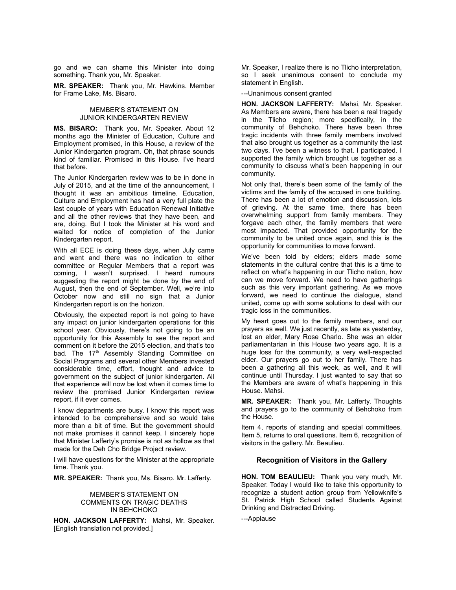go and we can shame this Minister into doing something. Thank you, Mr. Speaker.

**MR. SPEAKER:** Thank you, Mr. Hawkins. Member for Frame Lake, Ms. Bisaro.

# MEMBER'S STATEMENT ON JUNIOR KINDERGARTEN REVIEW

**MS. BISARO:** Thank you, Mr. Speaker. About 12 months ago the Minister of Education, Culture and Employment promised, in this House, a review of the Junior Kindergarten program. Oh, that phrase sounds kind of familiar. Promised in this House. I've heard that before.

The Junior Kindergarten review was to be in done in July of 2015, and at the time of the announcement, I thought it was an ambitious timeline. Education, Culture and Employment has had a very full plate the last couple of years with Education Renewal Initiative and all the other reviews that they have been, and are, doing. But I took the Minister at his word and waited for notice of completion of the Junior Kindergarten report.

With all ECE is doing these days, when July came and went and there was no indication to either committee or Regular Members that a report was coming, I wasn't surprised. I heard rumours suggesting the report might be done by the end of August, then the end of September. Well, we're into October now and still no sign that a Junior Kindergarten report is on the horizon.

Obviously, the expected report is not going to have any impact on junior kindergarten operations for this school year. Obviously, there's not going to be an opportunity for this Assembly to see the report and comment on it before the 2015 election, and that's too bad. The 17<sup>th</sup> Assembly Standing Committee on Social Programs and several other Members invested considerable time, effort, thought and advice to government on the subject of junior kindergarten. All that experience will now be lost when it comes time to review the promised Junior Kindergarten review report, if it ever comes.

I know departments are busy. I know this report was intended to be comprehensive and so would take more than a bit of time. But the government should not make promises it cannot keep. I sincerely hope that Minister Lafferty's promise is not as hollow as that made for the Deh Cho Bridge Project review.

I will have questions for the Minister at the appropriate time. Thank you.

**MR. SPEAKER:** Thank you, Ms. Bisaro. Mr. Lafferty.

# MEMBER'S STATEMENT ON COMMENTS ON TRAGIC DEATHS IN BEHCHOKO

**HON. JACKSON LAFFERTY:** Mahsi, Mr. Speaker. [English translation not provided.]

Mr. Speaker, I realize there is no Tlicho interpretation, so I seek unanimous consent to conclude my statement in English.

---Unanimous consent granted

**HON. JACKSON LAFFERTY:** Mahsi, Mr. Speaker. As Members are aware, there has been a real tragedy in the Tlicho region; more specifically, in the community of Behchoko. There have been three tragic incidents with three family members involved that also brought us together as a community the last two days. I've been a witness to that. I participated. I supported the family which brought us together as a community to discuss what's been happening in our community.

Not only that, there's been some of the family of the victims and the family of the accused in one building. There has been a lot of emotion and discussion, lots of grieving. At the same time, there has been overwhelming support from family members. They forgave each other, the family members that were most impacted. That provided opportunity for the community to be united once again, and this is the opportunity for communities to move forward.

We've been told by elders; elders made some statements in the cultural centre that this is a time to reflect on what's happening in our Tlicho nation, how can we move forward. We need to have gatherings such as this very important gathering. As we move forward, we need to continue the dialogue, stand united, come up with some solutions to deal with our tragic loss in the communities.

My heart goes out to the family members, and our prayers as well. We just recently, as late as yesterday, lost an elder, Mary Rose Charlo. She was an elder parliamentarian in this House two years ago. It is a huge loss for the community, a very well-respected elder. Our prayers go out to her family. There has been a gathering all this week, as well, and it will continue until Thursday. I just wanted to say that so the Members are aware of what's happening in this House. Mahsi.

**MR. SPEAKER:** Thank you, Mr. Lafferty. Thoughts and prayers go to the community of Behchoko from the House.

Item 4, reports of standing and special committees. Item 5, returns to oral questions. Item 6, recognition of visitors in the gallery. Mr. Beaulieu.

# **Recognition of Visitors in the Gallery**

**HON. TOM BEAULIEU:** Thank you very much, Mr. Speaker. Today I would like to take this opportunity to recognize a student action group from Yellowknife's St. Patrick High School called Students Against Drinking and Distracted Driving.

---Applause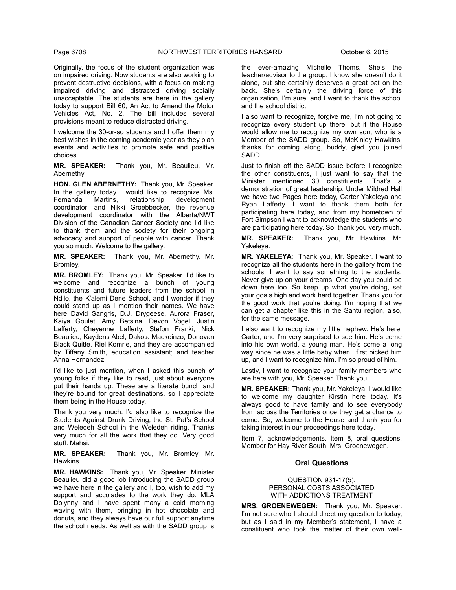Originally, the focus of the student organization was on impaired driving. Now students are also working to prevent destructive decisions, with a focus on making impaired driving and distracted driving socially unacceptable. The students are here in the gallery today to support Bill 60, An Act to Amend the Motor Vehicles Act, No. 2. The bill includes several provisions meant to reduce distracted driving.

I welcome the 30-or-so students and I offer them my best wishes in the coming academic year as they plan events and activities to promote safe and positive choices.

**MR. SPEAKER:** Thank you, Mr. Beaulieu. Mr. Abernethy.

**HON. GLEN ABERNETHY:** Thank you, Mr. Speaker. In the gallery today I would like to recognize Ms.<br>Fernanda Martins, relationship development Fernanda Martins, relationship development coordinator; and Nikki Groebbecker, the revenue development coordinator with the Alberta/NWT Division of the Canadian Cancer Society and I'd like to thank them and the society for their ongoing advocacy and support of people with cancer. Thank you so much. Welcome to the gallery.

**MR. SPEAKER:** Thank you, Mr. Abernethy. Mr. Bromley.

**MR. BROMLEY:** Thank you, Mr. Speaker. I'd like to welcome and recognize a bunch of young constituents and future leaders from the school in Ndilo, the K'alemi Dene School, and I wonder if they could stand up as I mention their names. We have here David Sangris, D.J. Drygeese, Aurora Fraser, Kaiya Goulet, Amy Betsina, Devon Vogel, Justin Lafferty, Cheyenne Lafferty, Stefon Franki, Nick Beaulieu, Kaydens Abel, Dakota Mackeinzo, Donovan Black Quitte, Riel Komrie, and they are accompanied by Tiffany Smith, education assistant; and teacher Anna Hernandez.

I'd like to just mention, when I asked this bunch of young folks if they like to read, just about everyone put their hands up. These are a literate bunch and they're bound for great destinations, so I appreciate them being in the House today.

Thank you very much. I'd also like to recognize the Students Against Drunk Driving, the St. Pat's School and Weledeh School in the Weledeh riding. Thanks very much for all the work that they do. Very good stuff. Mahsi.

**MR. SPEAKER:** Thank you, Mr. Bromley. Mr. Hawkins.

**MR. HAWKINS:** Thank you, Mr. Speaker. Minister Beaulieu did a good job introducing the SADD group we have here in the gallery and I, too, wish to add my support and accolades to the work they do. MLA Dolynny and I have spent many a cold morning waving with them, bringing in hot chocolate and donuts, and they always have our full support anytime the school needs. As well as with the SADD group is

the ever-amazing Michelle Thoms. She's the teacher/advisor to the group. I know she doesn't do it alone, but she certainly deserves a great pat on the back. She's certainly the driving force of this organization, I'm sure, and I want to thank the school and the school district.

I also want to recognize, forgive me, I'm not going to recognize every student up there, but if the House would allow me to recognize my own son, who is a Member of the SADD group. So, McKinley Hawkins, thanks for coming along, buddy, glad you joined SADD.

Just to finish off the SADD issue before I recognize the other constituents, I just want to say that the Minister mentioned 30 constituents. That's a demonstration of great leadership. Under Mildred Hall we have two Pages here today, Carter Yakeleya and Ryan Lafferty. I want to thank them both for participating here today, and from my hometown of Fort Simpson I want to acknowledge the students who are participating here today. So, thank you very much.

**MR. SPEAKER:** Thank you, Mr. Hawkins. Mr. Yakeleya.

**MR. YAKELEYA:** Thank you, Mr. Speaker. I want to recognize all the students here in the gallery from the schools. I want to say something to the students. Never give up on your dreams. One day you could be down here too. So keep up what you're doing, set your goals high and work hard together. Thank you for the good work that you're doing. I'm hoping that we can get a chapter like this in the Sahtu region, also, for the same message.

I also want to recognize my little nephew. He's here, Carter, and I'm very surprised to see him. He's come into his own world, a young man. He's come a long way since he was a little baby when I first picked him up, and I want to recognize him. I'm so proud of him.

Lastly, I want to recognize your family members who are here with you, Mr. Speaker. Thank you.

**MR. SPEAKER:** Thank you, Mr. Yakeleya. I would like to welcome my daughter Kirstin here today. It's always good to have family and to see everybody from across the Territories once they get a chance to come. So, welcome to the House and thank you for taking interest in our proceedings here today.

Item 7, acknowledgements. Item 8, oral questions. Member for Hay River South, Mrs. Groenewegen.

# **Oral Questions**

# QUESTION 931-17(5): PERSONAL COSTS ASSOCIATED WITH ADDICTIONS TREATMENT

**MRS. GROENEWEGEN:** Thank you, Mr. Speaker. I'm not sure who I should direct my question to today, but as I said in my Member's statement, I have a constituent who took the matter of their own well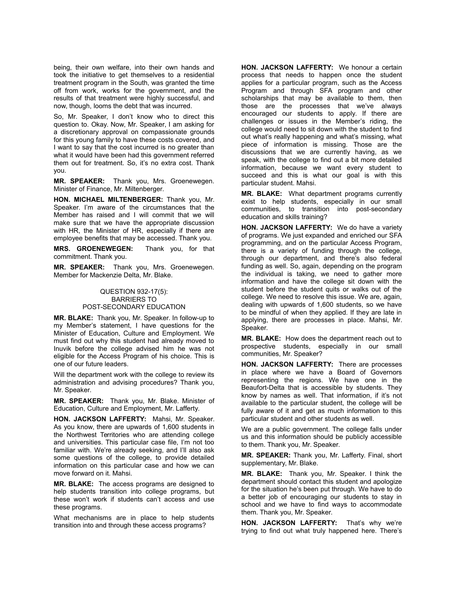being, their own welfare, into their own hands and took the initiative to get themselves to a residential treatment program in the South, was granted the time off from work, works for the government, and the results of that treatment were highly successful, and now, though, looms the debt that was incurred.

So, Mr. Speaker, I don't know who to direct this question to. Okay. Now, Mr. Speaker, I am asking for a discretionary approval on compassionate grounds for this young family to have these costs covered, and I want to say that the cost incurred is no greater than what it would have been had this government referred them out for treatment. So, it's no extra cost. Thank you.

**MR. SPEAKER:** Thank you, Mrs. Groenewegen. Minister of Finance, Mr. Miltenberger.

**HON. MICHAEL MILTENBERGER:** Thank you, Mr. Speaker. I'm aware of the circumstances that the Member has raised and I will commit that we will make sure that we have the appropriate discussion with HR, the Minister of HR, especially if there are employee benefits that may be accessed. Thank you.

**MRS. GROENEWEGEN:** Thank you, for that commitment. Thank you.

**MR. SPEAKER:** Thank you, Mrs. Groenewegen. Member for Mackenzie Delta, Mr. Blake.

# QUESTION 932-17(5): BARRIERS TO POST-SECONDARY EDUCATION

**MR. BLAKE:** Thank you, Mr. Speaker. In follow-up to my Member's statement, I have questions for the Minister of Education, Culture and Employment. We must find out why this student had already moved to Inuvik before the college advised him he was not eligible for the Access Program of his choice. This is one of our future leaders.

Will the department work with the college to review its administration and advising procedures? Thank you, Mr. Speaker.

**MR. SPEAKER:** Thank you, Mr. Blake. Minister of Education, Culture and Employment, Mr. Lafferty.

**HON. JACKSON LAFFERTY:** Mahsi, Mr. Speaker. As you know, there are upwards of 1,600 students in the Northwest Territories who are attending college and universities. This particular case file, I'm not too familiar with. We're already seeking, and I'll also ask some questions of the college, to provide detailed information on this particular case and how we can move forward on it. Mahsi.

**MR. BLAKE:** The access programs are designed to help students transition into college programs, but these won't work if students can't access and use these programs.

What mechanisms are in place to help students transition into and through these access programs?

**HON. JACKSON LAFFERTY:** We honour a certain process that needs to happen once the student applies for a particular program, such as the Access Program and through SFA program and other scholarships that may be available to them, then those are the processes that we've always encouraged our students to apply. If there are challenges or issues in the Member's riding, the college would need to sit down with the student to find out what's really happening and what's missing, what piece of information is missing. Those are the discussions that we are currently having, as we speak, with the college to find out a bit more detailed information, because we want every student to succeed and this is what our goal is with this particular student. Mahsi.

**MR. BLAKE:** What department programs currently exist to help students, especially in our small communities, to transition into post-secondary education and skills training?

**HON. JACKSON LAFFERTY:** We do have a variety of programs. We just expanded and enriched our SFA programming, and on the particular Access Program, there is a variety of funding through the college, through our department, and there's also federal funding as well. So, again, depending on the program the individual is taking, we need to gather more information and have the college sit down with the student before the student quits or walks out of the college. We need to resolve this issue. We are, again, dealing with upwards of 1,600 students, so we have to be mindful of when they applied. If they are late in applying, there are processes in place. Mahsi, Mr. Speaker.

**MR. BLAKE:** How does the department reach out to prospective students, especially in our small communities, Mr. Speaker?

**HON. JACKSON LAFFERTY:** There are processes in place where we have a Board of Governors representing the regions. We have one in the Beaufort-Delta that is accessible by students. They know by names as well. That information, if it's not available to the particular student, the college will be fully aware of it and get as much information to this particular student and other students as well.

We are a public government. The college falls under us and this information should be publicly accessible to them. Thank you, Mr. Speaker.

**MR. SPEAKER:** Thank you, Mr. Lafferty. Final, short supplementary, Mr. Blake.

**MR. BLAKE:** Thank you, Mr. Speaker. I think the department should contact this student and apologize for the situation he's been put through. We have to do a better job of encouraging our students to stay in school and we have to find ways to accommodate them. Thank you, Mr. Speaker.

**HON. JACKSON LAFFERTY:** That's why we're trying to find out what truly happened here. There's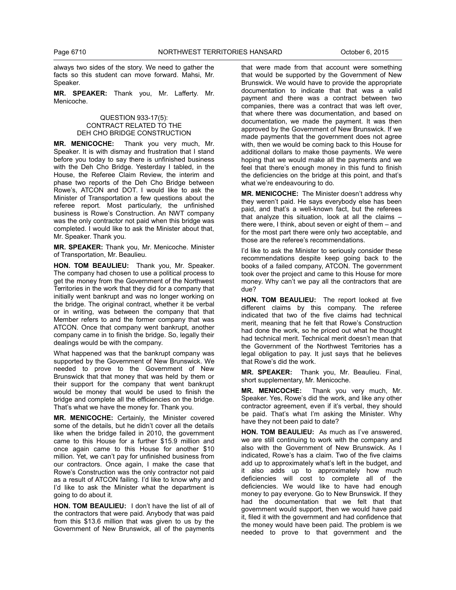always two sides of the story. We need to gather the facts so this student can move forward. Mahsi, Mr. Speaker.

**MR. SPEAKER:** Thank you, Mr. Lafferty. Mr. Menicoche.

# QUESTION 933-17(5): CONTRACT RELATED TO THE DEH CHO BRIDGE CONSTRUCTION

**MR. MENICOCHE:** Thank you very much, Mr. Speaker. It is with dismay and frustration that I stand before you today to say there is unfinished business with the Deh Cho Bridge. Yesterday I tabled, in the House, the Referee Claim Review, the interim and phase two reports of the Deh Cho Bridge between Rowe's, ATCON and DOT. I would like to ask the Minister of Transportation a few questions about the referee report. Most particularly, the unfinished business is Rowe's Construction. An NWT company was the only contractor not paid when this bridge was completed. I would like to ask the Minister about that, Mr. Speaker. Thank you.

**MR. SPEAKER:** Thank you, Mr. Menicoche. Minister of Transportation, Mr. Beaulieu.

**HON. TOM BEAULIEU:** Thank you, Mr. Speaker. The company had chosen to use a political process to get the money from the Government of the Northwest Territories in the work that they did for a company that initially went bankrupt and was no longer working on the bridge. The original contract, whether it be verbal or in writing, was between the company that that Member refers to and the former company that was ATCON. Once that company went bankrupt, another company came in to finish the bridge. So, legally their dealings would be with the company.

What happened was that the bankrupt company was supported by the Government of New Brunswick. We needed to prove to the Government of New Brunswick that that money that was held by them or their support for the company that went bankrupt would be money that would be used to finish the bridge and complete all the efficiencies on the bridge. That's what we have the money for. Thank you.

**MR. MENICOCHE:** Certainly, the Minister covered some of the details, but he didn't cover all the details like when the bridge failed in 2010, the government came to this House for a further \$15.9 million and once again came to this House for another \$10 million. Yet, we can't pay for unfinished business from our contractors. Once again, I make the case that Rowe's Construction was the only contractor not paid as a result of ATCON failing. I'd like to know why and I'd Iike to ask the Minister what the department is going to do about it.

**HON. TOM BEAULIEU:** I don't have the list of all of the contractors that were paid. Anybody that was paid from this \$13.6 million that was given to us by the Government of New Brunswick, all of the payments

that were made from that account were something that would be supported by the Government of New Brunswick. We would have to provide the appropriate documentation to indicate that that was a valid payment and there was a contract between two companies, there was a contract that was left over, that where there was documentation, and based on documentation, we made the payment. It was then approved by the Government of New Brunswick. If we made payments that the government does not agree with, then we would be coming back to this House for additional dollars to make those payments. We were hoping that we would make all the payments and we feel that there's enough money in this fund to finish the deficiencies on the bridge at this point, and that's what we're endeavouring to do.

**MR. MENICOCHE:** The Minister doesn't address why they weren't paid. He says everybody else has been paid, and that's a well-known fact, but the referees that analyze this situation, look at all the claims – there were, I think, about seven or eight of them – and for the most part there were only two acceptable, and those are the referee's recommendations.

I'd like to ask the Minister to seriously consider these recommendations despite keep going back to the books of a failed company, ATCON. The government took over the project and came to this House for more money. Why can't we pay all the contractors that are due?

**HON. TOM BEAULIEU:** The report looked at five different claims by this company. The referee indicated that two of the five claims had technical merit, meaning that he felt that Rowe's Construction had done the work, so he priced out what he thought had technical merit. Technical merit doesn't mean that the Government of the Northwest Territories has a legal obligation to pay. It just says that he believes that Rowe's did the work.

**MR. SPEAKER:** Thank you, Mr. Beaulieu. Final, short supplementary, Mr. Menicoche.

**MR. MENICOCHE:** Thank you very much, Mr. Speaker. Yes, Rowe's did the work, and like any other contractor agreement, even if it's verbal, they should be paid. That's what I'm asking the Minister. Why have they not been paid to date?

**HON. TOM BEAULIEU:** As much as I've answered, we are still continuing to work with the company and also with the Government of New Brunswick. As I indicated, Rowe's has a claim. Two of the five claims add up to approximately what's left in the budget, and it also adds up to approximately how much deficiencies will cost to complete all of the deficiencies. We would like to have had enough money to pay everyone. Go to New Brunswick. If they had the documentation that we felt that that government would support, then we would have paid it, filed it with the government and had confidence that the money would have been paid. The problem is we needed to prove to that government and the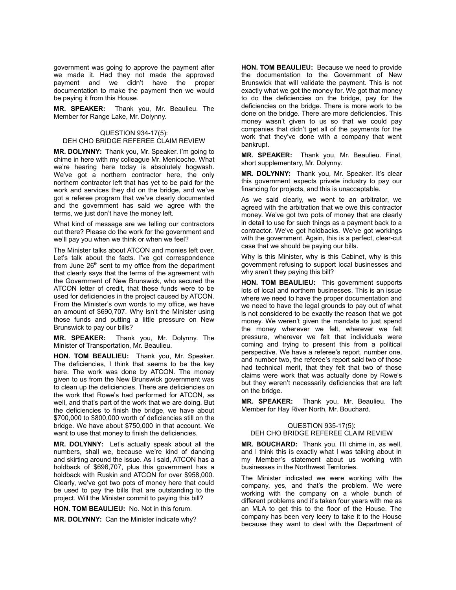government was going to approve the payment after we made it. Had they not made the approved payment and we didn't have the proper documentation to make the payment then we would be paying it from this House.

**MR. SPEAKER:** Thank you, Mr. Beaulieu. The Member for Range Lake, Mr. Dolynny.

# QUESTION 934-17(5): DEH CHO BRIDGE REFEREE CLAIM REVIEW

**MR. DOLYNNY:** Thank you, Mr. Speaker. I'm going to chime in here with my colleague Mr. Menicoche. What we're hearing here today is absolutely hogwash. We've got a northern contractor here, the only northern contractor left that has yet to be paid for the work and services they did on the bridge, and we've got a referee program that we've clearly documented and the government has said we agree with the terms, we just don't have the money left.

What kind of message are we telling our contractors out there? Please do the work for the government and we'll pay you when we think or when we feel?

The Minister talks about ATCON and monies left over. Let's talk about the facts. I've got correspondence from June  $26<sup>th</sup>$  sent to my office from the department that clearly says that the terms of the agreement with the Government of New Brunswick, who secured the ATCON letter of credit, that these funds were to be used for deficiencies in the project caused by ATCON. From the Minister's own words to my office, we have an amount of \$690,707. Why isn't the Minister using those funds and putting a little pressure on New Brunswick to pay our bills?

**MR. SPEAKER:** Thank you, Mr. Dolynny. The Minister of Transportation, Mr. Beaulieu.

**HON. TOM BEAULIEU:** Thank you, Mr. Speaker. The deficiencies, I think that seems to be the key here. The work was done by ATCON. The money given to us from the New Brunswick government was to clean up the deficiencies. There are deficiencies on the work that Rowe's had performed for ATCON, as well, and that's part of the work that we are doing. But the deficiencies to finish the bridge, we have about \$700,000 to \$800,000 worth of deficiencies still on the bridge. We have about \$750,000 in that account. We want to use that money to finish the deficiencies.

**MR. DOLYNNY:** Let's actually speak about all the numbers, shall we, because we're kind of dancing and skirting around the issue. As I said, ATCON has a holdback of \$696,707, plus this government has a holdback with Ruskin and ATCON for over \$958,000. Clearly, we've got two pots of money here that could be used to pay the bills that are outstanding to the project. Will the Minister commit to paying this bill?

**HON. TOM BEAULIEU:** No. Not in this forum.

**MR. DOLYNNY:** Can the Minister indicate why?

**HON. TOM BEAULIEU:** Because we need to provide the documentation to the Government of New Brunswick that will validate the payment. This is not exactly what we got the money for. We got that money to do the deficiencies on the bridge, pay for the deficiencies on the bridge. There is more work to be done on the bridge. There are more deficiencies. This money wasn't given to us so that we could pay companies that didn't get all of the payments for the work that they've done with a company that went bankrupt.

**MR. SPEAKER:** Thank you, Mr. Beaulieu. Final, short supplementary, Mr. Dolynny.

**MR. DOLYNNY:** Thank you, Mr. Speaker. It's clear this government expects private industry to pay our financing for projects, and this is unacceptable.

As we said clearly, we went to an arbitrator, we agreed with the arbitration that we owe this contractor money. We've got two pots of money that are clearly in detail to use for such things as a payment back to a contractor. We've got holdbacks. We've got workings with the government. Again, this is a perfect, clear-cut case that we should be paying our bills.

Why is this Minister, why is this Cabinet, why is this government refusing to support local businesses and why aren't they paying this bill?

**HON. TOM BEAULIEU:** This government supports lots of local and northern businesses. This is an issue where we need to have the proper documentation and we need to have the legal grounds to pay out of what is not considered to be exactly the reason that we got money. We weren't given the mandate to just spend the money wherever we felt, wherever we felt pressure, wherever we felt that individuals were coming and trying to present this from a political perspective. We have a referee's report, number one, and number two, the referee's report said two of those had technical merit, that they felt that two of those claims were work that was actually done by Rowe's but they weren't necessarily deficiencies that are left on the bridge.

**MR. SPEAKER:** Thank you, Mr. Beaulieu. The Member for Hay River North, Mr. Bouchard.

# QUESTION 935-17(5): DEH CHO BRIDGE REFEREE CLAIM REVIEW

**MR. BOUCHARD:** Thank you. I'll chime in, as well, and I think this is exactly what I was talking about in my Member's statement about us working with businesses in the Northwest Territories.

The Minister indicated we were working with the company, yes, and that's the problem. We were working with the company on a whole bunch of different problems and it's taken four years with me as an MLA to get this to the floor of the House. The company has been very leery to take it to the House because they want to deal with the Department of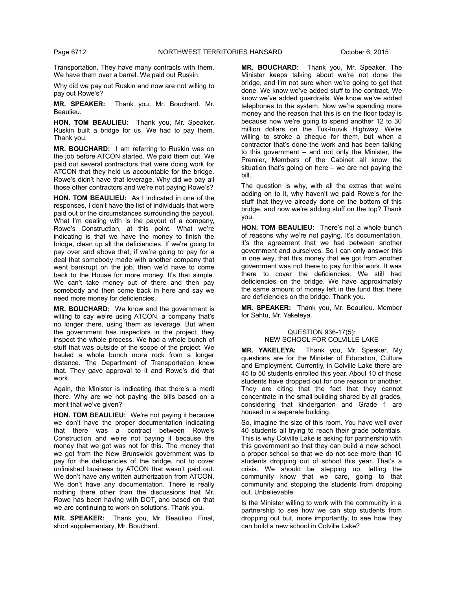Transportation. They have many contracts with them. We have them over a barrel. We paid out Ruskin.

Why did we pay out Ruskin and now are not willing to pay out Rowe's?

**MR. SPEAKER:** Thank you, Mr. Bouchard. Mr. Beaulieu.

**HON. TOM BEAULIEU:** Thank you, Mr. Speaker. Ruskin built a bridge for us. We had to pay them. Thank you.

**MR. BOUCHARD:** I am referring to Ruskin was on the job before ATCON started. We paid them out. We paid out several contractors that were doing work for ATCON that they held us accountable for the bridge. Rowe's didn't have that leverage. Why did we pay all those other contractors and we're not paying Rowe's?

**HON. TOM BEAULIEU:** As I indicated in one of the responses, I don't have the list of individuals that were paid out or the circumstances surrounding the payout. What I'm dealing with is the payout of a company, Rowe's Construction, at this point. What we're indicating is that we have the money to finish the bridge, clean up all the deficiencies. If we're going to pay over and above that, if we're going to pay for a deal that somebody made with another company that went bankrupt on the job, then we'd have to come back to the House for more money. It's that simple. We can't take money out of there and then pay somebody and then come back in here and say we need more money for deficiencies.

**MR. BOUCHARD:** We know and the government is willing to say we're using ATCON, a company that's no longer there, using them as leverage. But when the government has inspectors in the project, they inspect the whole process. We had a whole bunch of stuff that was outside of the scope of the project. We hauled a whole bunch more rock from a longer distance. The Department of Transportation knew that. They gave approval to it and Rowe's did that work.

Again, the Minister is indicating that there's a merit there. Why are we not paying the bills based on a merit that we've given?

**HON. TOM BEAULIEU:** We're not paying it because we don't have the proper documentation indicating that there was a contract between Rowe's Construction and we're not paying it because the money that we got was not for this. The money that we got from the New Brunswick government was to pay for the deficiencies of the bridge, not to cover unfinished business by ATCON that wasn't paid out. We don't have any written authorization from ATCON. We don't have any documentation. There is really nothing there other than the discussions that Mr. Rowe has been having with DOT, and based on that we are continuing to work on solutions. Thank you.

**MR. SPEAKER:** Thank you, Mr. Beaulieu. Final, short supplementary, Mr. Bouchard.

**MR. BOUCHARD:** Thank you, Mr. Speaker. The Minister keeps talking about we're not done the bridge, and I'm not sure when we're going to get that done. We know we've added stuff to the contract. We know we've added guardrails. We know we've added telephones to the system. Now we're spending more money and the reason that this is on the floor today is because now we're going to spend another 12 to 30 million dollars on the Tuk-Inuvik Highway. We're willing to stroke a cheque for them, but when a contractor that's done the work and has been talking to this government – and not only the Minister, the Premier, Members of the Cabinet all know the situation that's going on here – we are not paying the bill.

The question is why, with all the extras that we're adding on to it, why haven't we paid Rowe's for the stuff that they've already done on the bottom of this bridge, and now we're adding stuff on the top? Thank you.

**HON. TOM BEAULIEU:** There's not a whole bunch of reasons why we're not paying. It's documentation, it's the agreement that we had between another government and ourselves. So I can only answer this in one way, that this money that we got from another government was not there to pay for this work. It was there to cover the deficiencies. We still had deficiencies on the bridge. We have approximately the same amount of money left in the fund that there are deficiencies on the bridge. Thank you.

**MR. SPEAKER:** Thank you, Mr. Beaulieu. Member for Sahtu, Mr. Yakeleya.

# QUESTION 936-17(5): NEW SCHOOL FOR COLVILLE LAKE

**MR. YAKELEYA:** Thank you, Mr. Speaker. My questions are for the Minister of Education, Culture and Employment. Currently, in Colville Lake there are 45 to 50 students enrolled this year. About 10 of those students have dropped out for one reason or another. They are citing that the fact that they cannot concentrate in the small building shared by all grades, considering that kindergarten and Grade 1 are housed in a separate building.

So, imagine the size of this room. You have well over 40 students all trying to reach their grade potentials. This is why Colville Lake is asking for partnership with this government so that they can build a new school, a proper school so that we do not see more than 10 students dropping out of school this year. That's a crisis. We should be stepping up, letting the community know that we care, going to that community and stopping the students from dropping out. Unbelievable.

Is the Minister willing to work with the community in a partnership to see how we can stop students from dropping out but, more importantly, to see how they can build a new school in Colville Lake?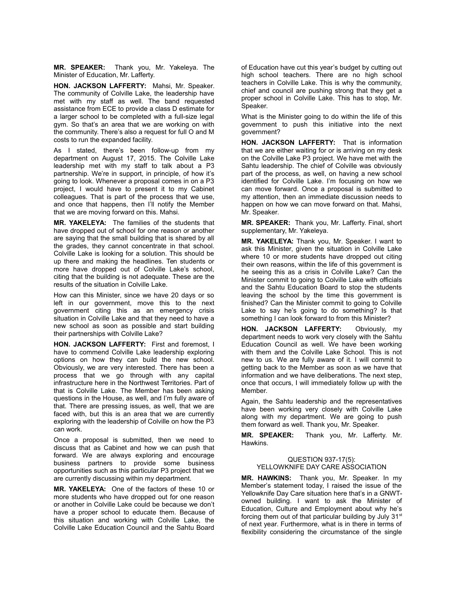**MR. SPEAKER:** Thank you, Mr. Yakeleya. The Minister of Education, Mr. Lafferty.

**HON. JACKSON LAFFERTY:** Mahsi, Mr. Speaker. The community of Colville Lake, the leadership have met with my staff as well. The band requested assistance from ECE to provide a class D estimate for a larger school to be completed with a full-size legal gym. So that's an area that we are working on with the community. There's also a request for full O and M costs to run the expanded facility.

As I stated, there's been follow-up from my department on August 17, 2015. The Colville Lake leadership met with my staff to talk about a P3 partnership. We're in support, in principle, of how it's going to look. Whenever a proposal comes in on a P3 project, I would have to present it to my Cabinet colleagues. That is part of the process that we use, and once that happens, then I'll notify the Member that we are moving forward on this. Mahsi.

**MR. YAKELEYA:** The families of the students that have dropped out of school for one reason or another are saying that the small building that is shared by all the grades, they cannot concentrate in that school. Colville Lake is looking for a solution. This should be up there and making the headlines. Ten students or more have dropped out of Colville Lake's school, citing that the building is not adequate. These are the results of the situation in Colville Lake.

How can this Minister, since we have 20 days or so left in our government, move this to the next government citing this as an emergency crisis situation in Colville Lake and that they need to have a new school as soon as possible and start building their partnerships with Colville Lake?

**HON. JACKSON LAFFERTY:** First and foremost, I have to commend Colville Lake leadership exploring options on how they can build the new school. Obviously, we are very interested. There has been a process that we go through with any capital infrastructure here in the Northwest Territories. Part of that is Colville Lake. The Member has been asking questions in the House, as well, and I'm fully aware of that. There are pressing issues, as well, that we are faced with, but this is an area that we are currently exploring with the leadership of Colville on how the P3 can work.

Once a proposal is submitted, then we need to discuss that as Cabinet and how we can push that forward. We are always exploring and encourage business partners to provide some business opportunities such as this particular P3 project that we are currently discussing within my department.

**MR. YAKELEYA:** One of the factors of these 10 or more students who have dropped out for one reason or another in Colville Lake could be because we don't have a proper school to educate them. Because of this situation and working with Colville Lake, the Colville Lake Education Council and the Sahtu Board

of Education have cut this year's budget by cutting out high school teachers. There are no high school teachers in Colville Lake. This is why the community, chief and council are pushing strong that they get a proper school in Colville Lake. This has to stop, Mr. Speaker.

What is the Minister going to do within the life of this government to push this initiative into the next government?

**HON. JACKSON LAFFERTY:** That is information that we are either waiting for or is arriving on my desk on the Colville Lake P3 project. We have met with the Sahtu leadership. The chief of Colville was obviously part of the process, as well, on having a new school identified for Colville Lake. I'm focusing on how we can move forward. Once a proposal is submitted to my attention, then an immediate discussion needs to happen on how we can move forward on that. Mahsi, Mr. Speaker.

**MR. SPEAKER:** Thank you, Mr. Lafferty. Final, short supplementary, Mr. Yakeleya.

**MR. YAKELEYA:** Thank you, Mr. Speaker. I want to ask this Minister, given the situation in Colville Lake where 10 or more students have dropped out citing their own reasons, within the life of this government is he seeing this as a crisis in Colville Lake? Can the Minister commit to going to Colville Lake with officials and the Sahtu Education Board to stop the students leaving the school by the time this government is finished? Can the Minister commit to going to Colville Lake to say he's going to do something? Is that something I can look forward to from this Minister?

**HON. JACKSON LAFFERTY:** Obviously, my department needs to work very closely with the Sahtu Education Council as well. We have been working with them and the Colville Lake School. This is not new to us. We are fully aware of it. I will commit to getting back to the Member as soon as we have that information and we have deliberations. The next step, once that occurs, I will immediately follow up with the Member.

Again, the Sahtu leadership and the representatives have been working very closely with Colville Lake along with my department. We are going to push them forward as well. Thank you, Mr. Speaker.

**MR. SPEAKER:** Thank you, Mr. Lafferty. Mr. Hawkins.

# QUESTION 937-17(5): YELLOWKNIFE DAY CARE ASSOCIATION

**MR. HAWKINS:** Thank you, Mr. Speaker. In my Member's statement today, I raised the issue of the Yellowknife Day Care situation here that's in a GNWTowned building. I want to ask the Minister of Education, Culture and Employment about why he's forcing them out of that particular building by July  $31<sup>st</sup>$ of next year. Furthermore, what is in there in terms of flexibility considering the circumstance of the single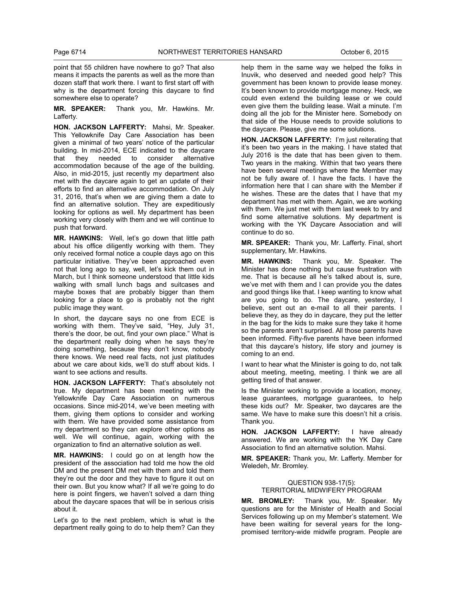point that 55 children have nowhere to go? That also means it impacts the parents as well as the more than dozen staff that work there. I want to first start off with why is the department forcing this daycare to find somewhere else to operate?

**MR. SPEAKER:** Thank you, Mr. Hawkins. Mr. Lafferty.

**HON. JACKSON LAFFERTY:** Mahsi, Mr. Speaker. This Yellowknife Day Care Association has been given a minimal of two years' notice of the particular building. In mid-2014, ECE indicated to the daycare<br>that they needed to consider alternative that they needed to consider alternative accommodation because of the age of the building. Also, in mid-2015, just recently my department also met with the daycare again to get an update of their efforts to find an alternative accommodation. On July 31, 2016, that's when we are giving them a date to find an alternative solution. They are expeditiously looking for options as well. My department has been working very closely with them and we will continue to push that forward.

**MR. HAWKINS:** Well, let's go down that little path about his office diligently working with them. They only received formal notice a couple days ago on this particular initiative. They've been approached even not that long ago to say, well, let's kick them out in March, but I think someone understood that little kids walking with small lunch bags and suitcases and maybe boxes that are probably bigger than them looking for a place to go is probably not the right public image they want.

In short, the daycare says no one from ECE is working with them. They've said, "Hey, July 31, there's the door, be out, find your own place." What is the department really doing when he says they're doing something, because they don't know, nobody there knows. We need real facts, not just platitudes about we care about kids, we'll do stuff about kids. I want to see actions and results.

**HON. JACKSON LAFFERTY:** That's absolutely not true. My department has been meeting with the Yellowknife Day Care Association on numerous occasions. Since mid-2014, we've been meeting with them, giving them options to consider and working with them. We have provided some assistance from my department so they can explore other options as well. We will continue, again, working with the organization to find an alternative solution as well.

**MR. HAWKINS:** I could go on at length how the president of the association had told me how the old DM and the present DM met with them and told them they're out the door and they have to figure it out on their own. But you know what? If all we're going to do here is point fingers, we haven't solved a darn thing about the daycare spaces that will be in serious crisis about it.

Let's go to the next problem, which is what is the department really going to do to help them? Can they

help them in the same way we helped the folks in Inuvik, who deserved and needed good help? This government has been known to provide lease money. It's been known to provide mortgage money. Heck, we could even extend the building lease or we could even give them the building lease. Wait a minute. I'm doing all the job for the Minister here. Somebody on that side of the House needs to provide solutions to the daycare. Please, give me some solutions.

**HON. JACKSON LAFFERTY:** I'm just reiterating that it's been two years in the making. I have stated that July 2016 is the date that has been given to them. Two years in the making. Within that two years there have been several meetings where the Member may not be fully aware of. I have the facts. I have the information here that I can share with the Member if he wishes. These are the dates that I have that my department has met with them. Again, we are working with them. We just met with them last week to try and find some alternative solutions. My department is working with the YK Daycare Association and will continue to do so.

**MR. SPEAKER:** Thank you, Mr. Lafferty. Final, short supplementary, Mr. Hawkins.

**MR. HAWKINS:** Thank you, Mr. Speaker. The Minister has done nothing but cause frustration with me. That is because all he's talked about is, sure, we've met with them and I can provide you the dates and good things like that. I keep wanting to know what are you going to do. The daycare, yesterday, I believe, sent out an e-mail to all their parents. I believe they, as they do in daycare, they put the letter in the bag for the kids to make sure they take it home so the parents aren't surprised. All those parents have been informed. Fifty-five parents have been informed that this daycare's history, life story and journey is coming to an end.

I want to hear what the Minister is going to do, not talk about meeting, meeting, meeting. I think we are all getting tired of that answer.

Is the Minister working to provide a location, money, lease guarantees, mortgage guarantees, to help these kids out? Mr. Speaker, two daycares are the same. We have to make sure this doesn't hit a crisis. Thank you.

**HON. JACKSON LAFFERTY:** I have already answered. We are working with the YK Day Care Association to find an alternative solution. Mahsi.

**MR. SPEAKER:** Thank you, Mr. Lafferty. Member for Weledeh, Mr. Bromley.

# QUESTION 938-17(5): TERRITORIAL MIDWIFERY PROGRAM

**MR. BROMLEY:** Thank you, Mr. Speaker. My questions are for the Minister of Health and Social Services following up on my Member's statement. We have been waiting for several years for the longpromised territory-wide midwife program. People are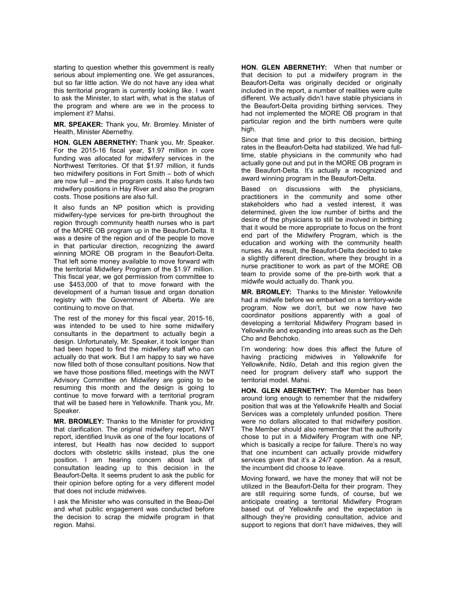starting to question whether this government is really serious about implementing one. We get assurances, but so far little action. We do not have any idea what this territorial program is currently looking like. I want to ask the Minister, to start with, what is the status of the program and where are we in the process to implement it? Mahsi.

**MR. SPEAKER:** Thank you, Mr. Bromley. Minister of Health, Minister Abernethy.

**HON. GLEN ABERNETHY:** Thank you, Mr. Speaker. For the 2015-16 fiscal year, \$1.97 million in core funding was allocated for midwifery services in the Northwest Territories. Of that \$1.97 million, it funds two midwifery positions in Fort Smith – both of which are now full – and the program costs. It also funds two midwifery positions in Hay River and also the program costs. Those positions are also full.

It also funds an NP position which is providing midwifery-type services for pre-birth throughout the region through community health nurses who is part of the MORE OB program up in the Beaufort-Delta. It was a desire of the region and of the people to move in that particular direction, recognizing the award winning MORE OB program in the Beaufort-Delta. That left some money available to move forward with the territorial Midwifery Program of the \$1.97 million. This fiscal year, we got permission from committee to use \$453,000 of that to move forward with the development of a human tissue and organ donation registry with the Government of Alberta. We are continuing to move on that.

The rest of the money for this fiscal year, 2015-16, was intended to be used to hire some midwifery consultants in the department to actually begin a design. Unfortunately, Mr. Speaker, it took longer than had been hoped to find the midwifery staff who can actually do that work. But I am happy to say we have now filled both of those consultant positions. Now that we have those positions filled, meetings with the NWT Advisory Committee on Midwifery are going to be resuming this month and the design is going to continue to move forward with a territorial program that will be based here in Yellowknife. Thank you, Mr. Speaker.

**MR. BROMLEY:** Thanks to the Minister for providing that clarification. The original midwifery report, NWT report, identified Inuvik as one of the four locations of interest, but Health has now decided to support doctors with obstetric skills instead, plus the one position. I am hearing concern about lack of consultation leading up to this decision in the Beaufort-Delta. It seems prudent to ask the public for their opinion before opting for a very different model that does not include midwives.

I ask the Minister who was consulted in the Beau-Del and what public engagement was conducted before the decision to scrap the midwife program in that region. Mahsi.

**HON. GLEN ABERNETHY:** When that number or that decision to put a midwifery program in the Beaufort-Delta was originally decided or originally included in the report, a number of realities were quite different. We actually didn't have stable physicians in the Beaufort-Delta providing birthing services. They had not implemented the MORE OB program in that particular region and the birth numbers were quite high.

Since that time and prior to this decision, birthing rates in the Beaufort-Delta had stabilized. We had fulltime, stable physicians in the community who had actually gone out and put in the MORE OB program in the Beaufort-Delta. It's actually a recognized and award winning program in the Beaufort-Delta.

Based on discussions with the physicians, practitioners in the community and some other stakeholders who had a vested interest, it was determined, given the low number of births and the desire of the physicians to still be involved in birthing that it would be more appropriate to focus on the front end part of the Midwifery Program, which is the education and working with the community health nurses. As a result, the Beaufort-Delta decided to take a slightly different direction, where they brought in a nurse practitioner to work as part of the MORE OB team to provide some of the pre-birth work that a midwife would actually do. Thank you.

**MR. BROMLEY:** Thanks to the Minister. Yellowknife had a midwife before we embarked on a territory-wide program. Now we don't, but we now have two coordinator positions apparently with a goal of developing a territorial Midwifery Program based in Yellowknife and expanding into areas such as the Deh Cho and Behchoko.

I'm wondering: how does this affect the future of having practicing midwives in Yellowknife for Yellowknife, Ndilo, Detah and this region given the need for program delivery staff who support the territorial model. Mahsi.

**HON. GLEN ABERNETHY:** The Member has been around long enough to remember that the midwifery position that was at the Yellowknife Health and Social Services was a completely unfunded position. There were no dollars allocated to that midwifery position. The Member should also remember that the authority chose to put in a Midwifery Program with one NP, which is basically a recipe for failure. There's no way that one incumbent can actually provide midwifery services given that it's a 24/7 operation. As a result, the incumbent did choose to leave.

Moving forward, we have the money that will not be utilized in the Beaufort-Delta for their program. They are still requiring some funds, of course, but we anticipate creating a territorial Midwifery Program based out of Yellowknife and the expectation is although they're providing consultation, advice and support to regions that don't have midwives, they will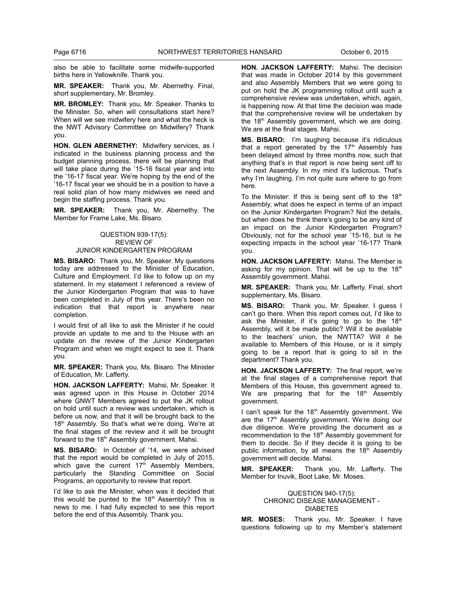also be able to facilitate some midwife-supported births here in Yellowknife. Thank you.

**MR. SPEAKER:** Thank you, Mr. Abernethy. Final, short supplementary, Mr. Bromley.

**MR. BROMLEY:** Thank you, Mr. Speaker. Thanks to the Minister. So, when will consultations start here? When will we see midwifery here and what the heck is the NWT Advisory Committee on Midwifery? Thank you.

**HON. GLEN ABERNETHY:** Midwifery services, as I indicated in the business planning process and the budget planning process, there will be planning that will take place during the '15-16 fiscal year and into the '16-17 fiscal year. We're hoping by the end of the '16-17 fiscal year we should be in a position to have a real solid plan of how many midwives we need and begin the staffing process. Thank you.

**MR. SPEAKER:** Thank you, Mr. Abernethy. The Member for Frame Lake, Ms. Bisaro.

> QUESTION 939-17(5): REVIEW OF JUNIOR KINDERGARTEN PROGRAM

**MS. BISARO:** Thank you, Mr. Speaker. My questions today are addressed to the Minister of Education, Culture and Employment. I'd like to follow up on my statement. In my statement I referenced a review of the Junior Kindergarten Program that was to have been completed in July of this year. There's been no indication that that report is anywhere near completion.

I would first of all like to ask the Minister if he could provide an update to me and to the House with an update on the review of the Junior Kindergarten Program and when we might expect to see it. Thank you.

**MR. SPEAKER:** Thank you, Ms. Bisaro. The Minister of Education, Mr. Lafferty.

**HON. JACKSON LAFFERTY:** Mahsi, Mr. Speaker. It was agreed upon in this House in October 2014 where GNWT Members agreed to put the JK rollout on hold until such a review was undertaken, which is before us now, and that it will be brought back to the 18<sup>th</sup> Assembly. So that's what we're doing. We're at the final stages of the review and it will be brought forward to the 18<sup>th</sup> Assembly government. Mahsi.

**MS. BISARO:** In October of '14, we were advised that the report would be completed in July of 2015, which gave the current  $17<sup>th</sup>$  Assembly Members, particularly the Standing Committee on Social Programs, an opportunity to review that report.

I'd like to ask the Minister, when was it decided that this would be punted to the  $18<sup>th</sup>$  Assembly? This is news to me. I had fully expected to see this report before the end of this Assembly. Thank you.

**HON. JACKSON LAFFERTY:** Mahsi. The decision that was made in October 2014 by this government and also Assembly Members that we were going to put on hold the JK programming rollout until such a comprehensive review was undertaken, which, again, is happening now. At that time the decision was made that the comprehensive review will be undertaken by the 18<sup>th</sup> Assembly government, which we are doing. We are at the final stages. Mahsi.

**MS. BISARO:** I'm laughing because it's ridiculous that a report generated by the  $17<sup>th</sup>$  Assembly has been delayed almost by three months now, such that anything that's in that report is now being sent off to the next Assembly. In my mind it's ludicrous. That's why I'm laughing. I'm not quite sure where to go from here.

To the Minister: If this is being sent off to the  $18<sup>th</sup>$ Assembly, what does he expect in terms of an impact on the Junior Kindergarten Program? Not the details, but when does he think there's going to be any kind of an impact on the Junior Kindergarten Program? Obviously, not for the school year '15-16, but is he expecting impacts in the school year '16-17? Thank you.

**HON. JACKSON LAFFERTY:** Mahsi. The Member is asking for my opinion. That will be up to the  $18<sup>th</sup>$ Assembly government. Mahsi.

**MR. SPEAKER:** Thank you, Mr. Lafferty. Final, short supplementary, Ms. Bisaro.

**MS. BISARO:** Thank you, Mr. Speaker. I guess I can't go there. When this report comes out, I'd like to ask the Minister, if it's going to go to the  $18<sup>th</sup>$ Assembly, will it be made public? Will it be available to the teachers' union, the NWTTA? Will it be available to Members of this House, or is it simply going to be a report that is going to sit in the department? Thank you.

**HON. JACKSON LAFFERTY:** The final report, we're at the final stages of a comprehensive report that Members of this House, this government agreed to. We are preparing that for the  $18<sup>th</sup>$  Assembly government.

I can't speak for the 18<sup>th</sup> Assembly government. We are the 17<sup>th</sup> Assembly government. We're doing our due diligence. We're providing the document as a recommendation to the 18<sup>th</sup> Assembly government for them to decide. So if they decide it is going to be public information, by all means the  $18<sup>th</sup>$  Assembly government will decide. Mahsi.

**MR. SPEAKER:** Thank you, Mr. Lafferty. The Member for Inuvik, Boot Lake, Mr. Moses.

# QUESTION 940-17(5): CHRONIC DISEASE MANAGEMENT - DIABETES

**MR. MOSES:** Thank you, Mr. Speaker. I have questions following up to my Member's statement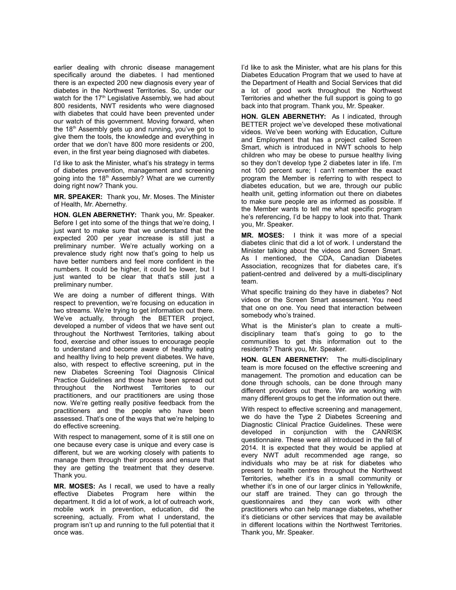earlier dealing with chronic disease management specifically around the diabetes. I had mentioned there is an expected 200 new diagnosis every year of diabetes in the Northwest Territories. So, under our watch for the 17<sup>th</sup> Legislative Assembly, we had about 800 residents, NWT residents who were diagnosed with diabetes that could have been prevented under our watch of this government. Moving forward, when the  $18<sup>th</sup>$  Assembly gets up and running, you've got to give them the tools, the knowledge and everything in order that we don't have 800 more residents or 200, even, in the first year being diagnosed with diabetes.

I'd like to ask the Minister, what's his strategy in terms of diabetes prevention, management and screening going into the 18<sup>th</sup> Assembly? What are we currently doing right now? Thank you.

**MR. SPEAKER:** Thank you, Mr. Moses. The Minister of Health, Mr. Abernethy.

**HON. GLEN ABERNETHY:** Thank you, Mr. Speaker. Before I get into some of the things that we're doing. I just want to make sure that we understand that the expected 200 per year increase is still just a preliminary number. We're actually working on a prevalence study right now that's going to help us have better numbers and feel more confident in the numbers. It could be higher, it could be lower, but I just wanted to be clear that that's still just a preliminary number.

We are doing a number of different things. With respect to prevention, we're focusing on education in two streams. We're trying to get information out there. We've actually, through the BETTER project, developed a number of videos that we have sent out throughout the Northwest Territories, talking about food, exercise and other issues to encourage people to understand and become aware of healthy eating and healthy living to help prevent diabetes. We have, also, with respect to effective screening, put in the new Diabetes Screening Tool Diagnosis Clinical Practice Guidelines and those have been spread out throughout the Northwest Territories to our practitioners, and our practitioners are using those now. We're getting really positive feedback from the practitioners and the people who have been assessed. That's one of the ways that we're helping to do effective screening.

With respect to management, some of it is still one on one because every case is unique and every case is different, but we are working closely with patients to manage them through their process and ensure that they are getting the treatment that they deserve. Thank you.

**MR. MOSES:** As I recall, we used to have a really effective Diabetes Program here within the department. It did a lot of work, a lot of outreach work, mobile work in prevention, education, did the screening, actually. From what I understand, the program isn't up and running to the full potential that it once was.

I'd like to ask the Minister, what are his plans for this Diabetes Education Program that we used to have at the Department of Health and Social Services that did a lot of good work throughout the Northwest Territories and whether the full support is going to go back into that program. Thank you, Mr. Speaker.

**HON. GLEN ABERNETHY:** As I indicated, through BETTER project we've developed these motivational videos. We've been working with Education, Culture and Employment that has a project called Screen Smart, which is introduced in NWT schools to help children who may be obese to pursue healthy living so they don't develop type 2 diabetes later in life. I'm not 100 percent sure; I can't remember the exact program the Member is referring to with respect to diabetes education, but we are, through our public health unit, getting information out there on diabetes to make sure people are as informed as possible. If the Member wants to tell me what specific program he's referencing, I'd be happy to look into that. Thank you, Mr. Speaker.

**MR. MOSES:** I think it was more of a special diabetes clinic that did a lot of work. I understand the Minister talking about the videos and Screen Smart. As I mentioned, the CDA, Canadian Diabetes Association, recognizes that for diabetes care, it's patient-centred and delivered by a multi-disciplinary team.

What specific training do they have in diabetes? Not videos or the Screen Smart assessment. You need that one on one. You need that interaction between somebody who's trained.

What is the Minister's plan to create a multidisciplinary team that's going to go to the communities to get this information out to the residents? Thank you, Mr. Speaker.

**HON. GLEN ABERNETHY:** The multi-disciplinary team is more focused on the effective screening and management. The promotion and education can be done through schools, can be done through many different providers out there. We are working with many different groups to get the information out there.

With respect to effective screening and management, we do have the Type 2 Diabetes Screening and Diagnostic Clinical Practice Guidelines. These were developed in conjunction with the CANRISK questionnaire. These were all introduced in the fall of 2014. It is expected that they would be applied at every NWT adult recommended age range, so individuals who may be at risk for diabetes who present to health centres throughout the Northwest Territories, whether it's in a small community or whether it's in one of our larger clinics in Yellowknife, our staff are trained. They can go through the questionnaires and they can work with other practitioners who can help manage diabetes, whether it's dieticians or other services that may be available in different locations within the Northwest Territories. Thank you, Mr. Speaker.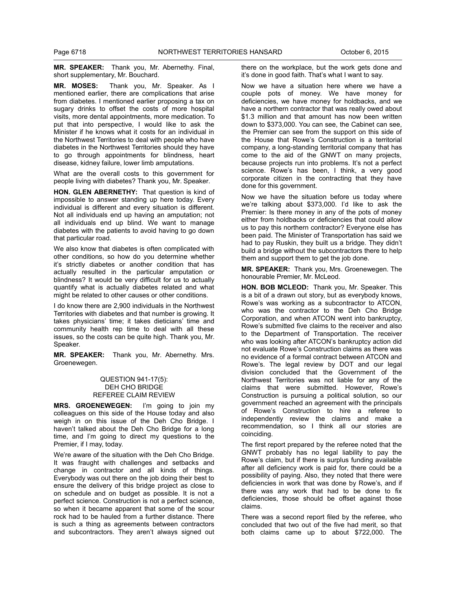**MR. SPEAKER:** Thank you, Mr. Abernethy. Final, short supplementary, Mr. Bouchard.

**MR. MOSES:** Thank you, Mr. Speaker. As I mentioned earlier, there are complications that arise from diabetes. I mentioned earlier proposing a tax on sugary drinks to offset the costs of more hospital visits, more dental appointments, more medication. To put that into perspective, I would like to ask the Minister if he knows what it costs for an individual in the Northwest Territories to deal with people who have diabetes in the Northwest Territories should they have to go through appointments for blindness, heart disease, kidney failure, lower limb amputations.

What are the overall costs to this government for people living with diabetes? Thank you, Mr. Speaker.

**HON. GLEN ABERNETHY:** That question is kind of impossible to answer standing up here today. Every individual is different and every situation is different. Not all individuals end up having an amputation; not all individuals end up blind. We want to manage diabetes with the patients to avoid having to go down that particular road.

We also know that diabetes is often complicated with other conditions, so how do you determine whether it's strictly diabetes or another condition that has actually resulted in the particular amputation or blindness? It would be very difficult for us to actually quantify what is actually diabetes related and what might be related to other causes or other conditions.

I do know there are 2,900 individuals in the Northwest Territories with diabetes and that number is growing. It takes physicians' time; it takes dieticians' time and community health rep time to deal with all these issues, so the costs can be quite high. Thank you, Mr. Speaker.

**MR. SPEAKER:** Thank you, Mr. Abernethy. Mrs. Groenewegen.

# QUESTION 941-17(5): DEH CHO BRIDGE REFEREE CLAIM REVIEW

**MRS. GROENEWEGEN:** I'm going to join my colleagues on this side of the House today and also weigh in on this issue of the Deh Cho Bridge. I haven't talked about the Deh Cho Bridge for a long time, and I'm going to direct my questions to the Premier, if I may, today.

We're aware of the situation with the Deh Cho Bridge. It was fraught with challenges and setbacks and change in contractor and all kinds of things. Everybody was out there on the job doing their best to ensure the delivery of this bridge project as close to on schedule and on budget as possible. It is not a perfect science. Construction is not a perfect science, so when it became apparent that some of the scour rock had to be hauled from a further distance. There is such a thing as agreements between contractors and subcontractors. They aren't always signed out there on the workplace, but the work gets done and it's done in good faith. That's what I want to say.

Now we have a situation here where we have a couple pots of money. We have money for deficiencies, we have money for holdbacks, and we have a northern contractor that was really owed about \$1.3 million and that amount has now been written down to \$373,000. You can see, the Cabinet can see, the Premier can see from the support on this side of the House that Rowe's Construction is a territorial company, a long-standing territorial company that has come to the aid of the GNWT on many projects, because projects run into problems. It's not a perfect science. Rowe's has been, I think, a very good corporate citizen in the contracting that they have done for this government.

Now we have the situation before us today where we're talking about \$373,000. I'd like to ask the Premier: Is there money in any of the pots of money either from holdbacks or deficiencies that could allow us to pay this northern contractor? Everyone else has been paid. The Minister of Transportation has said we had to pay Ruskin, they built us a bridge. They didn't build a bridge without the subcontractors there to help them and support them to get the job done.

**MR. SPEAKER:** Thank you, Mrs. Groenewegen. The honourable Premier, Mr. McLeod.

**HON. BOB MCLEOD:** Thank you, Mr. Speaker. This is a bit of a drawn out story, but as everybody knows, Rowe's was working as a subcontractor to ATCON, who was the contractor to the Deh Cho Bridge Corporation, and when ATCON went into bankruptcy, Rowe's submitted five claims to the receiver and also to the Department of Transportation. The receiver who was looking after ATCON's bankruptcy action did not evaluate Rowe's Construction claims as there was no evidence of a formal contract between ATCON and Rowe's. The legal review by DOT and our legal division concluded that the Government of the Northwest Territories was not liable for any of the claims that were submitted. However, Rowe's Construction is pursuing a political solution, so our government reached an agreement with the principals of Rowe's Construction to hire a referee to independently review the claims and make a recommendation, so I think all our stories are coinciding.

The first report prepared by the referee noted that the GNWT probably has no legal liability to pay the Rowe's claim, but if there is surplus funding available after all deficiency work is paid for, there could be a possibility of paying. Also, they noted that there were deficiencies in work that was done by Rowe's, and if there was any work that had to be done to fix deficiencies, those should be offset against those claims.

There was a second report filed by the referee, who concluded that two out of the five had merit, so that both claims came up to about \$722,000. The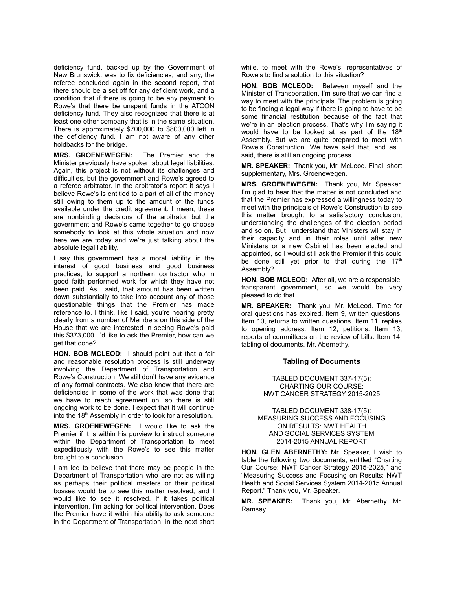deficiency fund, backed up by the Government of New Brunswick, was to fix deficiencies, and any, the referee concluded again in the second report, that there should be a set off for any deficient work, and a condition that if there is going to be any payment to Rowe's that there be unspent funds in the ATCON deficiency fund. They also recognized that there is at least one other company that is in the same situation. There is approximately \$700,000 to \$800,000 left in the deficiency fund. I am not aware of any other holdbacks for the bridge.

**MRS. GROENEWEGEN:** The Premier and the Minister previously have spoken about legal liabilities. Again, this project is not without its challenges and difficulties, but the government and Rowe's agreed to a referee arbitrator. In the arbitrator's report it says I believe Rowe's is entitled to a part of all of the money still owing to them up to the amount of the funds available under the credit agreement. I mean, these are nonbinding decisions of the arbitrator but the government and Rowe's came together to go choose somebody to look at this whole situation and now here we are today and we're just talking about the absolute legal liability.

I say this government has a moral liability, in the interest of good business and good business practices, to support a northern contractor who in good faith performed work for which they have not been paid. As I said, that amount has been written down substantially to take into account any of those questionable things that the Premier has made reference to. I think, like I said, you're hearing pretty clearly from a number of Members on this side of the House that we are interested in seeing Rowe's paid this \$373,000. I'd like to ask the Premier, how can we get that done?

**HON. BOB MCLEOD:** I should point out that a fair and reasonable resolution process is still underway involving the Department of Transportation and Rowe's Construction. We still don't have any evidence of any formal contracts. We also know that there are deficiencies in some of the work that was done that we have to reach agreement on, so there is still ongoing work to be done. I expect that it will continue into the 18<sup>th</sup> Assembly in order to look for a resolution.

**MRS. GROENEWEGEN:** I would like to ask the Premier if it is within his purview to instruct someone within the Department of Transportation to meet expeditiously with the Rowe's to see this matter brought to a conclusion.

I am led to believe that there may be people in the Department of Transportation who are not as willing as perhaps their political masters or their political bosses would be to see this matter resolved, and I would like to see it resolved. If it takes political intervention, I'm asking for political intervention. Does the Premier have it within his ability to ask someone in the Department of Transportation, in the next short while, to meet with the Rowe's, representatives of Rowe's to find a solution to this situation?

**HON. BOB MCLEOD:** Between myself and the Minister of Transportation, I'm sure that we can find a way to meet with the principals. The problem is going to be finding a legal way if there is going to have to be some financial restitution because of the fact that we're in an election process. That's why I'm saying it would have to be looked at as part of the 18<sup>th</sup> Assembly. But we are quite prepared to meet with Rowe's Construction. We have said that, and as I said, there is still an ongoing process.

**MR. SPEAKER:** Thank you, Mr. McLeod. Final, short supplementary, Mrs. Groenewegen.

**MRS. GROENEWEGEN:** Thank you, Mr. Speaker. I'm glad to hear that the matter is not concluded and that the Premier has expressed a willingness today to meet with the principals of Rowe's Construction to see this matter brought to a satisfactory conclusion, understanding the challenges of the election period and so on. But I understand that Ministers will stay in their capacity and in their roles until after new Ministers or a new Cabinet has been elected and appointed, so I would still ask the Premier if this could be done still yet prior to that during the  $17<sup>th</sup>$ Assembly?

**HON. BOB MCLEOD:** After all, we are a responsible, transparent government, so we would be very pleased to do that.

**MR. SPEAKER:** Thank you, Mr. McLeod. Time for oral questions has expired. Item 9, written questions. Item 10, returns to written questions. Item 11, replies to opening address. Item 12, petitions. Item 13, reports of committees on the review of bills. Item 14, tabling of documents. Mr. Abernethy.

# **Tabling of Documents**

TABLED DOCUMENT 337-17(5): CHARTING OUR COURSE: NWT CANCER STRATEGY 2015-2025

TABLED DOCUMENT 338-17(5): MEASURING SUCCESS AND FOCUSING ON RESULTS: NWT HEALTH AND SOCIAL SERVICES SYSTEM 2014-2015 ANNUAL REPORT

**HON. GLEN ABERNETHY:** Mr. Speaker, I wish to table the following two documents, entitled "Charting Our Course: NWT Cancer Strategy 2015-2025," and "Measuring Success and Focusing on Results: NWT Health and Social Services System 2014-2015 Annual Report." Thank you, Mr. Speaker.

**MR. SPEAKER:** Thank you, Mr. Abernethy. Mr. Ramsay.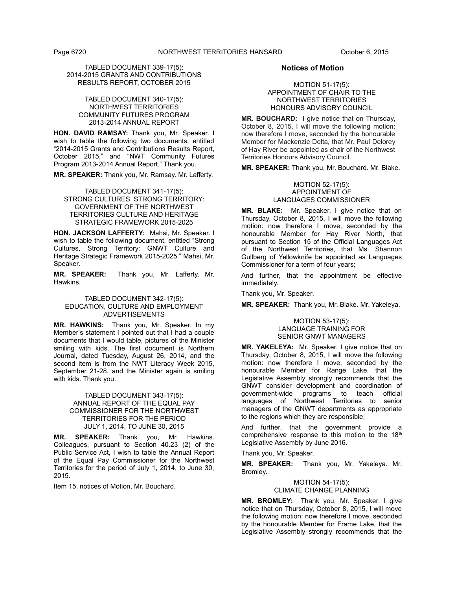# TABLED DOCUMENT 339-17(5): 2014-2015 GRANTS AND CONTRIBUTIONS RESULTS REPORT, OCTOBER 2015

# TABLED DOCUMENT 340-17(5): NORTHWEST TERRITORIES COMMUNITY FUTURES PROGRAM 2013-2014 ANNUAL REPORT

**HON. DAVID RAMSAY:** Thank you, Mr. Speaker. I wish to table the following two documents, entitled "2014-2015 Grants and Contributions Results Report, October 2015," and "NWT Community Futures Program 2013-2014 Annual Report." Thank you.

**MR. SPEAKER:** Thank you, Mr. Ramsay. Mr. Lafferty.

TABLED DOCUMENT 341-17(5): STRONG CULTURES, STRONG TERRITORY: GOVERNMENT OF THE NORTHWEST TERRITORIES CULTURE AND HERITAGE STRATEGIC FRAMEWORK 2015-2025

**HON. JACKSON LAFFERTY:** Mahsi, Mr. Speaker. I wish to table the following document, entitled "Strong Cultures, Strong Territory: GNWT Culture and Heritage Strategic Framework 2015-2025." Mahsi, Mr. Speaker.

**MR. SPEAKER:** Thank you, Mr. Lafferty. Mr. Hawkins.

# TABLED DOCUMENT 342-17(5): EDUCATION, CULTURE AND EMPLOYMENT ADVERTISEMENTS

**MR. HAWKINS:** Thank you, Mr. Speaker. In my Member's statement I pointed out that I had a couple documents that I would table, pictures of the Minister smiling with kids. The first document is Northern Journal, dated Tuesday, August 26, 2014, and the second item is from the NWT Literacy Week 2015, September 21-28, and the Minister again is smiling with kids. Thank you.

TABLED DOCUMENT 343-17(5): ANNUAL REPORT OF THE EQUAL PAY COMMISSIONER FOR THE NORTHWEST TERRITORIES FOR THE PERIOD JULY 1, 2014, TO JUNE 30, 2015

**MR. SPEAKER:** Thank you, Mr. Hawkins. Colleagues, pursuant to Section 40.23 (2) of the Public Service Act, I wish to table the Annual Report of the Equal Pay Commissioner for the Northwest Territories for the period of July 1, 2014, to June 30, 2015.

Item 15, notices of Motion, Mr. Bouchard.

# **Notices of Motion**

# MOTION 51-17(5): APPOINTMENT OF CHAIR TO THE NORTHWEST TERRITORIES HONOURS ADVISORY COUNCIL

**MR. BOUCHARD:** I give notice that on Thursday, October 8, 2015, I will move the following motion: now therefore I move, seconded by the honourable Member for Mackenzie Delta, that Mr. Paul Delorey of Hay River be appointed as chair of the Northwest Territories Honours Advisory Council.

**MR. SPEAKER:** Thank you, Mr. Bouchard. Mr. Blake.

#### MOTION 52-17(5): APPOINTMENT OF LANGUAGES COMMISSIONER

**MR. BLAKE:** Mr. Speaker, I give notice that on Thursday, October 8, 2015, I will move the following motion: now therefore I move, seconded by the honourable Member for Hay River North, that pursuant to Section 15 of the Official Languages Act of the Northwest Territories, that Ms. Shannon Gullberg of Yellowknife be appointed as Languages Commissioner for a term of four years;

And further, that the appointment be effective immediately.

Thank you, Mr. Speaker.

**MR. SPEAKER:** Thank you, Mr. Blake. Mr. Yakeleya.

# MOTION 53-17(5): LANGUAGE TRAINING FOR SENIOR GNWT MANAGERS

**MR. YAKELEYA:** Mr. Speaker, I give notice that on Thursday, October 8, 2015, I will move the following motion: now therefore I move, seconded by the honourable Member for Range Lake, that the Legislative Assembly strongly recommends that the GNWT consider development and coordination of government-wide programs to teach official languages of Northwest Territories to senior managers of the GNWT departments as appropriate to the regions which they are responsible;

And further, that the government provide a comprehensive response to this motion to the  $18<sup>th</sup>$ Legislative Assembly by June 2016.

Thank you, Mr. Speaker.

**MR. SPEAKER:** Thank you, Mr. Yakeleya. Mr. Bromley.

> MOTION 54-17(5): CLIMATE CHANGE PLANNING

**MR. BROMLEY:** Thank you, Mr. Speaker. I give notice that on Thursday, October 8, 2015, I will move the following motion: now therefore I move, seconded by the honourable Member for Frame Lake, that the Legislative Assembly strongly recommends that the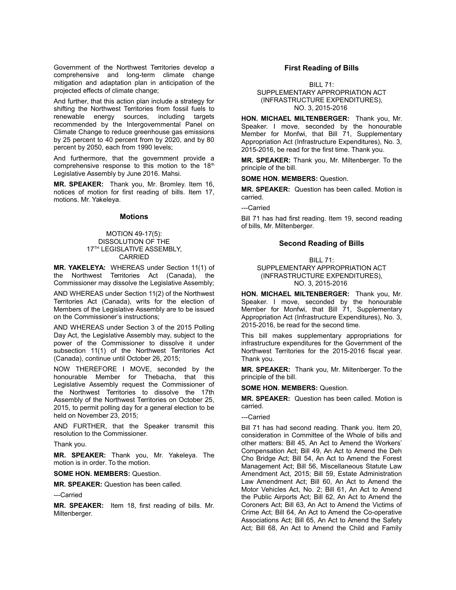Government of the Northwest Territories develop a comprehensive and long-term climate change mitigation and adaptation plan in anticipation of the projected effects of climate change;

And further, that this action plan include a strategy for shifting the Northwest Territories from fossil fuels to renewable energy sources, including targets recommended by the Intergovernmental Panel on Climate Change to reduce greenhouse gas emissions by 25 percent to 40 percent from by 2020, and by 80 percent by 2050, each from 1990 levels;

And furthermore, that the government provide a comprehensive response to this motion to the  $18<sup>th</sup>$ Legislative Assembly by June 2016. Mahsi.

**MR. SPEAKER:** Thank you, Mr. Bromley. Item 16, notices of motion for first reading of bills. Item 17, motions. Mr. Yakeleya.

#### **Motions**

# MOTION 49-17(5): DISSOLUTION OF THE 17<sup>TH</sup> LEGISLATIVE ASSEMBLY, CARRIED

**MR. YAKELEYA:** WHEREAS under Section 11(1) of the Northwest Territories Act (Canada), the Commissioner may dissolve the Legislative Assembly;

AND WHEREAS under Section 11(2) of the Northwest Territories Act (Canada), writs for the election of Members of the Legislative Assembly are to be issued on the Commissioner's instructions;

AND WHEREAS under Section 3 of the 2015 Polling Day Act, the Legislative Assembly may, subject to the power of the Commissioner to dissolve it under subsection 11(1) of the Northwest Territories Act (Canada), continue until October 26, 2015;

NOW THEREFORE I MOVE, seconded by the honourable Member for Thebacha, that this Legislative Assembly request the Commissioner of the Northwest Territories to dissolve the 17th Assembly of the Northwest Territories on October 25, 2015, to permit polling day for a general election to be held on November 23, 2015;

AND FURTHER, that the Speaker transmit this resolution to the Commissioner.

Thank you.

**MR. SPEAKER:** Thank you, Mr. Yakeleya. The motion is in order. To the motion.

**SOME HON. MEMBERS:** Question.

**MR. SPEAKER:** Question has been called.

---Carried

**MR. SPEAKER:** Item 18, first reading of bills. Mr. Miltenberger.

# **First Reading of Bills**

BILL 71: SUPPLEMENTARY APPROPRIATION ACT (INFRASTRUCTURE EXPENDITURES), NO. 3, 2015-2016

**HON. MICHAEL MILTENBERGER:** Thank you, Mr. Speaker. I move, seconded by the honourable Member for Monfwi, that Bill 71, Supplementary Appropriation Act (Infrastructure Expenditures), No. 3, 2015-2016, be read for the first time. Thank you.

**MR. SPEAKER:** Thank you, Mr. Miltenberger. To the principle of the bill.

**SOME HON. MEMBERS:** Question.

**MR. SPEAKER:** Question has been called. Motion is carried.

---Carried

Bill 71 has had first reading. Item 19, second reading of bills, Mr. Miltenberger.

#### **Second Reading of Bills**

BILL 71:

SUPPLEMENTARY APPROPRIATION ACT (INFRASTRUCTURE EXPENDITURES), NO. 3, 2015-2016

**HON. MICHAEL MILTENBERGER:** Thank you, Mr. Speaker. I move, seconded by the honourable Member for Monfwi, that Bill 71, Supplementary Appropriation Act (Infrastructure Expenditures), No. 3, 2015-2016, be read for the second time.

This bill makes supplementary appropriations for infrastructure expenditures for the Government of the Northwest Territories for the 2015-2016 fiscal year. Thank you.

**MR. SPEAKER:** Thank you, Mr. Miltenberger. To the principle of the bill.

**SOME HON. MEMBERS:** Question.

**MR. SPEAKER:** Question has been called. Motion is carried.

---Carried

Bill 71 has had second reading. Thank you. Item 20, consideration in Committee of the Whole of bills and other matters: Bill 45, An Act to Amend the Workers' Compensation Act; Bill 49, An Act to Amend the Deh Cho Bridge Act; Bill 54, An Act to Amend the Forest Management Act; Bill 56, Miscellaneous Statute Law Amendment Act, 2015; Bill 59, Estate Administration Law Amendment Act; Bill 60, An Act to Amend the Motor Vehicles Act, No. 2; Bill 61, An Act to Amend the Public Airports Act; Bill 62, An Act to Amend the Coroners Act; Bill 63, An Act to Amend the Victims of Crime Act; Bill 64, An Act to Amend the Co-operative Associations Act; Bill 65, An Act to Amend the Safety Act; Bill 68, An Act to Amend the Child and Family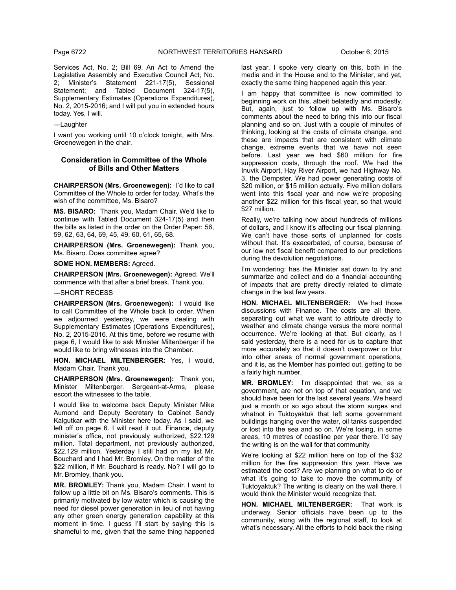Services Act, No. 2; Bill 69, An Act to Amend the Legislative Assembly and Executive Council Act, No. 2; Minister's Statement 221-17(5), Sessional Statement; and Tabled Document 324-17(5). Statement; and Tabled Supplementary Estimates (Operations Expenditures), No. 2, 2015-2016; and I will put you in extended hours today. Yes, I will.

---Laughter

I want you working until 10 o'clock tonight, with Mrs. Groenewegen in the chair.

# **Consideration in Committee of the Whole of Bills and Other Matters**

**CHAIRPERSON (Mrs. Groenewegen):** I'd like to call Committee of the Whole to order for today. What's the wish of the committee, Ms. Bisaro?

**MS. BISARO:** Thank you, Madam Chair. We'd like to continue with Tabled Document 324-17(5) and then the bills as listed in the order on the Order Paper: 56, 59, 62, 63, 64, 69, 45, 49, 60, 61, 65, 68.

**CHAIRPERSON (Mrs. Groenewegen):** Thank you, Ms. Bisaro. Does committee agree?

**SOME HON. MEMBERS:** Agreed.

**CHAIRPERSON (Mrs. Groenewegen):** Agreed. We'll commence with that after a brief break. Thank you.

#### ---SHORT RECESS

**CHAIRPERSON (Mrs. Groenewegen):** I would like to call Committee of the Whole back to order. When we adjourned yesterday, we were dealing with Supplementary Estimates (Operations Expenditures), No. 2, 2015-2016. At this time, before we resume with page 6, I would like to ask Minister Miltenberger if he would like to bring witnesses into the Chamber.

**HON. MICHAEL MILTENBERGER:** Yes, I would, Madam Chair. Thank you.

**CHAIRPERSON (Mrs. Groenewegen):** Thank you, Minister Miltenberger. Sergeant-at-Arms, please escort the witnesses to the table.

I would like to welcome back Deputy Minister Mike Aumond and Deputy Secretary to Cabinet Sandy Kalgutkar with the Minister here today. As I said, we left off on page 6. I will read it out. Finance, deputy minister's office, not previously authorized, \$22.129 million. Total department, not previously authorized, \$22.129 million. Yesterday I still had on my list Mr. Bouchard and I had Mr. Bromley. On the matter of the \$22 million, if Mr. Bouchard is ready. No? I will go to Mr. Bromley, thank you.

**MR. BROMLEY:** Thank you, Madam Chair. I want to follow up a little bit on Ms. Bisaro's comments. This is primarily motivated by low water which is causing the need for diesel power generation in lieu of not having any other green energy generation capability at this moment in time. I guess I'll start by saying this is shameful to me, given that the same thing happened

last year. I spoke very clearly on this, both in the media and in the House and to the Minister, and yet, exactly the same thing happened again this year.

I am happy that committee is now committed to beginning work on this, albeit belatedly and modestly. But, again, just to follow up with Ms. Bisaro's comments about the need to bring this into our fiscal planning and so on. Just with a couple of minutes of thinking, looking at the costs of climate change, and these are impacts that are consistent with climate change, extreme events that we have not seen before. Last year we had \$60 million for fire suppression costs, through the roof. We had the Inuvik Airport, Hay River Airport, we had Highway No. 3, the Dempster. We had power generating costs of \$20 million, or \$15 million actually. Five million dollars went into this fiscal year and now we're proposing another \$22 million for this fiscal year, so that would \$27 million.

Really, we're talking now about hundreds of millions of dollars, and I know it's affecting our fiscal planning. We can't have those sorts of unplanned for costs without that. It's exacerbated, of course, because of our low net fiscal benefit compared to our predictions during the devolution negotiations.

I'm wondering: has the Minister sat down to try and summarize and collect and do a financial accounting of impacts that are pretty directly related to climate change in the last few years.

**HON. MICHAEL MILTENBERGER:** We had those discussions with Finance. The costs are all there, separating out what we want to attribute directly to weather and climate change versus the more normal occurrence. We're looking at that. But clearly, as I said yesterday, there is a need for us to capture that more accurately so that it doesn't overpower or blur into other areas of normal government operations, and it is, as the Member has pointed out, getting to be a fairly high number.

**MR. BROMLEY:** I'm disappointed that we, as a government, are not on top of that equation, and we should have been for the last several years. We heard just a month or so ago about the storm surges and whatnot in Tuktoyaktuk that left some government buildings hanging over the water, oil tanks suspended or lost into the sea and so on. We're losing, in some areas, 10 metres of coastline per year there. I'd say the writing is on the wall for that community.

We're looking at \$22 million here on top of the \$32 million for the fire suppression this year. Have we estimated the cost? Are we planning on what to do or what it's going to take to move the community of Tuktoyaktuk? The writing is clearly on the wall there. I would think the Minister would recognize that.

**HON. MICHAEL MILTENBERGER:** That work is underway. Senior officials have been up to the community, along with the regional staff, to look at what's necessary. All the efforts to hold back the rising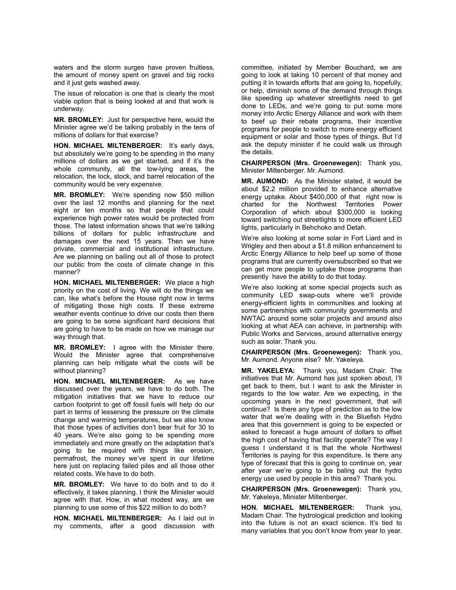waters and the storm surges have proven fruitless, the amount of money spent on gravel and big rocks and it just gets washed away.

The issue of relocation is one that is clearly the most viable option that is being looked at and that work is underway.

**MR. BROMLEY:** Just for perspective here, would the Minister agree we'd be talking probably in the tens of millions of dollars for that exercise?

**HON. MICHAEL MILTENBERGER:** It's early days, but absolutely we're going to be spending in the many millions of dollars as we get started, and if it's the whole community, all the low-lying areas, the relocation, the lock, stock, and barrel relocation of the community would be very expensive.

**MR. BROMLEY:** We're spending now \$50 million over the last 12 months and planning for the next eight or ten months so that people that could experience high power rates would be protected from those. The latest information shows that we're talking billions of dollars for public infrastructure and damages over the next 15 years. Then we have private, commercial and institutional infrastructure. Are we planning on bailing out all of those to protect our public from the costs of climate change in this manner?

**HON. MICHAEL MILTENBERGER:** We place a high priority on the cost of living. We will do the things we can, like what's before the House right now in terms of mitigating those high costs. If these extreme weather events continue to drive our costs then there are going to be some significant hard decisions that are going to have to be made on how we manage our way through that.

**MR. BROMLEY:** I agree with the Minister there. Would the Minister agree that comprehensive planning can help mitigate what the costs will be without planning?

**HON. MICHAEL MILTENBERGER:** As we have discussed over the years, we have to do both. The mitigation initiatives that we have to reduce our carbon footprint to get off fossil fuels will help do our part in terms of lessening the pressure on the climate change and warming temperatures, but we also know that those types of activities don't bear fruit for 30 to 40 years. We're also going to be spending more immediately and more greatly on the adaptation that's going to be required with things like erosion, permafrost, the money we've spent in our lifetime here just on replacing failed piles and all those other related costs. We have to do both.

**MR. BROMLEY:** We have to do both and to do it effectively, it takes planning. I think the Minister would agree with that. How, in what modest way, are we planning to use some of this \$22 million to do both?

**HON. MICHAEL MILTENBERGER:** As I laid out in my comments, after a good discussion with committee, initiated by Member Bouchard, we are going to look at taking 10 percent of that money and putting it in towards efforts that are going to, hopefully, or help, diminish some of the demand through things like speeding up whatever streetlights need to get done to LEDs, and we're going to put some more money into Arctic Energy Alliance and work with them to beef up their rebate programs, their incentive programs for people to switch to more energy efficient equipment or solar and those types of things. But I'd ask the deputy minister if he could walk us through the details.

**CHAIRPERSON (Mrs. Groenewegen):** Thank you, Minister Miltenberger. Mr. Aumond.

**MR. AUMOND:** As the Minister stated, it would be about \$2.2 million provided to enhance alternative energy uptake. About \$400,000 of that right now is charted for the Northwest Territories Power Corporation of which about \$300,000 is looking toward switching out streetlights to more efficient LED lights, particularly in Behchoko and Detah.

We're also looking at some solar in Fort Liard and in Wrigley and then about a \$1.8 million enhancement to Arctic Energy Alliance to help beef up some of those programs that are currently oversubscribed so that we can get more people to uptake those programs than presently have the ability to do that today.

We're also looking at some special projects such as community LED swap-outs where we'll provide energy-efficient lights in communities and looking at some partnerships with community governments and NWTAC around some solar projects and around also looking at what AEA can achieve, in partnership with Public Works and Services, around alternative energy such as solar. Thank you.

**CHAIRPERSON (Mrs. Groenewegen):** Thank you, Mr. Aumond. Anyone else? Mr. Yakeleya.

**MR. YAKELEYA:** Thank you, Madam Chair. The initiatives that Mr. Aumond has just spoken about, I'll get back to them, but I want to ask the Minister in regards to the low water. Are we expecting, in the upcoming years in the next government, that will continue? Is there any type of prediction as to the low water that we're dealing with in the Bluefish Hydro area that this government is going to be expected or asked to forecast a huge amount of dollars to offset the high cost of having that facility operate? The way I guess I understand it is that the whole Northwest Territories is paying for this expenditure. Is there any type of forecast that this is going to continue on, year after year we're going to be baling out the hydro energy use used by people in this area? Thank you.

**CHAIRPERSON (Mrs. Groenewegen):** Thank you, Mr. Yakeleya, Minister Miltenberger.

**HON. MICHAEL MILTENBERGER:** Thank you, Madam Chair. The hydrological prediction and looking into the future is not an exact science. It's tied to many variables that you don't know from year to year.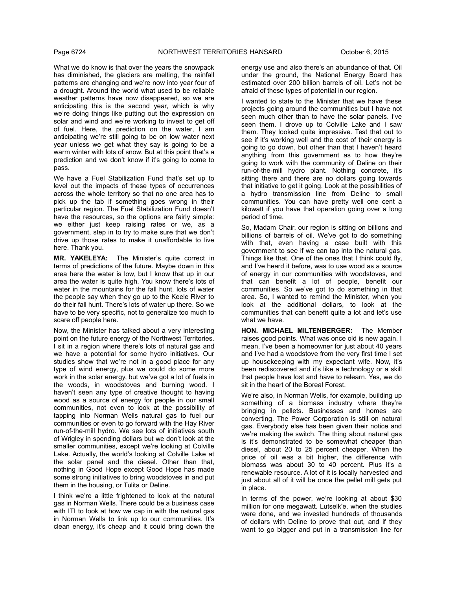What we do know is that over the years the snowpack has diminished, the glaciers are melting, the rainfall patterns are changing and we're now into year four of a drought. Around the world what used to be reliable weather patterns have now disappeared, so we are anticipating this is the second year, which is why we're doing things like putting out the expression on solar and wind and we're working to invest to get off of fuel. Here, the prediction on the water, I am anticipating we're still going to be on low water next year unless we get what they say is going to be a warm winter with lots of snow. But at this point that's a prediction and we don't know if it's going to come to pass.

We have a Fuel Stabilization Fund that's set up to level out the impacts of these types of occurrences across the whole territory so that no one area has to pick up the tab if something goes wrong in their particular region. The Fuel Stabilization Fund doesn't have the resources, so the options are fairly simple: we either just keep raising rates or we, as a government, step in to try to make sure that we don't drive up those rates to make it unaffordable to live here. Thank you.

**MR. YAKELEYA:** The Minister's quite correct in terms of predictions of the future. Maybe down in this area here the water is low, but I know that up in our area the water is quite high. You know there's lots of water in the mountains for the fall hunt, lots of water the people say when they go up to the Keele River to do their fall hunt. There's lots of water up there. So we have to be very specific, not to generalize too much to scare off people here.

Now, the Minister has talked about a very interesting point on the future energy of the Northwest Territories. I sit in a region where there's lots of natural gas and we have a potential for some hydro initiatives. Our studies show that we're not in a good place for any type of wind energy, plus we could do some more work in the solar energy, but we've got a lot of fuels in the woods, in woodstoves and burning wood. I haven't seen any type of creative thought to having wood as a source of energy for people in our small communities, not even to look at the possibility of tapping into Norman Wells natural gas to fuel our communities or even to go forward with the Hay River run-of-the-mill hydro. We see lots of initiatives south of Wrigley in spending dollars but we don't look at the smaller communities, except we're looking at Colville Lake. Actually, the world's looking at Colville Lake at the solar panel and the diesel. Other than that, nothing in Good Hope except Good Hope has made some strong initiatives to bring woodstoves in and put them in the housing, or Tulita or Deline.

I think we're a little frightened to look at the natural gas in Norman Wells. There could be a business case with ITI to look at how we cap in with the natural gas in Norman Wells to link up to our communities. It's clean energy, it's cheap and it could bring down the energy use and also there's an abundance of that. Oil under the ground, the National Energy Board has estimated over 200 billion barrels of oil. Let's not be afraid of these types of potential in our region.

I wanted to state to the Minister that we have these projects going around the communities but I have not seen much other than to have the solar panels. I've seen them. I drove up to Colville Lake and I saw them. They looked quite impressive. Test that out to see if it's working well and the cost of their energy is going to go down, but other than that I haven't heard anything from this government as to how they're going to work with the community of Deline on their run-of-the-mill hydro plant. Nothing concrete, it's sitting there and there are no dollars going towards that initiative to get it going. Look at the possibilities of a hydro transmission line from Deline to small communities. You can have pretty well one cent a kilowatt if you have that operation going over a long period of time.

So, Madam Chair, our region is sitting on billions and billions of barrels of oil. We've got to do something with that, even having a case built with this government to see if we can tap into the natural gas. Things like that. One of the ones that I think could fly, and I've heard it before, was to use wood as a source of energy in our communities with woodstoves, and that can benefit a lot of people, benefit our communities. So we've got to do something in that area. So, I wanted to remind the Minister, when you look at the additional dollars, to look at the communities that can benefit quite a lot and let's use what we have.

**HON. MICHAEL MILTENBERGER:** The Member raises good points. What was once old is new again. I mean. I've been a homeowner for just about 40 years and I've had a woodstove from the very first time I set up housekeeping with my expectant wife. Now, it's been rediscovered and it's like a technology or a skill that people have lost and have to relearn. Yes, we do sit in the heart of the Boreal Forest.

We're also, in Norman Wells, for example, building up something of a biomass industry where they're bringing in pellets. Businesses and homes are converting. The Power Corporation is still on natural gas. Everybody else has been given their notice and we're making the switch. The thing about natural gas is it's demonstrated to be somewhat cheaper than diesel, about 20 to 25 percent cheaper. When the price of oil was a bit higher, the difference with biomass was about 30 to 40 percent. Plus it's a renewable resource. A lot of it is locally harvested and just about all of it will be once the pellet mill gets put in place.

In terms of the power, we're looking at about \$30 million for one megawatt. Lutselk'e, when the studies were done, and we invested hundreds of thousands of dollars with Deline to prove that out, and if they want to go bigger and put in a transmission line for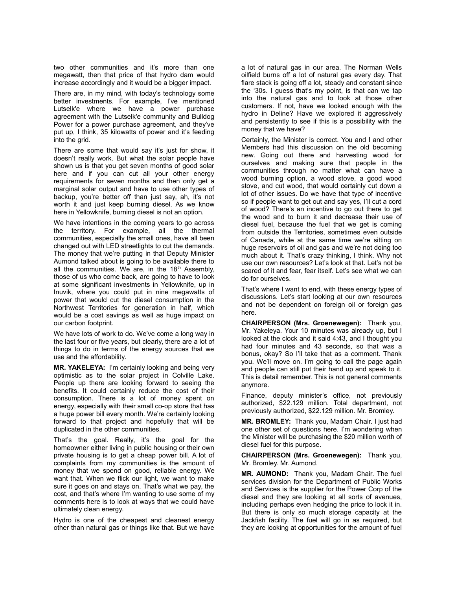two other communities and it's more than one megawatt, then that price of that hydro dam would increase accordingly and it would be a bigger impact.

There are, in my mind, with today's technology some better investments. For example, I've mentioned Lutselk'e where we have a power purchase agreement with the Lutselk'e community and Bulldog Power for a power purchase agreement, and they've put up, I think, 35 kilowatts of power and it's feeding into the grid.

There are some that would say it's just for show, it doesn't really work. But what the solar people have shown us is that you get seven months of good solar here and if you can cut all your other energy requirements for seven months and then only get a marginal solar output and have to use other types of backup, you're better off than just say, ah, it's not worth it and just keep burning diesel. As we know here in Yellowknife, burning diesel is not an option.

We have intentions in the coming years to go across the territory. For example, all the thermal communities, especially the small ones, have all been changed out with LED streetlights to cut the demands. The money that we're putting in that Deputy Minister Aumond talked about is going to be available there to all the communities. We are, in the  $18<sup>th</sup>$  Assembly, those of us who come back, are going to have to look at some significant investments in Yellowknife, up in Inuvik, where you could put in nine megawatts of power that would cut the diesel consumption in the Northwest Territories for generation in half, which would be a cost savings as well as huge impact on our carbon footprint.

We have lots of work to do. We've come a long way in the last four or five years, but clearly, there are a lot of things to do in terms of the energy sources that we use and the affordability.

**MR. YAKELEYA:** I'm certainly looking and being very optimistic as to the solar project in Colville Lake. People up there are looking forward to seeing the benefits. It could certainly reduce the cost of their consumption. There is a lot of money spent on energy, especially with their small co-op store that has a huge power bill every month. We're certainly looking forward to that project and hopefully that will be duplicated in the other communities.

That's the goal. Really, it's the goal for the homeowner either living in public housing or their own private housing is to get a cheap power bill. A lot of complaints from my communities is the amount of money that we spend on good, reliable energy. We want that. When we flick our light, we want to make sure it goes on and stays on. That's what we pay, the cost, and that's where I'm wanting to use some of my comments here is to look at ways that we could have ultimately clean energy.

Hydro is one of the cheapest and cleanest energy other than natural gas or things like that. But we have a lot of natural gas in our area. The Norman Wells oilfield burns off a lot of natural gas every day. That flare stack is going off a lot, steady and constant since the '30s. I guess that's my point, is that can we tap into the natural gas and to look at those other customers. If not, have we looked enough with the hydro in Deline? Have we explored it aggressively and persistently to see if this is a possibility with the money that we have?

Certainly, the Minister is correct. You and I and other Members had this discussion on the old becoming new. Going out there and harvesting wood for ourselves and making sure that people in the communities through no matter what can have a wood burning option, a wood stove, a good wood stove, and cut wood, that would certainly cut down a lot of other issues. Do we have that type of incentive so if people want to get out and say yes, I'll cut a cord of wood? There's an incentive to go out there to get the wood and to burn it and decrease their use of diesel fuel, because the fuel that we get is coming from outside the Territories, sometimes even outside of Canada, while at the same time we're sitting on huge reservoirs of oil and gas and we're not doing too much about it. That's crazy thinking, I think. Why not use our own resources? Let's look at that. Let's not be scared of it and fear, fear itself. Let's see what we can do for ourselves.

That's where I want to end, with these energy types of discussions. Let's start looking at our own resources and not be dependent on foreign oil or foreign gas here.

**CHAIRPERSON (Mrs. Groenewegen):** Thank you, Mr. Yakeleya. Your 10 minutes was already up, but I looked at the clock and it said 4:43, and I thought you had four minutes and 43 seconds, so that was a bonus, okay? So I'll take that as a comment. Thank you. We'll move on. I'm going to call the page again and people can still put their hand up and speak to it. This is detail remember. This is not general comments anymore.

Finance, deputy minister's office, not previously authorized, \$22.129 million. Total department, not previously authorized, \$22.129 million. Mr. Bromley.

**MR. BROMLEY:** Thank you, Madam Chair. I just had one other set of questions here. I'm wondering when the Minister will be purchasing the \$20 million worth of diesel fuel for this purpose.

**CHAIRPERSON (Mrs. Groenewegen):** Thank you, Mr. Bromley. Mr. Aumond.

**MR. AUMOND:** Thank you, Madam Chair. The fuel services division for the Department of Public Works and Services is the supplier for the Power Corp of the diesel and they are looking at all sorts of avenues, including perhaps even hedging the price to lock it in. But there is only so much storage capacity at the Jackfish facility. The fuel will go in as required, but they are looking at opportunities for the amount of fuel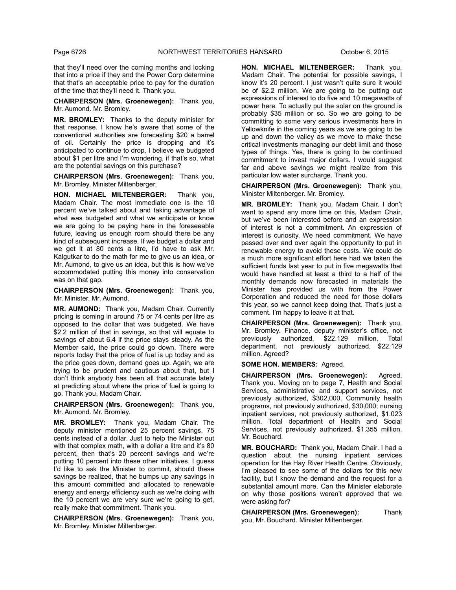that they'll need over the coming months and locking that into a price if they and the Power Corp determine that that's an acceptable price to pay for the duration of the time that they'll need it. Thank you.

**CHAIRPERSON (Mrs. Groenewegen):** Thank you, Mr. Aumond. Mr. Bromley.

**MR. BROMLEY:** Thanks to the deputy minister for that response. I know he's aware that some of the conventional authorities are forecasting \$20 a barrel of oil. Certainly the price is dropping and it's anticipated to continue to drop. I believe we budgeted about \$1 per litre and I'm wondering, if that's so, what are the potential savings on this purchase?

**CHAIRPERSON (Mrs. Groenewegen):** Thank you, Mr. Bromley. Minister Miltenberger.

**HON. MICHAEL MILTENBERGER:** Thank you, Madam Chair. The most immediate one is the 10 percent we've talked about and taking advantage of what was budgeted and what we anticipate or know we are going to be paying here in the foreseeable future, leaving us enough room should there be any kind of subsequent increase. If we budget a dollar and we get it at 80 cents a litre, I'd have to ask Mr. Kalgutkar to do the math for me to give us an idea, or Mr. Aumond, to give us an idea, but this is how we've accommodated putting this money into conservation was on that gap.

**CHAIRPERSON (Mrs. Groenewegen):** Thank you, Mr. Minister. Mr. Aumond.

**MR. AUMOND:** Thank you, Madam Chair. Currently pricing is coming in around 75 or 74 cents per litre as opposed to the dollar that was budgeted. We have \$2.2 million of that in savings, so that will equate to savings of about 6.4 if the price stays steady. As the Member said, the price could go down. There were reports today that the price of fuel is up today and as the price goes down, demand goes up. Again, we are trying to be prudent and cautious about that, but I don't think anybody has been all that accurate lately at predicting about where the price of fuel is going to go. Thank you, Madam Chair.

**CHAIRPERSON (Mrs. Groenewegen):** Thank you, Mr. Aumond. Mr. Bromley.

**MR. BROMLEY:** Thank you, Madam Chair. The deputy minister mentioned 25 percent savings, 75 cents instead of a dollar. Just to help the Minister out with that complex math, with a dollar a litre and it's 80 percent, then that's 20 percent savings and we're putting 10 percent into these other initiatives. I guess I'd like to ask the Minister to commit, should these savings be realized, that he bumps up any savings in this amount committed and allocated to renewable energy and energy efficiency such as we're doing with the 10 percent we are very sure we're going to get, really make that commitment. Thank you.

**CHAIRPERSON (Mrs. Groenewegen):** Thank you, Mr. Bromley. Minister Miltenberger.

**HON. MICHAEL MILTENBERGER:** Thank you, Madam Chair. The potential for possible savings, I know it's 20 percent. I just wasn't quite sure it would be of \$2.2 million. We are going to be putting out expressions of interest to do five and 10 megawatts of power here. To actually put the solar on the ground is probably \$35 million or so. So we are going to be committing to some very serious investments here in Yellowknife in the coming years as we are going to be up and down the valley as we move to make these critical investments managing our debt limit and those types of things. Yes, there is going to be continued commitment to invest major dollars. I would suggest far and above savings we might realize from this particular low water surcharge. Thank you.

**CHAIRPERSON (Mrs. Groenewegen):** Thank you, Minister Miltenberger. Mr. Bromley.

**MR. BROMLEY:** Thank you, Madam Chair. I don't want to spend any more time on this, Madam Chair, but we've been interested before and an expression of interest is not a commitment. An expression of interest is curiosity. We need commitment. We have passed over and over again the opportunity to put in renewable energy to avoid these costs. We could do a much more significant effort here had we taken the sufficient funds last year to put in five megawatts that would have handled at least a third to a half of the monthly demands now forecasted in materials the Minister has provided us with from the Power Corporation and reduced the need for those dollars this year, so we cannot keep doing that. That's just a comment. I'm happy to leave it at that.

**CHAIRPERSON (Mrs. Groenewegen):** Thank you, Mr. Bromley. Finance, deputy minister's office, not previously authorized, \$22.129 million. Total department, not previously authorized, \$22.129 million. Agreed?

**SOME HON. MEMBERS:** Agreed.

**CHAIRPERSON (Mrs. Groenewegen):** Agreed. Thank you. Moving on to page 7, Health and Social Services, administrative and support services, not previously authorized, \$302,000. Community health programs, not previously authorized, \$30,000; nursing inpatient services, not previously authorized, \$1.023 million. Total department of Health and Social Services, not previously authorized, \$1.355 million. Mr. Bouchard.

**MR. BOUCHARD:** Thank you, Madam Chair. I had a question about the nursing inpatient services operation for the Hay River Health Centre. Obviously, I'm pleased to see some of the dollars for this new facility, but I know the demand and the request for a substantial amount more. Can the Minister elaborate on why those positions weren't approved that we were asking for?

**CHAIRPERSON (Mrs. Groenewegen):** Thank you, Mr. Bouchard. Minister Miltenberger.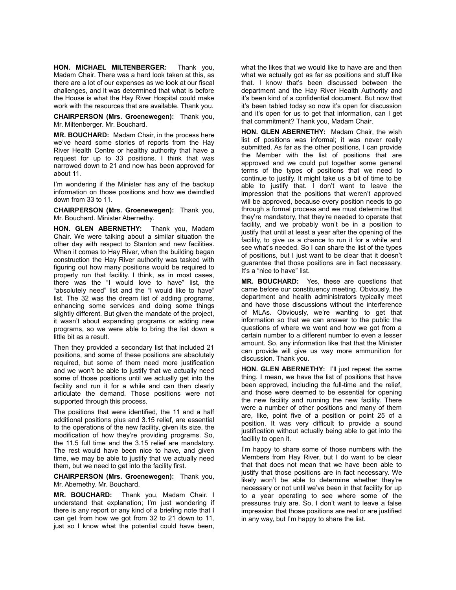**HON. MICHAEL MILTENBERGER:** Thank you, Madam Chair. There was a hard look taken at this, as there are a lot of our expenses as we look at our fiscal challenges, and it was determined that what is before the House is what the Hay River Hospital could make work with the resources that are available. Thank you.

**CHAIRPERSON (Mrs. Groenewegen):** Thank you, Mr. Miltenberger. Mr. Bouchard.

**MR. BOUCHARD:** Madam Chair, in the process here we've heard some stories of reports from the Hay River Health Centre or healthy authority that have a request for up to 33 positions. I think that was narrowed down to 21 and now has been approved for about 11.

I'm wondering if the Minister has any of the backup information on those positions and how we dwindled down from 33 to 11.

**CHAIRPERSON (Mrs. Groenewegen):** Thank you, Mr. Bouchard. Minister Abernethy.

**HON. GLEN ABERNETHY:** Thank you, Madam Chair. We were talking about a similar situation the other day with respect to Stanton and new facilities. When it comes to Hay River, when the building began construction the Hay River authority was tasked with figuring out how many positions would be required to properly run that facility. I think, as in most cases, there was the "I would love to have" list, the "absolutely need" list and the "I would like to have" list. The 32 was the dream list of adding programs, enhancing some services and doing some things slightly different. But given the mandate of the project, it wasn't about expanding programs or adding new programs, so we were able to bring the list down a little bit as a result.

Then they provided a secondary list that included 21 positions, and some of these positions are absolutely required, but some of them need more justification and we won't be able to justify that we actually need some of those positions until we actually get into the facility and run it for a while and can then clearly articulate the demand. Those positions were not supported through this process.

The positions that were identified, the 11 and a half additional positions plus and 3.15 relief, are essential to the operations of the new facility, given its size, the modification of how they're providing programs. So, the 11.5 full time and the 3.15 relief are mandatory. The rest would have been nice to have, and given time, we may be able to justify that we actually need them, but we need to get into the facility first.

**CHAIRPERSON (Mrs. Groenewegen):** Thank you, Mr. Abernethy. Mr. Bouchard.

**MR. BOUCHARD:** Thank you, Madam Chair. I understand that explanation; I'm just wondering if there is any report or any kind of a briefing note that I can get from how we got from 32 to 21 down to 11, just so I know what the potential could have been,

what the likes that we would like to have are and then what we actually got as far as positions and stuff like that. I know that's been discussed between the department and the Hay River Health Authority and it's been kind of a confidential document. But now that it's been tabled today so now it's open for discussion and it's open for us to get that information, can I get that commitment? Thank you, Madam Chair.

**HON. GLEN ABERNETHY:** Madam Chair, the wish list of positions was informal; it was never really submitted. As far as the other positions, I can provide the Member with the list of positions that are approved and we could put together some general terms of the types of positions that we need to continue to justify. It might take us a bit of time to be able to justify that. I don't want to leave the impression that the positions that weren't approved will be approved, because every position needs to go through a formal process and we must determine that they're mandatory, that they're needed to operate that facility, and we probably won't be in a position to justify that until at least a year after the opening of the facility, to give us a chance to run it for a while and see what's needed. So I can share the list of the types of positions, but I just want to be clear that it doesn't guarantee that those positions are in fact necessary. It's a "nice to have" list.

**MR. BOUCHARD:** Yes, these are questions that came before our constituency meeting. Obviously, the department and health administrators typically meet and have those discussions without the interference of MLAs. Obviously, we're wanting to get that information so that we can answer to the public the questions of where we went and how we got from a certain number to a different number to even a lesser amount. So, any information like that that the Minister can provide will give us way more ammunition for discussion. Thank you.

**HON. GLEN ABERNETHY:** I'll just repeat the same thing. I mean, we have the list of positions that have been approved, including the full-time and the relief, and those were deemed to be essential for opening the new facility and running the new facility. There were a number of other positions and many of them are, like, point five of a position or point 25 of a position. It was very difficult to provide a sound justification without actually being able to get into the facility to open it.

I'm happy to share some of those numbers with the Members from Hay River, but I do want to be clear that that does not mean that we have been able to justify that those positions are in fact necessary. We likely won't be able to determine whether they're necessary or not until we've been in that facility for up to a year operating to see where some of the pressures truly are. So, I don't want to leave a false impression that those positions are real or are justified in any way, but I'm happy to share the list.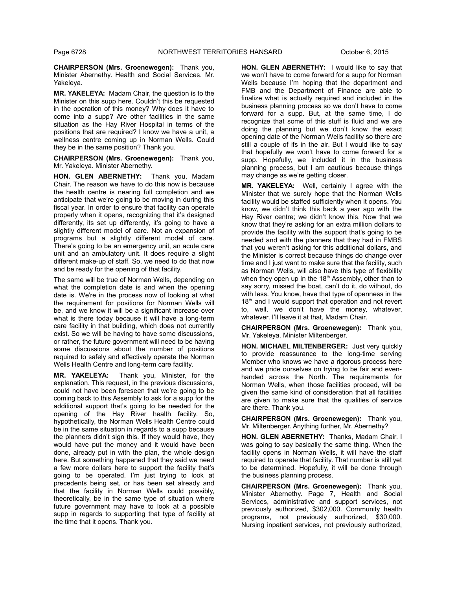**CHAIRPERSON (Mrs. Groenewegen):** Thank you, Minister Abernethy. Health and Social Services. Mr. Yakeleya.

**MR. YAKELEYA:** Madam Chair, the question is to the Minister on this supp here. Couldn't this be requested in the operation of this money? Why does it have to come into a supp? Are other facilities in the same situation as the Hay River Hospital in terms of the positions that are required? I know we have a unit, a wellness centre coming up in Norman Wells. Could they be in the same position? Thank you.

**CHAIRPERSON (Mrs. Groenewegen):** Thank you, Mr. Yakeleya. Minister Abernethy.

**HON. GLEN ABERNETHY:** Thank you, Madam Chair. The reason we have to do this now is because the health centre is nearing full completion and we anticipate that we're going to be moving in during this fiscal year. In order to ensure that facility can operate properly when it opens, recognizing that it's designed differently, its set up differently, it's going to have a slightly different model of care. Not an expansion of programs but a slightly different model of care. There's going to be an emergency unit, an acute care unit and an ambulatory unit. It does require a slight different make-up of staff. So, we need to do that now and be ready for the opening of that facility.

The same will be true of Norman Wells, depending on what the completion date is and when the opening date is. We're in the process now of looking at what the requirement for positions for Norman Wells will be, and we know it will be a significant increase over what is there today because it will have a long-term care facility in that building, which does not currently exist. So we will be having to have some discussions, or rather, the future government will need to be having some discussions about the number of positions required to safely and effectively operate the Norman Wells Health Centre and long-term care facility.

**MR. YAKELEYA:** Thank you, Minister, for the explanation. This request, in the previous discussions, could not have been foreseen that we're going to be coming back to this Assembly to ask for a supp for the additional support that's going to be needed for the opening of the Hay River health facility. So, hypothetically, the Norman Wells Health Centre could be in the same situation in regards to a supp because the planners didn't sign this. If they would have, they would have put the money and it would have been done, already put in with the plan, the whole design here. But something happened that they said we need a few more dollars here to support the facility that's going to be operated. I'm just trying to look at precedents being set, or has been set already and that the facility in Norman Wells could possibly, theoretically, be in the same type of situation where future government may have to look at a possible supp in regards to supporting that type of facility at the time that it opens. Thank you.

**HON. GLEN ABERNETHY:** I would like to say that we won't have to come forward for a supp for Norman Wells because I'm hoping that the department and FMB and the Department of Finance are able to finalize what is actually required and included in the business planning process so we don't have to come forward for a supp. But, at the same time, I do recognize that some of this stuff is fluid and we are doing the planning but we don't know the exact opening date of the Norman Wells facility so there are still a couple of ifs in the air. But I would like to say that hopefully we won't have to come forward for a supp. Hopefully, we included it in the business planning process, but I am cautious because things may change as we're getting closer.

**MR. YAKELEYA:** Well, certainly I agree with the Minister that we surely hope that the Norman Wells facility would be staffed sufficiently when it opens. You know, we didn't think this back a year ago with the Hay River centre; we didn't know this. Now that we know that they're asking for an extra million dollars to provide the facility with the support that's going to be needed and with the planners that they had in FMBS that you weren't asking for this additional dollars, and the Minister is correct because things do change over time and I just want to make sure that the facility, such as Norman Wells, will also have this type of flexibility when they open up in the 18<sup>th</sup> Assembly, other than to say sorry, missed the boat, can't do it, do without, do with less. You know, have that type of openness in the 18<sup>th</sup> and I would support that operation and not revert to, well, we don't have the money, whatever, whatever. I'll leave it at that, Madam Chair.

**CHAIRPERSON (Mrs. Groenewegen):** Thank you, Mr. Yakeleya. Minister Miltenberger.

**HON. MICHAEL MILTENBERGER:** Just very quickly to provide reassurance to the long-time serving Member who knows we have a rigorous process here and we pride ourselves on trying to be fair and evenhanded across the North. The requirements for Norman Wells, when those facilities proceed, will be given the same kind of consideration that all facilities are given to make sure that the qualities of service are there. Thank you.

**CHAIRPERSON (Mrs. Groenewegen):** Thank you, Mr. Miltenberger. Anything further, Mr. Abernethy?

**HON. GLEN ABERNETHY:** Thanks, Madam Chair. I was going to say basically the same thing. When the facility opens in Norman Wells, it will have the staff required to operate that facility. That number is still yet to be determined. Hopefully, it will be done through the business planning process.

**CHAIRPERSON (Mrs. Groenewegen):** Thank you, Minister Abernethy. Page 7, Health and Social Services, administrative and support services, not previously authorized, \$302,000. Community health programs, not previously authorized, \$30,000. Nursing inpatient services, not previously authorized,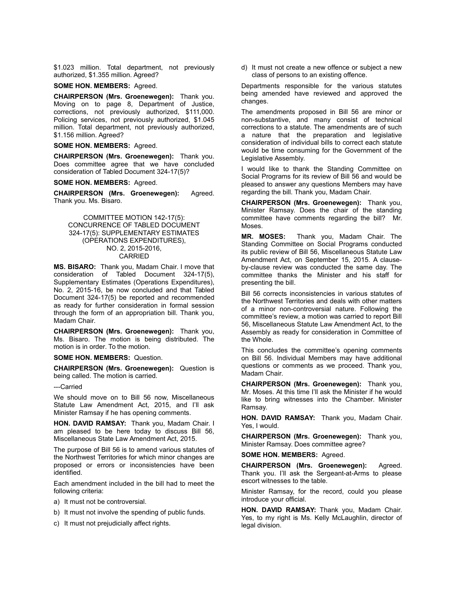\$1.023 million. Total department, not previously authorized, \$1.355 million. Agreed?

# **SOME HON. MEMBERS:** Agreed.

**CHAIRPERSON (Mrs. Groenewegen):** Thank you. Moving on to page 8, Department of Justice, corrections, not previously authorized, \$111,000. Policing services, not previously authorized, \$1.045 million. Total department, not previously authorized, \$1.156 million. Agreed?

# **SOME HON. MEMBERS:** Agreed.

**CHAIRPERSON (Mrs. Groenewegen):** Thank you. Does committee agree that we have concluded consideration of Tabled Document 324-17(5)?

#### **SOME HON. MEMBERS:** Agreed.

**CHAIRPERSON (Mrs. Groenewegen):** Agreed. Thank you. Ms. Bisaro.

#### COMMITTEE MOTION 142-17(5): CONCURRENCE OF TABLED DOCUMENT 324-17(5): SUPPLEMENTARY ESTIMATES (OPERATIONS EXPENDITURES), NO. 2, 2015-2016, CARRIED

**MS. BISARO:** Thank you, Madam Chair. I move that consideration of Tabled Document 324-17(5), Supplementary Estimates (Operations Expenditures), No. 2, 2015-16, be now concluded and that Tabled Document 324-17(5) be reported and recommended as ready for further consideration in formal session through the form of an appropriation bill. Thank you, Madam Chair.

**CHAIRPERSON (Mrs. Groenewegen):** Thank you, Ms. Bisaro. The motion is being distributed. The motion is in order. To the motion.

#### **SOME HON. MEMBERS:** Question.

**CHAIRPERSON (Mrs. Groenewegen):** Question is being called. The motion is carried.

#### ---Carried

We should move on to Bill 56 now, Miscellaneous Statute Law Amendment Act, 2015, and I'll ask Minister Ramsay if he has opening comments.

**HON. DAVID RAMSAY:** Thank you, Madam Chair. I am pleased to be here today to discuss Bill 56, Miscellaneous State Law Amendment Act, 2015.

The purpose of Bill 56 is to amend various statutes of the Northwest Territories for which minor changes are proposed or errors or inconsistencies have been identified.

Each amendment included in the bill had to meet the following criteria:

- a) It must not be controversial.
- b) It must not involve the spending of public funds.
- c) It must not prejudicially affect rights.

d) It must not create a new offence or subject a new class of persons to an existing offence.

Departments responsible for the various statutes being amended have reviewed and approved the changes.

The amendments proposed in Bill 56 are minor or non-substantive, and many consist of technical corrections to a statute. The amendments are of such a nature that the preparation and legislative consideration of individual bills to correct each statute would be time consuming for the Government of the Legislative Assembly.

I would like to thank the Standing Committee on Social Programs for its review of Bill 56 and would be pleased to answer any questions Members may have regarding the bill. Thank you, Madam Chair.

**CHAIRPERSON (Mrs. Groenewegen):** Thank you, Minister Ramsay. Does the chair of the standing committee have comments regarding the bill? Mr. Moses.

**MR. MOSES:** Thank you, Madam Chair. The Standing Committee on Social Programs conducted its public review of Bill 56, Miscellaneous Statute Law Amendment Act, on September 15, 2015. A clauseby-clause review was conducted the same day. The committee thanks the Minister and his staff for presenting the bill.

Bill 56 corrects inconsistencies in various statutes of the Northwest Territories and deals with other matters of a minor non-controversial nature. Following the committee's review, a motion was carried to report Bill 56, Miscellaneous Statute Law Amendment Act, to the Assembly as ready for consideration in Committee of the Whole.

This concludes the committee's opening comments on Bill 56. Individual Members may have additional questions or comments as we proceed. Thank you, Madam Chair.

**CHAIRPERSON (Mrs. Groenewegen):** Thank you, Mr. Moses. At this time I'll ask the Minister if he would like to bring witnesses into the Chamber. Minister Ramsay.

**HON. DAVID RAMSAY:** Thank you, Madam Chair. Yes, I would.

**CHAIRPERSON (Mrs. Groenewegen):** Thank you, Minister Ramsay. Does committee agree?

**SOME HON. MEMBERS:** Agreed.

**CHAIRPERSON (Mrs. Groenewegen):** Agreed. Thank you. I'll ask the Sergeant-at-Arms to please escort witnesses to the table.

Minister Ramsay, for the record, could you please introduce your official.

**HON. DAVID RAMSAY:** Thank you, Madam Chair. Yes, to my right is Ms. Kelly McLaughlin, director of legal division.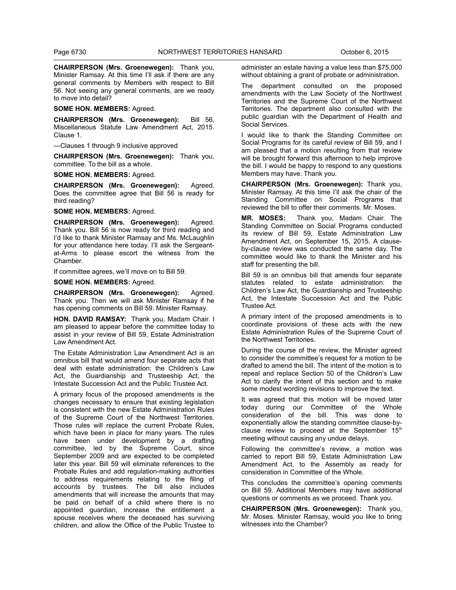**CHAIRPERSON (Mrs. Groenewegen):** Thank you, Minister Ramsay. At this time I'll ask if there are any general comments by Members with respect to Bill 56. Not seeing any general comments, are we ready to move into detail?

#### **SOME HON. MEMBERS:** Agreed.

**CHAIRPERSON (Mrs. Groenewegen):** Bill 56, Miscellaneous Statute Law Amendment Act, 2015. Clause 1.

---Clauses 1 through 9 inclusive approved

**CHAIRPERSON (Mrs. Groenewegen):** Thank you, committee. To the bill as a whole.

**SOME HON. MEMBERS:** Agreed.

**CHAIRPERSON (Mrs. Groenewegen):** Agreed. Does the committee agree that Bill 56 is ready for third reading?

**SOME HON. MEMBERS:** Agreed.

**CHAIRPERSON (Mrs. Groenewegen):** Agreed. Thank you. Bill 56 is now ready for third reading and I'd like to thank Minister Ramsay and Ms. McLaughlin for your attendance here today. I'll ask the Sergeantat-Arms to please escort the witness from the Chamber.

If committee agrees, we'll move on to Bill 59.

**SOME HON. MEMBERS:** Agreed.

**CHAIRPERSON (Mrs. Groenewegen):** Agreed. Thank you. Then we will ask Minister Ramsay if he has opening comments on Bill 59. Minister Ramsay.

**HON. DAVID RAMSAY:** Thank you, Madam Chair. I am pleased to appear before the committee today to assist in your review of Bill 59, Estate Administration Law Amendment Act.

The Estate Administration Law Amendment Act is an omnibus bill that would amend four separate acts that deal with estate administration: the Children's Law Act, the Guardianship and Trusteeship Act, the Intestate Succession Act and the Public Trustee Act.

A primary focus of the proposed amendments is the changes necessary to ensure that existing legislation is consistent with the new Estate Administration Rules of the Supreme Court of the Northwest Territories. Those rules will replace the current Probate Rules, which have been in place for many years. The rules have been under development by a drafting committee, led by the Supreme Court, since September 2009 and are expected to be completed later this year. Bill 59 will eliminate references to the Probate Rules and add regulation-making authorities to address requirements relating to the filing of accounts by trustees. The bill also includes amendments that will increase the amounts that may be paid on behalf of a child where there is no appointed guardian, increase the entitlement a spouse receives where the deceased has surviving children, and allow the Office of the Public Trustee to

administer an estate having a value less than \$75,000 without obtaining a grant of probate or administration.

The department consulted on the proposed amendments with the Law Society of the Northwest Territories and the Supreme Court of the Northwest Territories. The department also consulted with the public guardian with the Department of Health and Social Services.

I would like to thank the Standing Committee on Social Programs for its careful review of Bill 59, and I am pleased that a motion resulting from that review will be brought forward this afternoon to help improve the bill. I would be happy to respond to any questions Members may have. Thank you.

**CHAIRPERSON (Mrs. Groenewegen):** Thank you, Minister Ramsay. At this time I'll ask the chair of the Standing Committee on Social Programs that reviewed the bill to offer their comments. Mr. Moses.

**MR. MOSES:** Thank you, Madam Chair. The Standing Committee on Social Programs conducted its review of Bill 59, Estate Administration Law Amendment Act, on September 15, 2015. A clauseby-clause review was conducted the same day. The committee would like to thank the Minister and his staff for presenting the bill.

Bill 59 is an omnibus bill that amends four separate statutes related to estate administration: the Children's Law Act, the Guardianship and Trusteeship Act, the Intestate Succession Act and the Public Trustee Act.

A primary intent of the proposed amendments is to coordinate provisions of these acts with the new Estate Administration Rules of the Supreme Court of the Northwest Territories.

During the course of the review, the Minister agreed to consider the committee's request for a motion to be drafted to amend the bill. The intent of the motion is to repeal and replace Section 50 of the Children's Law Act to clarify the intent of this section and to make some modest wording revisions to improve the text.

It was agreed that this motion will be moved later today during our Committee of the Whole consideration of the bill. This was done to exponentially allow the standing committee clause-byclause review to proceed at the September 15th meeting without causing any undue delays.

Following the committee's review, a motion was carried to report Bill 59, Estate Administration Law Amendment Act, to the Assembly as ready for consideration in Committee of the Whole.

This concludes the committee's opening comments on Bill 59. Additional Members may have additional questions or comments as we proceed. Thank you.

**CHAIRPERSON (Mrs. Groenewegen):** Thank you, Mr. Moses. Minister Ramsay, would you like to bring witnesses into the Chamber?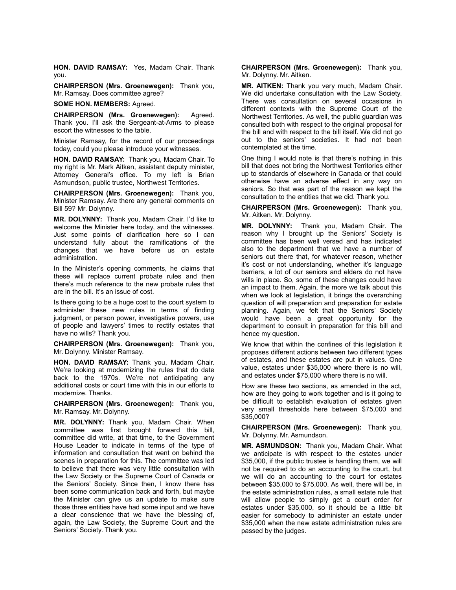**HON. DAVID RAMSAY:** Yes, Madam Chair. Thank you.

**CHAIRPERSON (Mrs. Groenewegen):** Thank you, Mr. Ramsay. Does committee agree?

**SOME HON. MEMBERS:** Agreed.

**CHAIRPERSON (Mrs. Groenewegen):** Agreed. Thank you. I'll ask the Sergeant-at-Arms to please escort the witnesses to the table.

Minister Ramsay, for the record of our proceedings today, could you please introduce your witnesses.

**HON. DAVID RAMSAY:** Thank you, Madam Chair. To my right is Mr. Mark Aitken, assistant deputy minister, Attorney General's office. To my left is Brian Asmundson, public trustee, Northwest Territories.

**CHAIRPERSON (Mrs. Groenewegen):** Thank you, Minister Ramsay. Are there any general comments on Bill 59? Mr. Dolynny.

**MR. DOLYNNY:** Thank you, Madam Chair. I'd like to welcome the Minister here today, and the witnesses. Just some points of clarification here so I can understand fully about the ramifications of the changes that we have before us on estate administration.

In the Minister's opening comments, he claims that these will replace current probate rules and then there's much reference to the new probate rules that are in the bill. It's an issue of cost.

Is there going to be a huge cost to the court system to administer these new rules in terms of finding judgment, or person power, investigative powers, use of people and lawyers' times to rectify estates that have no wills? Thank you.

**CHAIRPERSON (Mrs. Groenewegen):** Thank you, Mr. Dolynny. Minister Ramsay.

**HON. DAVID RAMSAY:** Thank you, Madam Chair. We're looking at modernizing the rules that do date back to the 1970s. We're not anticipating any additional costs or court time with this in our efforts to modernize. Thanks.

**CHAIRPERSON (Mrs. Groenewegen):** Thank you, Mr. Ramsay. Mr. Dolynny.

**MR. DOLYNNY:** Thank you, Madam Chair. When committee was first brought forward this bill, committee did write, at that time, to the Government House Leader to indicate in terms of the type of information and consultation that went on behind the scenes in preparation for this. The committee was led to believe that there was very little consultation with the Law Society or the Supreme Court of Canada or the Seniors' Society. Since then, I know there has been some communication back and forth, but maybe the Minister can give us an update to make sure those three entities have had some input and we have a clear conscience that we have the blessing of, again, the Law Society, the Supreme Court and the Seniors' Society. Thank you.

**CHAIRPERSON (Mrs. Groenewegen):** Thank you, Mr. Dolynny. Mr. Aitken.

**MR. AITKEN:** Thank you very much, Madam Chair. We did undertake consultation with the Law Society. There was consultation on several occasions in different contexts with the Supreme Court of the Northwest Territories. As well, the public guardian was consulted both with respect to the original proposal for the bill and with respect to the bill itself. We did not go out to the seniors' societies. It had not been contemplated at the time.

One thing I would note is that there's nothing in this bill that does not bring the Northwest Territories either up to standards of elsewhere in Canada or that could otherwise have an adverse effect in any way on seniors. So that was part of the reason we kept the consultation to the entities that we did. Thank you.

**CHAIRPERSON (Mrs. Groenewegen):** Thank you, Mr. Aitken. Mr. Dolynny.

**MR. DOLYNNY:** Thank you, Madam Chair. The reason why I brought up the Seniors' Society is committee has been well versed and has indicated also to the department that we have a number of seniors out there that, for whatever reason, whether it's cost or not understanding, whether it's language barriers, a lot of our seniors and elders do not have wills in place. So, some of these changes could have an impact to them. Again, the more we talk about this when we look at legislation, it brings the overarching question of will preparation and preparation for estate planning. Again, we felt that the Seniors' Society would have been a great opportunity for the department to consult in preparation for this bill and hence my question.

We know that within the confines of this legislation it proposes different actions between two different types of estates, and these estates are put in values. One value, estates under \$35,000 where there is no will, and estates under \$75,000 where there is no will.

How are these two sections, as amended in the act, how are they going to work together and is it going to be difficult to establish evaluation of estates given very small thresholds here between \$75,000 and \$35,000?

**CHAIRPERSON (Mrs. Groenewegen):** Thank you, Mr. Dolynny. Mr. Asmundson.

**MR. ASMUNDSON:** Thank you, Madam Chair. What we anticipate is with respect to the estates under \$35,000, if the public trustee is handling them, we will not be required to do an accounting to the court, but we will do an accounting to the court for estates between \$35,000 to \$75,000. As well, there will be, in the estate administration rules, a small estate rule that will allow people to simply get a court order for estates under \$35,000, so it should be a little bit easier for somebody to administer an estate under \$35,000 when the new estate administration rules are passed by the judges.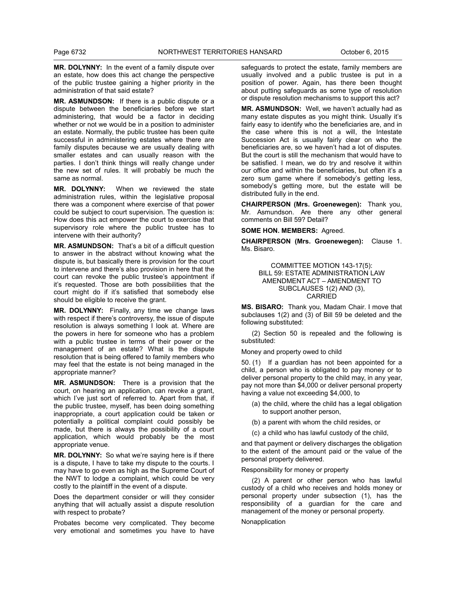**MR. DOLYNNY:** In the event of a family dispute over an estate, how does this act change the perspective of the public trustee gaining a higher priority in the administration of that said estate?

**MR. ASMUNDSON:** If there is a public dispute or a dispute between the beneficiaries before we start administering, that would be a factor in deciding whether or not we would be in a position to administer an estate. Normally, the public trustee has been quite successful in administering estates where there are family disputes because we are usually dealing with smaller estates and can usually reason with the parties. I don't think things will really change under the new set of rules. It will probably be much the same as normal.

**MR. DOLYNNY:** When we reviewed the state administration rules, within the legislative proposal there was a component where exercise of that power could be subject to court supervision. The question is: How does this act empower the court to exercise that supervisory role where the public trustee has to intervene with their authority?

**MR. ASMUNDSON:** That's a bit of a difficult question to answer in the abstract without knowing what the dispute is, but basically there is provision for the court to intervene and there's also provision in here that the court can revoke the public trustee's appointment if it's requested. Those are both possibilities that the court might do if it's satisfied that somebody else should be eligible to receive the grant.

**MR. DOLYNNY:** Finally, any time we change laws with respect if there's controversy, the issue of dispute resolution is always something I look at. Where are the powers in here for someone who has a problem with a public trustee in terms of their power or the management of an estate? What is the dispute resolution that is being offered to family members who may feel that the estate is not being managed in the appropriate manner?

**MR. ASMUNDSON:** There is a provision that the court, on hearing an application, can revoke a grant, which I've just sort of referred to. Apart from that, if the public trustee, myself, has been doing something inappropriate, a court application could be taken or potentially a political complaint could possibly be made, but there is always the possibility of a court application, which would probably be the most appropriate venue.

**MR. DOLYNNY:** So what we're saying here is if there is a dispute, I have to take my dispute to the courts. I may have to go even as high as the Supreme Court of the NWT to lodge a complaint, which could be very costly to the plaintiff in the event of a dispute.

Does the department consider or will they consider anything that will actually assist a dispute resolution with respect to probate?

Probates become very complicated. They become very emotional and sometimes you have to have

safeguards to protect the estate, family members are usually involved and a public trustee is put in a position of power. Again, has there been thought about putting safeguards as some type of resolution or dispute resolution mechanisms to support this act?

**MR. ASMUNDSON:** Well, we haven't actually had as many estate disputes as you might think. Usually it's fairly easy to identify who the beneficiaries are, and in the case where this is not a will, the Intestate Succession Act is usually fairly clear on who the beneficiaries are, so we haven't had a lot of disputes. But the court is still the mechanism that would have to be satisfied. I mean, we do try and resolve it within our office and within the beneficiaries, but often it's a zero sum game where if somebody's getting less, somebody's getting more, but the estate will be distributed fully in the end.

**CHAIRPERSON (Mrs. Groenewegen):** Thank you, Mr. Asmundson. Are there any other general comments on Bill 59? Detail?

**SOME HON. MEMBERS:** Agreed.

**CHAIRPERSON (Mrs. Groenewegen):** Clause 1. Ms. Bisaro.

> COMMITTEE MOTION 143-17(5): BILL 59: ESTATE ADMINISTRATION LAW AMENDMENT ACT – AMENDMENT TO SUBCLAUSES 1(2) AND (3), CARRIED

**MS. BISARO:** Thank you, Madam Chair. I move that subclauses 1(2) and (3) of Bill 59 be deleted and the following substituted:

(2) Section 50 is repealed and the following is substituted:

Money and property owed to child

50. (1) If a guardian has not been appointed for a child, a person who is obligated to pay money or to deliver personal property to the child may, in any year, pay not more than \$4,000 or deliver personal property having a value not exceeding \$4,000, to

- (a) the child, where the child has a legal obligation to support another person,
- (b) a parent with whom the child resides, or
- (c) a child who has lawful custody of the child,

and that payment or delivery discharges the obligation to the extent of the amount paid or the value of the personal property delivered.

Responsibility for money or property

(2) A parent or other person who has lawful custody of a child who receives and holds money or personal property under subsection (1), has the responsibility of a guardian for the care and management of the money or personal property.

**Nonapplication**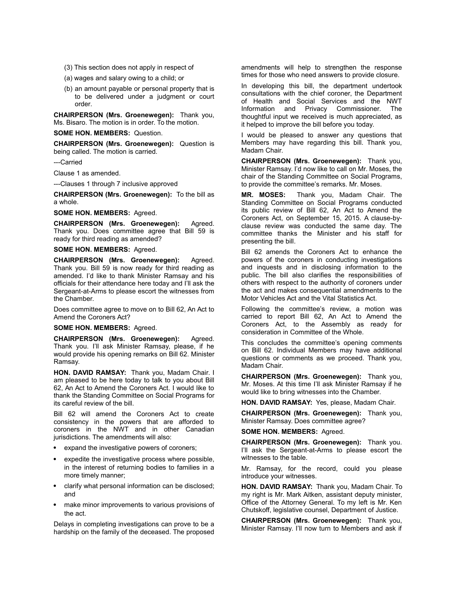- (3) This section does not apply in respect of
- (a) wages and salary owing to a child; or
- (b) an amount payable or personal property that is to be delivered under a judgment or court order.

**CHAIRPERSON (Mrs. Groenewegen):** Thank you, Ms. Bisaro. The motion is in order. To the motion.

**SOME HON. MEMBERS:** Question.

**CHAIRPERSON (Mrs. Groenewegen):** Question is being called. The motion is carried.

---Carried

Clause 1 as amended.

---Clauses 1 through 7 inclusive approved

**CHAIRPERSON (Mrs. Groenewegen):** To the bill as a whole.

**SOME HON. MEMBERS:** Agreed.

**CHAIRPERSON (Mrs. Groenewegen):** Agreed. Thank you. Does committee agree that Bill 59 is ready for third reading as amended?

# **SOME HON. MEMBERS:** Agreed.

**CHAIRPERSON (Mrs. Groenewegen):** Agreed. Thank you. Bill 59 is now ready for third reading as amended. I'd like to thank Minister Ramsay and his officials for their attendance here today and I'll ask the Sergeant-at-Arms to please escort the witnesses from the Chamber.

Does committee agree to move on to Bill 62, An Act to Amend the Coroners Act?

#### **SOME HON. MEMBERS:** Agreed.

**CHAIRPERSON (Mrs. Groenewegen):** Agreed. Thank you. I'll ask Minister Ramsay, please, if he would provide his opening remarks on Bill 62. Minister Ramsay.

**HON. DAVID RAMSAY:** Thank you, Madam Chair. I am pleased to be here today to talk to you about Bill 62, An Act to Amend the Coroners Act. I would like to thank the Standing Committee on Social Programs for its careful review of the bill.

Bill 62 will amend the Coroners Act to create consistency in the powers that are afforded to coroners in the NWT and in other Canadian jurisdictions. The amendments will also:

- expand the investigative powers of coroners;
- expedite the investigative process where possible, in the interest of returning bodies to families in a more timely manner;
- clarify what personal information can be disclosed; and
- make minor improvements to various provisions of the act.

Delays in completing investigations can prove to be a hardship on the family of the deceased. The proposed amendments will help to strengthen the response times for those who need answers to provide closure.

In developing this bill, the department undertook consultations with the chief coroner, the Department of Health and Social Services and the NWT Information and Privacy Commissioner. The thoughtful input we received is much appreciated, as it helped to improve the bill before you today.

I would be pleased to answer any questions that Members may have regarding this bill. Thank you, Madam Chair.

**CHAIRPERSON (Mrs. Groenewegen):** Thank you, Minister Ramsay. I'd now like to call on Mr. Moses, the chair of the Standing Committee on Social Programs, to provide the committee's remarks. Mr. Moses.

**MR. MOSES:** Thank you, Madam Chair. The Standing Committee on Social Programs conducted its public review of Bill 62, An Act to Amend the Coroners Act, on September 15, 2015. A clause-byclause review was conducted the same day. The committee thanks the Minister and his staff for presenting the bill.

Bill 62 amends the Coroners Act to enhance the powers of the coroners in conducting investigations and inquests and in disclosing information to the public. The bill also clarifies the responsibilities of others with respect to the authority of coroners under the act and makes consequential amendments to the Motor Vehicles Act and the Vital Statistics Act.

Following the committee's review, a motion was carried to report Bill 62, An Act to Amend the Coroners Act, to the Assembly as ready for consideration in Committee of the Whole.

This concludes the committee's opening comments on Bill 62. Individual Members may have additional questions or comments as we proceed. Thank you, Madam Chair.

**CHAIRPERSON (Mrs. Groenewegen):** Thank you, Mr. Moses. At this time I'll ask Minister Ramsay if he would like to bring witnesses into the Chamber.

**HON. DAVID RAMSAY:** Yes, please, Madam Chair.

**CHAIRPERSON (Mrs. Groenewegen):** Thank you, Minister Ramsay. Does committee agree?

# **SOME HON. MEMBERS:** Agreed.

**CHAIRPERSON (Mrs. Groenewegen):** Thank you. I'll ask the Sergeant-at-Arms to please escort the witnesses to the table.

Mr. Ramsay, for the record, could you please introduce your witnesses.

**HON. DAVID RAMSAY:** Thank you, Madam Chair. To my right is Mr. Mark Aitken, assistant deputy minister, Office of the Attorney General. To my left is Mr. Ken Chutskoff, legislative counsel, Department of Justice.

**CHAIRPERSON (Mrs. Groenewegen):** Thank you, Minister Ramsay. I'll now turn to Members and ask if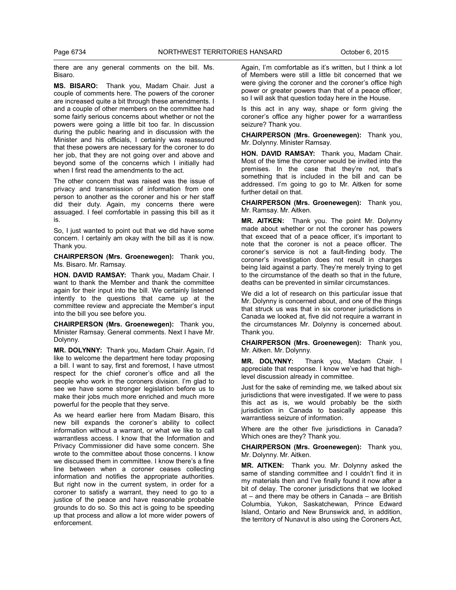there are any general comments on the bill. Ms. Bisaro.

**MS. BISARO:** Thank you, Madam Chair. Just a couple of comments here. The powers of the coroner are increased quite a bit through these amendments. I and a couple of other members on the committee had some fairly serious concerns about whether or not the powers were going a little bit too far. In discussion during the public hearing and in discussion with the Minister and his officials, I certainly was reassured that these powers are necessary for the coroner to do her job, that they are not going over and above and beyond some of the concerns which I initially had when I first read the amendments to the act.

The other concern that was raised was the issue of privacy and transmission of information from one person to another as the coroner and his or her staff did their duty. Again, my concerns there were assuaged. I feel comfortable in passing this bill as it is.

So, I just wanted to point out that we did have some concern. I certainly am okay with the bill as it is now. Thank you.

**CHAIRPERSON (Mrs. Groenewegen):** Thank you, Ms. Bisaro. Mr. Ramsay.

**HON. DAVID RAMSAY:** Thank you, Madam Chair. I want to thank the Member and thank the committee again for their input into the bill. We certainly listened intently to the questions that came up at the committee review and appreciate the Member's input into the bill you see before you.

**CHAIRPERSON (Mrs. Groenewegen):** Thank you, Minister Ramsay. General comments. Next I have Mr. Dolynny.

**MR. DOLYNNY:** Thank you, Madam Chair. Again, I'd like to welcome the department here today proposing a bill. I want to say, first and foremost, I have utmost respect for the chief coroner's office and all the people who work in the coroners division. I'm glad to see we have some stronger legislation before us to make their jobs much more enriched and much more powerful for the people that they serve.

As we heard earlier here from Madam Bisaro, this new bill expands the coroner's ability to collect information without a warrant, or what we like to call warrantless access. I know that the Information and Privacy Commissioner did have some concern. She wrote to the committee about those concerns. I know we discussed them in committee. I know there's a fine line between when a coroner ceases collecting information and notifies the appropriate authorities. But right now in the current system, in order for a coroner to satisfy a warrant, they need to go to a justice of the peace and have reasonable probable grounds to do so. So this act is going to be speeding up that process and allow a lot more wider powers of enforcement.

Again, I'm comfortable as it's written, but I think a lot of Members were still a little bit concerned that we were giving the coroner and the coroner's office high power or greater powers than that of a peace officer, so I will ask that question today here in the House.

Is this act in any way, shape or form giving the coroner's office any higher power for a warrantless seizure? Thank you.

**CHAIRPERSON (Mrs. Groenewegen):** Thank you, Mr. Dolynny. Minister Ramsay.

**HON. DAVID RAMSAY:** Thank you, Madam Chair. Most of the time the coroner would be invited into the premises. In the case that they're not, that's something that is included in the bill and can be addressed. I'm going to go to Mr. Aitken for some further detail on that.

**CHAIRPERSON (Mrs. Groenewegen):** Thank you, Mr. Ramsay. Mr. Aitken.

**MR. AITKEN:** Thank you. The point Mr. Dolynny made about whether or not the coroner has powers that exceed that of a peace officer, it's important to note that the coroner is not a peace officer. The coroner's service is not a fault-finding body. The coroner's investigation does not result in charges being laid against a party. They're merely trying to get to the circumstance of the death so that in the future, deaths can be prevented in similar circumstances.

We did a lot of research on this particular issue that Mr. Dolynny is concerned about, and one of the things that struck us was that in six coroner jurisdictions in Canada we looked at, five did not require a warrant in the circumstances Mr. Dolynny is concerned about. Thank you.

**CHAIRPERSON (Mrs. Groenewegen):** Thank you, Mr. Aitken. Mr. Dolynny.

**MR. DOLYNNY:** Thank you, Madam Chair. I appreciate that response. I know we've had that highlevel discussion already in committee.

Just for the sake of reminding me, we talked about six jurisdictions that were investigated. If we were to pass this act as is, we would probably be the sixth jurisdiction in Canada to basically appease this warrantless seizure of information.

Where are the other five jurisdictions in Canada? Which ones are they? Thank you.

**CHAIRPERSON (Mrs. Groenewegen):** Thank you, Mr. Dolynny. Mr. Aitken.

**MR. AITKEN:** Thank you. Mr. Dolynny asked the same of standing committee and I couldn't find it in my materials then and I've finally found it now after a bit of delay. The coroner jurisdictions that we looked at – and there may be others in Canada – are British Columbia, Yukon, Saskatchewan, Prince Edward Island, Ontario and New Brunswick and, in addition, the territory of Nunavut is also using the Coroners Act,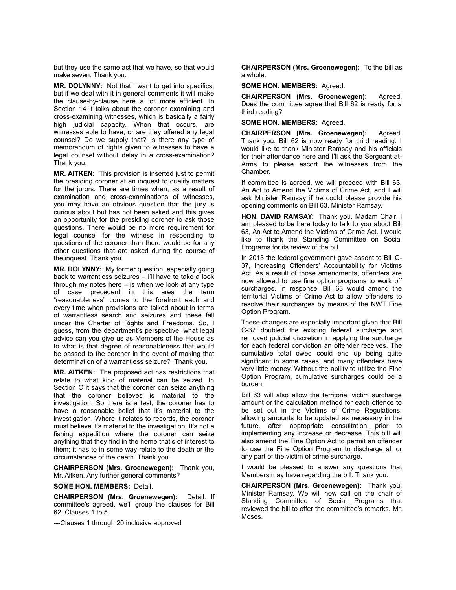but they use the same act that we have, so that would make seven. Thank you.

**MR. DOLYNNY:** Not that I want to get into specifics, but if we deal with it in general comments it will make the clause-by-clause here a lot more efficient. In Section 14 it talks about the coroner examining and cross-examining witnesses, which is basically a fairly high judicial capacity. When that occurs, are witnesses able to have, or are they offered any legal counsel? Do we supply that? Is there any type of memorandum of rights given to witnesses to have a legal counsel without delay in a cross-examination? Thank you.

**MR. AITKEN:** This provision is inserted just to permit the presiding coroner at an inquest to qualify matters for the jurors. There are times when, as a result of examination and cross-examinations of witnesses, you may have an obvious question that the jury is curious about but has not been asked and this gives an opportunity for the presiding coroner to ask those questions. There would be no more requirement for legal counsel for the witness in responding to questions of the coroner than there would be for any other questions that are asked during the course of the inquest. Thank you.

**MR. DOLYNNY:** My former question, especially going back to warrantless seizures – I'll have to take a look through my notes here – is when we look at any type of case precedent in this area the term "reasonableness" comes to the forefront each and every time when provisions are talked about in terms of warrantless search and seizures and these fall under the Charter of Rights and Freedoms. So, I guess, from the department's perspective, what legal advice can you give us as Members of the House as to what is that degree of reasonableness that would be passed to the coroner in the event of making that determination of a warrantless seizure? Thank you.

**MR. AITKEN:** The proposed act has restrictions that relate to what kind of material can be seized. In Section C it says that the coroner can seize anything that the coroner believes is material to the investigation. So there is a test, the coroner has to have a reasonable belief that it's material to the investigation. Where it relates to records, the coroner must believe it's material to the investigation. It's not a fishing expedition where the coroner can seize anything that they find in the home that's of interest to them; it has to in some way relate to the death or the circumstances of the death. Thank you.

**CHAIRPERSON (Mrs. Groenewegen):** Thank you, Mr. Aitken. Any further general comments?

**SOME HON. MEMBERS:** Detail.

**CHAIRPERSON (Mrs. Groenewegen):** Detail. If committee's agreed, we'll group the clauses for Bill 62. Clauses 1 to 5.

---Clauses 1 through 20 inclusive approved

**CHAIRPERSON (Mrs. Groenewegen):** To the bill as a whole.

#### **SOME HON. MEMBERS:** Agreed.

**CHAIRPERSON (Mrs. Groenewegen):** Agreed. Does the committee agree that Bill 62 is ready for a third reading?

**SOME HON. MEMBERS:** Agreed.

**CHAIRPERSON (Mrs. Groenewegen):** Agreed. Thank you. Bill 62 is now ready for third reading. I would like to thank Minister Ramsay and his officials for their attendance here and I'll ask the Sergeant-at-Arms to please escort the witnesses from the Chamber.

If committee is agreed, we will proceed with Bill 63, An Act to Amend the Victims of Crime Act, and I will ask Minister Ramsay if he could please provide his opening comments on Bill 63. Minister Ramsay.

**HON. DAVID RAMSAY:** Thank you, Madam Chair. I am pleased to be here today to talk to you about Bill 63, An Act to Amend the Victims of Crime Act. I would like to thank the Standing Committee on Social Programs for its review of the bill.

In 2013 the federal government gave assent to Bill C-37, Increasing Offenders' Accountability for Victims Act. As a result of those amendments, offenders are now allowed to use fine option programs to work off surcharges. In response, Bill 63 would amend the territorial Victims of Crime Act to allow offenders to resolve their surcharges by means of the NWT Fine Option Program.

These changes are especially important given that Bill C-37 doubled the existing federal surcharge and removed judicial discretion in applying the surcharge for each federal conviction an offender receives. The cumulative total owed could end up being quite significant in some cases, and many offenders have very little money. Without the ability to utilize the Fine Option Program, cumulative surcharges could be a burden.

Bill 63 will also allow the territorial victim surcharge amount or the calculation method for each offence to be set out in the Victims of Crime Regulations, allowing amounts to be updated as necessary in the future, after appropriate consultation prior to implementing any increase or decrease. This bill will also amend the Fine Option Act to permit an offender to use the Fine Option Program to discharge all or any part of the victim of crime surcharge.

I would be pleased to answer any questions that Members may have regarding the bill. Thank you.

**CHAIRPERSON (Mrs. Groenewegen):** Thank you, Minister Ramsay. We will now call on the chair of Standing Committee of Social Programs that reviewed the bill to offer the committee's remarks. Mr. Moses.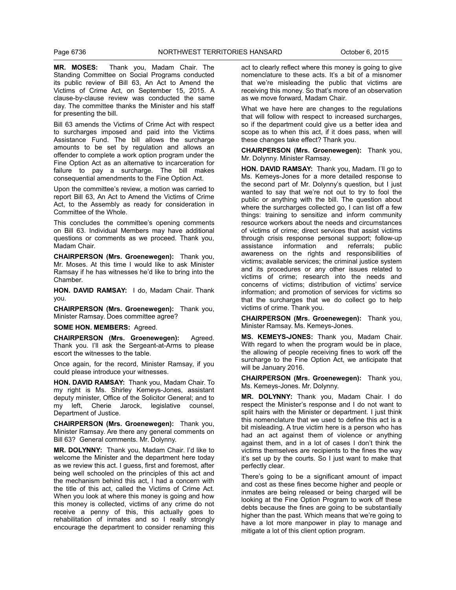**MR. MOSES:** Thank you, Madam Chair. The Standing Committee on Social Programs conducted its public review of Bill 63, An Act to Amend the Victims of Crime Act, on September 15, 2015. A clause-by-clause review was conducted the same day. The committee thanks the Minister and his staff for presenting the bill.

Bill 63 amends the Victims of Crime Act with respect to surcharges imposed and paid into the Victims Assistance Fund. The bill allows the surcharge amounts to be set by regulation and allows an offender to complete a work option program under the Fine Option Act as an alternative to incarceration for failure to pay a surcharge. The bill makes consequential amendments to the Fine Option Act.

Upon the committee's review, a motion was carried to report Bill 63, An Act to Amend the Victims of Crime Act, to the Assembly as ready for consideration in Committee of the Whole.

This concludes the committee's opening comments on Bill 63. Individual Members may have additional questions or comments as we proceed. Thank you, Madam Chair.

**CHAIRPERSON (Mrs. Groenewegen):** Thank you, Mr. Moses. At this time I would like to ask Minister Ramsay if he has witnesses he'd like to bring into the Chamber.

**HON. DAVID RAMSAY:** I do, Madam Chair. Thank you.

**CHAIRPERSON (Mrs. Groenewegen):** Thank you, Minister Ramsay. Does committee agree?

**SOME HON. MEMBERS:** Agreed.

**CHAIRPERSON (Mrs. Groenewegen):** Agreed. Thank you. I'll ask the Sergeant-at-Arms to please escort the witnesses to the table.

Once again, for the record, Minister Ramsay, if you could please introduce your witnesses.

**HON. DAVID RAMSAY:** Thank you, Madam Chair. To my right is Ms. Shirley Kemeys-Jones, assistant deputy minister, Office of the Solicitor General; and to my left, Cherie Jarock, legislative counsel, Department of Justice.

**CHAIRPERSON (Mrs. Groenewegen):** Thank you, Minister Ramsay. Are there any general comments on Bill 63? General comments. Mr. Dolynny.

**MR. DOLYNNY:** Thank you, Madam Chair. I'd like to welcome the Minister and the department here today as we review this act. I guess, first and foremost, after being well schooled on the principles of this act and the mechanism behind this act, I had a concern with the title of this act, called the Victims of Crime Act. When you look at where this money is going and how this money is collected, victims of any crime do not receive a penny of this, this actually goes to rehabilitation of inmates and so I really strongly encourage the department to consider renaming this act to clearly reflect where this money is going to give nomenclature to these acts. It's a bit of a misnomer that we're misleading the public that victims are receiving this money. So that's more of an observation as we move forward, Madam Chair.

What we have here are changes to the regulations that will follow with respect to increased surcharges, so if the department could give us a better idea and scope as to when this act, if it does pass, when will these changes take effect? Thank you.

**CHAIRPERSON (Mrs. Groenewegen):** Thank you, Mr. Dolynny. Minister Ramsay.

**HON. DAVID RAMSAY:** Thank you, Madam. I'll go to Ms. Kemeys-Jones for a more detailed response to the second part of Mr. Dolynny's question, but I just wanted to say that we're not out to try to fool the public or anything with the bill. The question about where the surcharges collected go, I can list off a few things: training to sensitize and inform community resource workers about the needs and circumstances of victims of crime; direct services that assist victims through crisis response personal support; follow-up assistance information and referrals; public awareness on the rights and responsibilities of victims; available services; the criminal justice system and its procedures or any other issues related to victims of crime; research into the needs and concerns of victims; distribution of victims' service information; and promotion of services for victims so that the surcharges that we do collect go to help victims of crime. Thank you.

**CHAIRPERSON (Mrs. Groenewegen):** Thank you, Minister Ramsay. Ms. Kemeys-Jones.

**MS. KEMEYS-JONES:** Thank you, Madam Chair. With regard to when the program would be in place, the allowing of people receiving fines to work off the surcharge to the Fine Option Act, we anticipate that will be January 2016.

**CHAIRPERSON (Mrs. Groenewegen):** Thank you, Ms. Kemeys-Jones. Mr. Dolynny.

**MR. DOLYNNY:** Thank you, Madam Chair. I do respect the Minister's response and I do not want to split hairs with the Minister or department. I just think this nomenclature that we used to define this act is a bit misleading. A true victim here is a person who has had an act against them of violence or anything against them, and in a lot of cases I don't think the victims themselves are recipients to the fines the way it's set up by the courts. So I just want to make that perfectly clear.

There's going to be a significant amount of impact and cost as these fines become higher and people or inmates are being released or being charged will be looking at the Fine Option Program to work off these debts because the fines are going to be substantially higher than the past. Which means that we're going to have a lot more manpower in play to manage and mitigate a lot of this client option program.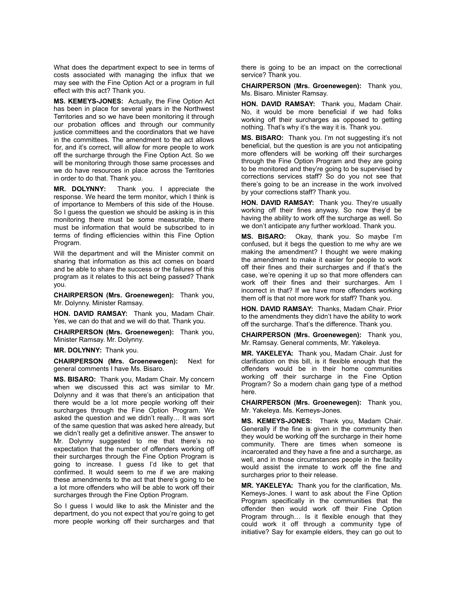What does the department expect to see in terms of costs associated with managing the influx that we may see with the Fine Option Act or a program in full effect with this act? Thank you.

**MS. KEMEYS-JONES:** Actually, the Fine Option Act has been in place for several years in the Northwest Territories and so we have been monitoring it through our probation offices and through our community justice committees and the coordinators that we have in the committees. The amendment to the act allows for, and it's correct, will allow for more people to work off the surcharge through the Fine Option Act. So we will be monitoring through those same processes and we do have resources in place across the Territories in order to do that. Thank you.

**MR. DOLYNNY:** Thank you. I appreciate the response. We heard the term monitor, which I think is of importance to Members of this side of the House. So I guess the question we should be asking is in this monitoring there must be some measurable, there must be information that would be subscribed to in terms of finding efficiencies within this Fine Option Program.

Will the department and will the Minister commit on sharing that information as this act comes on board and be able to share the success or the failures of this program as it relates to this act being passed? Thank you.

**CHAIRPERSON (Mrs. Groenewegen):** Thank you, Mr. Dolynny. Minister Ramsay.

**HON. DAVID RAMSAY:** Thank you, Madam Chair. Yes, we can do that and we will do that. Thank you.

**CHAIRPERSON (Mrs. Groenewegen):** Thank you, Minister Ramsay. Mr. Dolynny.

**MR. DOLYNNY:** Thank you.

**CHAIRPERSON (Mrs. Groenewegen):** Next for general comments I have Ms. Bisaro.

**MS. BISARO:** Thank you, Madam Chair. My concern when we discussed this act was similar to Mr. Dolynny and it was that there's an anticipation that there would be a lot more people working off their surcharges through the Fine Option Program. We asked the question and we didn't really… It was sort of the same question that was asked here already, but we didn't really get a definitive answer. The answer to Mr. Dolynny suggested to me that there's no expectation that the number of offenders working off their surcharges through the Fine Option Program is going to increase. I guess I'd like to get that confirmed. It would seem to me if we are making these amendments to the act that there's going to be a lot more offenders who will be able to work off their surcharges through the Fine Option Program.

So I guess I would like to ask the Minister and the department, do you not expect that you're going to get more people working off their surcharges and that there is going to be an impact on the correctional service? Thank you.

**CHAIRPERSON (Mrs. Groenewegen):** Thank you, Ms. Bisaro. Minister Ramsay.

**HON. DAVID RAMSAY:** Thank you, Madam Chair. No, it would be more beneficial if we had folks working off their surcharges as opposed to getting nothing. That's why it's the way it is. Thank you.

**MS. BISARO:** Thank you. I'm not suggesting it's not beneficial, but the question is are you not anticipating more offenders will be working off their surcharges through the Fine Option Program and they are going to be monitored and they're going to be supervised by corrections services staff? So do you not see that there's going to be an increase in the work involved by your corrections staff? Thank you.

**HON. DAVID RAMSAY:** Thank you. They're usually working off their fines anyway. So now they'd be having the ability to work off the surcharge as well. So we don't anticipate any further workload. Thank you.

**MS. BISARO:** Okay, thank you. So maybe I'm confused, but it begs the question to me why are we making the amendment? I thought we were making the amendment to make it easier for people to work off their fines and their surcharges and if that's the case, we're opening it up so that more offenders can work off their fines and their surcharges. Am I incorrect in that? If we have more offenders working them off is that not more work for staff? Thank you.

**HON. DAVID RAMSAY:** Thanks, Madam Chair. Prior to the amendments they didn't have the ability to work off the surcharge. That's the difference. Thank you.

**CHAIRPERSON (Mrs. Groenewegen):** Thank you, Mr. Ramsay. General comments, Mr. Yakeleya.

**MR. YAKELEYA:** Thank you, Madam Chair. Just for clarification on this bill, is it flexible enough that the offenders would be in their home communities working off their surcharge in the Fine Option Program? So a modern chain gang type of a method here.

**CHAIRPERSON (Mrs. Groenewegen):** Thank you, Mr. Yakeleya. Ms. Kemeys-Jones.

**MS. KEMEYS-JONES:** Thank you, Madam Chair. Generally if the fine is given in the community then they would be working off the surcharge in their home community. There are times when someone is incarcerated and they have a fine and a surcharge, as well, and in those circumstances people in the facility would assist the inmate to work off the fine and surcharges prior to their release.

**MR. YAKELEYA:** Thank you for the clarification, Ms. Kemeys-Jones. I want to ask about the Fine Option Program specifically in the communities that the offender then would work off their Fine Option Program through… Is it flexible enough that they could work it off through a community type of initiative? Say for example elders, they can go out to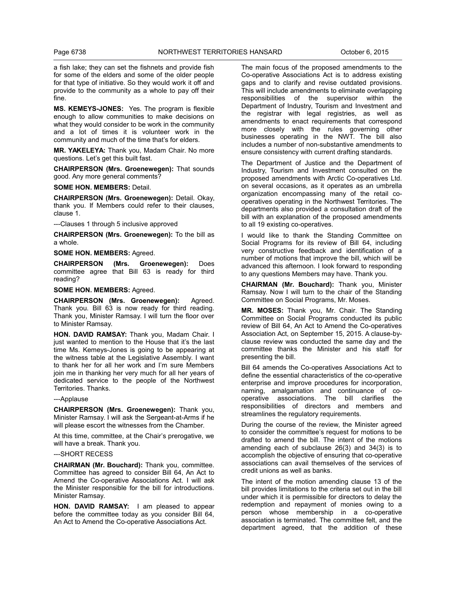a fish lake; they can set the fishnets and provide fish for some of the elders and some of the older people for that type of initiative. So they would work it off and provide to the community as a whole to pay off their fine.

**MS. KEMEYS-JONES:** Yes. The program is flexible enough to allow communities to make decisions on what they would consider to be work in the community and a lot of times it is volunteer work in the community and much of the time that's for elders.

**MR. YAKELEYA:** Thank you, Madam Chair. No more questions. Let's get this built fast.

**CHAIRPERSON (Mrs. Groenewegen):** That sounds good. Any more general comments?

**SOME HON. MEMBERS:** Detail.

**CHAIRPERSON (Mrs. Groenewegen):** Detail. Okay, thank you. If Members could refer to their clauses, clause 1.

---Clauses 1 through 5 inclusive approved

**CHAIRPERSON (Mrs. Groenewegen):** To the bill as a whole.

**SOME HON. MEMBERS:** Agreed.

**CHAIRPERSON (Mrs. Groenewegen):** Does committee agree that Bill 63 is ready for third reading?

**SOME HON. MEMBERS:** Agreed.

**CHAIRPERSON (Mrs. Groenewegen):** Agreed. Thank you. Bill 63 is now ready for third reading. Thank you, Minister Ramsay. I will turn the floor over to Minister Ramsay.

**HON. DAVID RAMSAY:** Thank you, Madam Chair. I just wanted to mention to the House that it's the last time Ms. Kemeys-Jones is going to be appearing at the witness table at the Legislative Assembly. I want to thank her for all her work and I'm sure Members join me in thanking her very much for all her years of dedicated service to the people of the Northwest Territories. Thanks.

---Applause

**CHAIRPERSON (Mrs. Groenewegen):** Thank you, Minister Ramsay. I will ask the Sergeant-at-Arms if he will please escort the witnesses from the Chamber.

At this time, committee, at the Chair's prerogative, we will have a break. Thank you.

---SHORT RECESS

**CHAIRMAN (Mr. Bouchard):** Thank you, committee. Committee has agreed to consider Bill 64, An Act to Amend the Co-operative Associations Act. I will ask the Minister responsible for the bill for introductions. Minister Ramsay.

**HON. DAVID RAMSAY:** I am pleased to appear before the committee today as you consider Bill 64, An Act to Amend the Co-operative Associations Act.

The main focus of the proposed amendments to the Co-operative Associations Act is to address existing gaps and to clarify and revise outdated provisions. This will include amendments to eliminate overlapping responsibilities of the supervisor within the Department of Industry, Tourism and Investment and the registrar with legal registries, as well as amendments to enact requirements that correspond more closely with the rules governing other businesses operating in the NWT. The bill also includes a number of non-substantive amendments to ensure consistency with current drafting standards.

The Department of Justice and the Department of Industry, Tourism and Investment consulted on the proposed amendments with Arctic Co-operatives Ltd. on several occasions, as it operates as an umbrella organization encompassing many of the retail cooperatives operating in the Northwest Territories. The departments also provided a consultation draft of the bill with an explanation of the proposed amendments to all 19 existing co-operatives.

I would like to thank the Standing Committee on Social Programs for its review of Bill 64, including very constructive feedback and identification of a number of motions that improve the bill, which will be advanced this afternoon. I look forward to responding to any questions Members may have. Thank you.

**CHAIRMAN (Mr. Bouchard):** Thank you, Minister Ramsay. Now I will turn to the chair of the Standing Committee on Social Programs, Mr. Moses.

**MR. MOSES:** Thank you, Mr. Chair. The Standing Committee on Social Programs conducted its public review of Bill 64, An Act to Amend the Co-operatives Association Act, on September 15, 2015. A clause-byclause review was conducted the same day and the committee thanks the Minister and his staff for presenting the bill.

Bill 64 amends the Co-operatives Associations Act to define the essential characteristics of the co-operative enterprise and improve procedures for incorporation, naming, amalgamation and continuance of cooperative associations. The bill clarifies the responsibilities of directors and members and streamlines the regulatory requirements.

During the course of the review, the Minister agreed to consider the committee's request for motions to be drafted to amend the bill. The intent of the motions amending each of subclause 26(3) and 34(3) is to accomplish the objective of ensuring that co-operative associations can avail themselves of the services of credit unions as well as banks.

The intent of the motion amending clause 13 of the bill provides limitations to the criteria set out in the bill under which it is permissible for directors to delay the redemption and repayment of monies owing to a person whose membership in a co-operative association is terminated. The committee felt, and the department agreed, that the addition of these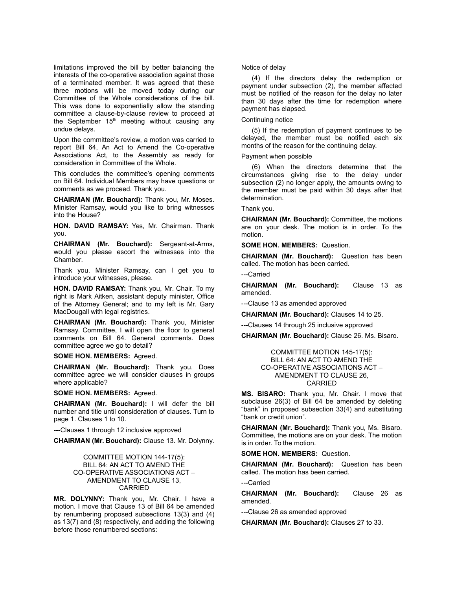limitations improved the bill by better balancing the interests of the co-operative association against those of a terminated member. It was agreed that these three motions will be moved today during our Committee of the Whole considerations of the bill. This was done to exponentially allow the standing committee a clause-by-clause review to proceed at the September  $15<sup>th</sup>$  meeting without causing any undue delays.

Upon the committee's review, a motion was carried to report Bill 64, An Act to Amend the Co-operative Associations Act, to the Assembly as ready for consideration in Committee of the Whole.

This concludes the committee's opening comments on Bill 64. Individual Members may have questions or comments as we proceed. Thank you.

**CHAIRMAN (Mr. Bouchard):** Thank you, Mr. Moses. Minister Ramsay, would you like to bring witnesses into the House?

**HON. DAVID RAMSAY:** Yes, Mr. Chairman. Thank you.

**CHAIRMAN (Mr. Bouchard):** Sergeant-at-Arms, would you please escort the witnesses into the Chamber.

Thank you. Minister Ramsay, can I get you to introduce your witnesses, please.

**HON. DAVID RAMSAY:** Thank you, Mr. Chair. To my right is Mark Aitken, assistant deputy minister, Office of the Attorney General; and to my left is Mr. Gary MacDougall with legal registries.

**CHAIRMAN (Mr. Bouchard):** Thank you, Minister Ramsay. Committee, I will open the floor to general comments on Bill 64. General comments. Does committee agree we go to detail?

**SOME HON. MEMBERS:** Agreed.

**CHAIRMAN (Mr. Bouchard):** Thank you. Does committee agree we will consider clauses in groups where applicable?

**SOME HON. MEMBERS:** Agreed.

**CHAIRMAN (Mr. Bouchard):** I will defer the bill number and title until consideration of clauses. Turn to page 1. Clauses 1 to 10.

---Clauses 1 through 12 inclusive approved

**CHAIRMAN (Mr. Bouchard):** Clause 13. Mr. Dolynny.

#### COMMITTEE MOTION 144-17(5): BILL 64: AN ACT TO AMEND THE CO-OPERATIVE ASSOCIATIONS ACT – AMENDMENT TO CLAUSE 13, CARRIED

**MR. DOLYNNY:** Thank you, Mr. Chair. I have a motion. I move that Clause 13 of Bill 64 be amended by renumbering proposed subsections 13(3) and (4) as 13(7) and (8) respectively, and adding the following before those renumbered sections:

#### Notice of delay

(4) If the directors delay the redemption or payment under subsection (2), the member affected must be notified of the reason for the delay no later than 30 days after the time for redemption where payment has elapsed.

# Continuing notice

(5) If the redemption of payment continues to be delayed, the member must be notified each six months of the reason for the continuing delay.

Payment when possible

(6) When the directors determine that the circumstances giving rise to the delay under subsection (2) no longer apply, the amounts owing to the member must be paid within 30 days after that determination.

Thank you.

**CHAIRMAN (Mr. Bouchard):** Committee, the motions are on your desk. The motion is in order. To the motion.

**SOME HON. MEMBERS:** Question.

**CHAIRMAN (Mr. Bouchard):** Question has been called. The motion has been carried.

---Carried

**CHAIRMAN (Mr. Bouchard):** Clause 13 as amended.

---Clause 13 as amended approved

**CHAIRMAN (Mr. Bouchard):** Clauses 14 to 25.

---Clauses 14 through 25 inclusive approved

**CHAIRMAN (Mr. Bouchard):** Clause 26. Ms. Bisaro.

# COMMITTEE MOTION 145-17(5): BILL 64: AN ACT TO AMEND THE CO-OPERATIVE ASSOCIATIONS ACT – AMENDMENT TO CLAUSE 26, CARRIED

**MS. BISARO:** Thank you, Mr. Chair. I move that subclause 26(3) of Bill 64 be amended by deleting "bank" in proposed subsection 33(4) and substituting "bank or credit union".

**CHAIRMAN (Mr. Bouchard):** Thank you, Ms. Bisaro. Committee, the motions are on your desk. The motion is in order. To the motion.

**SOME HON. MEMBERS:** Question.

**CHAIRMAN (Mr. Bouchard):** Question has been called. The motion has been carried.

---Carried

**CHAIRMAN (Mr. Bouchard):** Clause 26 as amended.

---Clause 26 as amended approved

**CHAIRMAN (Mr. Bouchard):** Clauses 27 to 33.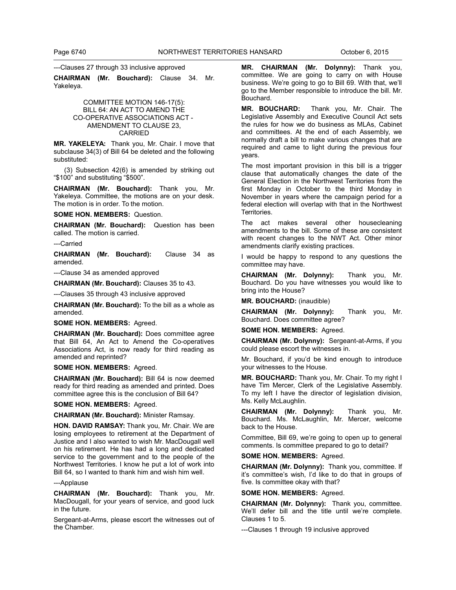#### ---Clauses 27 through 33 inclusive approved

**CHAIRMAN (Mr. Bouchard):** Clause 34. Mr. Yakeleya.

# COMMITTEE MOTION 146-17(5): BILL 64: AN ACT TO AMEND THE CO-OPERATIVE ASSOCIATIONS ACT - AMENDMENT TO CLAUSE 23, CARRIED

**MR. YAKELEYA:** Thank you, Mr. Chair. I move that subclause 34(3) of Bill 64 be deleted and the following substituted:

(3) Subsection 42(6) is amended by striking out "\$100" and substituting "\$500".

**CHAIRMAN (Mr. Bouchard):** Thank you, Mr. Yakeleya. Committee, the motions are on your desk. The motion is in order. To the motion.

**SOME HON. MEMBERS:** Question.

**CHAIRMAN (Mr. Bouchard):** Question has been called. The motion is carried.

---Carried

**CHAIRMAN (Mr. Bouchard):** Clause 34 as amended.

---Clause 34 as amended approved

**CHAIRMAN (Mr. Bouchard):** Clauses 35 to 43.

---Clauses 35 through 43 inclusive approved

**CHAIRMAN (Mr. Bouchard):** To the bill as a whole as amended.

**SOME HON. MEMBERS:** Agreed.

**CHAIRMAN (Mr. Bouchard):** Does committee agree that Bill 64, An Act to Amend the Co-operatives Associations Act, is now ready for third reading as amended and reprinted?

# **SOME HON. MEMBERS:** Agreed.

**CHAIRMAN (Mr. Bouchard):** Bill 64 is now deemed ready for third reading as amended and printed. Does committee agree this is the conclusion of Bill 64?

**SOME HON. MEMBERS:** Agreed.

**CHAIRMAN (Mr. Bouchard):** Minister Ramsay.

**HON. DAVID RAMSAY:** Thank you, Mr. Chair. We are losing employees to retirement at the Department of Justice and I also wanted to wish Mr. MacDougall well on his retirement. He has had a long and dedicated service to the government and to the people of the Northwest Territories. I know he put a lot of work into Bill 64, so I wanted to thank him and wish him well.

---Applause

**CHAIRMAN (Mr. Bouchard):** Thank you, Mr. MacDougall, for your years of service, and good luck in the future.

Sergeant-at-Arms, please escort the witnesses out of the Chamber.

**MR. CHAIRMAN (Mr. Dolynny):** Thank you, committee. We are going to carry on with House business. We're going to go to Bill 69. With that, we'll go to the Member responsible to introduce the bill. Mr. Bouchard.

**MR. BOUCHARD:** Thank you, Mr. Chair. The Legislative Assembly and Executive Council Act sets the rules for how we do business as MLAs, Cabinet and committees. At the end of each Assembly, we normally draft a bill to make various changes that are required and came to light during the previous four years.

The most important provision in this bill is a trigger clause that automatically changes the date of the General Election in the Northwest Territories from the first Monday in October to the third Monday in November in years where the campaign period for a federal election will overlap with that in the Northwest Territories.

The act makes several other housecleaning amendments to the bill. Some of these are consistent with recent changes to the NWT Act. Other minor amendments clarify existing practices.

I would be happy to respond to any questions the committee may have.

**CHAIRMAN (Mr. Dolynny):** Thank you, Mr. Bouchard. Do you have witnesses you would like to bring into the House?

**MR. BOUCHARD:** (inaudible)

**CHAIRMAN (Mr. Dolynny):** Thank you, Mr. Bouchard. Does committee agree?

**SOME HON. MEMBERS:** Agreed.

**CHAIRMAN (Mr. Dolynny):** Sergeant-at-Arms, if you could please escort the witnesses in.

Mr. Bouchard, if you'd be kind enough to introduce your witnesses to the House.

**MR. BOUCHARD:** Thank you, Mr. Chair. To my right I have Tim Mercer, Clerk of the Legislative Assembly. To my left I have the director of legislation division, Ms. Kelly McLaughlin.

**CHAIRMAN (Mr. Dolynny):** Thank you, Mr. Bouchard. Ms. McLaughlin, Mr. Mercer, welcome back to the House.

Committee, Bill 69, we're going to open up to general comments. Is committee prepared to go to detail?

#### **SOME HON. MEMBERS:** Agreed.

**CHAIRMAN (Mr. Dolynny):** Thank you, committee. If it's committee's wish, I'd like to do that in groups of five. Is committee okay with that?

#### **SOME HON. MEMBERS:** Agreed.

**CHAIRMAN (Mr. Dolynny):** Thank you, committee. We'll defer bill and the title until we're complete. Clauses 1 to 5.

---Clauses 1 through 19 inclusive approved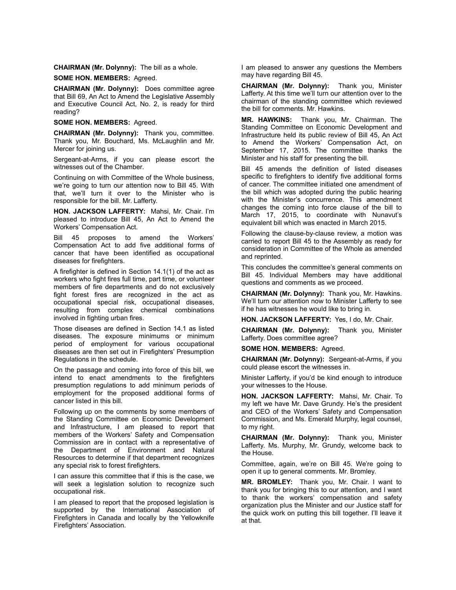**CHAIRMAN (Mr. Dolynny):** The bill as a whole.

**SOME HON. MEMBERS:** Agreed.

**CHAIRMAN (Mr. Dolynny):** Does committee agree that Bill 69, An Act to Amend the Legislative Assembly and Executive Council Act, No. 2, is ready for third reading?

# **SOME HON. MEMBERS:** Agreed.

**CHAIRMAN (Mr. Dolynny):** Thank you, committee. Thank you, Mr. Bouchard, Ms. McLaughlin and Mr. Mercer for joining us.

Sergeant-at-Arms, if you can please escort the witnesses out of the Chamber.

Continuing on with Committee of the Whole business, we're going to turn our attention now to Bill 45. With that, we'll turn it over to the Minister who is responsible for the bill. Mr. Lafferty.

**HON. JACKSON LAFFERTY:** Mahsi, Mr. Chair. I'm pleased to introduce Bill 45, An Act to Amend the Workers' Compensation Act.

Bill 45 proposes to amend the Workers' Compensation Act to add five additional forms of cancer that have been identified as occupational diseases for firefighters.

A firefighter is defined in Section 14.1(1) of the act as workers who fight fires full time, part time, or volunteer members of fire departments and do not exclusively fight forest fires are recognized in the act as occupational special risk, occupational diseases, resulting from complex chemical combinations involved in fighting urban fires.

Those diseases are defined in Section 14.1 as listed diseases. The exposure minimums or minimum period of employment for various occupational diseases are then set out in Firefighters' Presumption Regulations in the schedule.

On the passage and coming into force of this bill, we intend to enact amendments to the firefighters presumption regulations to add minimum periods of employment for the proposed additional forms of cancer listed in this bill.

Following up on the comments by some members of the Standing Committee on Economic Development and Infrastructure, I am pleased to report that members of the Workers' Safety and Compensation Commission are in contact with a representative of the Department of Environment and Natural Resources to determine if that department recognizes any special risk to forest firefighters.

I can assure this committee that if this is the case, we will seek a legislation solution to recognize such occupational risk.

I am pleased to report that the proposed legislation is supported by the International Association of Firefighters in Canada and locally by the Yellowknife Firefighters' Association.

I am pleased to answer any questions the Members may have regarding Bill 45.

**CHAIRMAN (Mr. Dolynny):** Thank you, Minister Lafferty. At this time we'll turn our attention over to the chairman of the standing committee which reviewed the bill for comments. Mr. Hawkins.

**MR. HAWKINS:** Thank you, Mr. Chairman. The Standing Committee on Economic Development and Infrastructure held its public review of Bill 45, An Act to Amend the Workers' Compensation Act, on September 17, 2015. The committee thanks the Minister and his staff for presenting the bill.

Bill 45 amends the definition of listed diseases specific to firefighters to identify five additional forms of cancer. The committee initiated one amendment of the bill which was adopted during the public hearing with the Minister's concurrence. This amendment changes the coming into force clause of the bill to March 17, 2015, to coordinate with Nunavut's equivalent bill which was enacted in March 2015.

Following the clause-by-clause review, a motion was carried to report Bill 45 to the Assembly as ready for consideration in Committee of the Whole as amended and reprinted.

This concludes the committee's general comments on Bill 45. Individual Members may have additional questions and comments as we proceed.

**CHAIRMAN (Mr. Dolynny):** Thank you, Mr. Hawkins. We'll turn our attention now to Minister Lafferty to see if he has witnesses he would like to bring in.

**HON. JACKSON LAFFERTY:** Yes, I do, Mr. Chair.

**CHAIRMAN (Mr. Dolynny):** Thank you, Minister Lafferty. Does committee agree?

**SOME HON. MEMBERS:** Agreed.

**CHAIRMAN (Mr. Dolynny):** Sergeant-at-Arms, if you could please escort the witnesses in.

Minister Lafferty, if you'd be kind enough to introduce your witnesses to the House.

**HON. JACKSON LAFFERTY:** Mahsi, Mr. Chair. To my left we have Mr. Dave Grundy. He's the president and CEO of the Workers' Safety and Compensation Commission, and Ms. Emerald Murphy, legal counsel, to my right.

**CHAIRMAN (Mr. Dolynny):** Thank you, Minister Lafferty. Ms. Murphy, Mr. Grundy, welcome back to the House.

Committee, again, we're on Bill 45. We're going to open it up to general comments. Mr. Bromley.

**MR. BROMLEY:** Thank you, Mr. Chair. I want to thank you for bringing this to our attention, and I want to thank the workers' compensation and safety organization plus the Minister and our Justice staff for the quick work on putting this bill together. I'll leave it at that.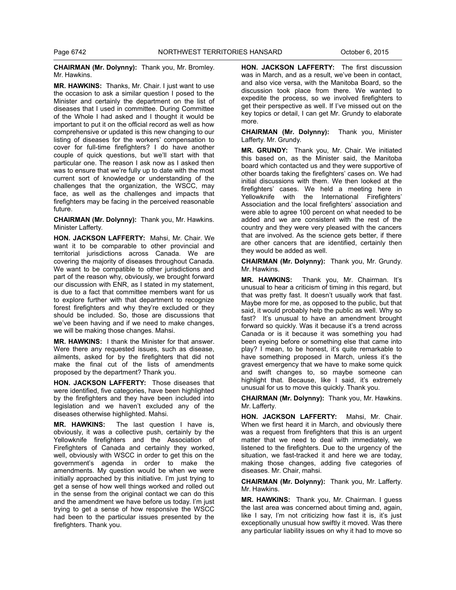**CHAIRMAN (Mr. Dolynny):** Thank you, Mr. Bromley. Mr. Hawkins.

**MR. HAWKINS:** Thanks, Mr. Chair. I just want to use the occasion to ask a similar question I posed to the Minister and certainly the department on the list of diseases that I used in committee. During Committee of the Whole I had asked and I thought it would be important to put it on the official record as well as how comprehensive or updated is this new changing to our listing of diseases for the workers' compensation to cover for full-time firefighters? I do have another couple of quick questions, but we'll start with that particular one. The reason I ask now as I asked then was to ensure that we're fully up to date with the most current sort of knowledge or understanding of the challenges that the organization, the WSCC, may face, as well as the challenges and impacts that firefighters may be facing in the perceived reasonable future.

**CHAIRMAN (Mr. Dolynny):** Thank you, Mr. Hawkins. Minister Lafferty.

**HON. JACKSON LAFFERTY:** Mahsi, Mr. Chair. We want it to be comparable to other provincial and territorial jurisdictions across Canada. We are covering the majority of diseases throughout Canada. We want to be compatible to other jurisdictions and part of the reason why, obviously, we brought forward our discussion with ENR, as I stated in my statement, is due to a fact that committee members want for us to explore further with that department to recognize forest firefighters and why they're excluded or they should be included. So, those are discussions that we've been having and if we need to make changes, we will be making those changes. Mahsi.

**MR. HAWKINS:** I thank the Minister for that answer. Were there any requested issues, such as disease, ailments, asked for by the firefighters that did not make the final cut of the lists of amendments proposed by the department? Thank you.

**HON. JACKSON LAFFERTY:** Those diseases that were identified, five categories, have been highlighted by the firefighters and they have been included into legislation and we haven't excluded any of the diseases otherwise highlighted. Mahsi.

**MR. HAWKINS:** The last question I have is, obviously, it was a collective push, certainly by the Yellowknife firefighters and the Association of Firefighters of Canada and certainly they worked, well, obviously with WSCC in order to get this on the government's agenda in order to make the amendments. My question would be when we were initially approached by this initiative. I'm just trying to get a sense of how well things worked and rolled out in the sense from the original contact we can do this and the amendment we have before us today. I'm just trying to get a sense of how responsive the WSCC had been to the particular issues presented by the firefighters. Thank you.

**HON. JACKSON LAFFERTY:** The first discussion was in March, and as a result, we've been in contact, and also vice versa, with the Manitoba Board, so the discussion took place from there. We wanted to expedite the process, so we involved firefighters to get their perspective as well. If I've missed out on the key topics or detail, I can get Mr. Grundy to elaborate more.

**CHAIRMAN (Mr. Dolynny):** Thank you, Minister Lafferty. Mr. Grundy.

**MR. GRUNDY:** Thank you, Mr. Chair. We initiated this based on, as the Minister said, the Manitoba board which contacted us and they were supportive of other boards taking the firefighters' cases on. We had initial discussions with them. We then looked at the firefighters' cases. We held a meeting here in Yellowknife with the International Firefighters' Association and the local firefighters' association and were able to agree 100 percent on what needed to be added and we are consistent with the rest of the country and they were very pleased with the cancers that are involved. As the science gets better, if there are other cancers that are identified, certainly then they would be added as well.

**CHAIRMAN (Mr. Dolynny):** Thank you, Mr. Grundy. Mr. Hawkins.

**MR. HAWKINS:** Thank you, Mr. Chairman. It's unusual to hear a criticism of timing in this regard, but that was pretty fast. It doesn't usually work that fast. Maybe more for me, as opposed to the public, but that said, it would probably help the public as well. Why so fast? It's unusual to have an amendment brought forward so quickly. Was it because it's a trend across Canada or is it because it was something you had been eyeing before or something else that came into play? I mean, to be honest, it's quite remarkable to have something proposed in March, unless it's the gravest emergency that we have to make some quick and swift changes to, so maybe someone can highlight that. Because, like I said, it's extremely unusual for us to move this quickly. Thank you.

**CHAIRMAN (Mr. Dolynny):** Thank you, Mr. Hawkins. Mr. Lafferty.

**HON. JACKSON LAFFERTY:** Mahsi, Mr. Chair. When we first heard it in March, and obviously there was a request from firefighters that this is an urgent matter that we need to deal with immediately, we listened to the firefighters. Due to the urgency of the situation, we fast-tracked it and here we are today, making those changes, adding five categories of diseases. Mr. Chair, mahsi.

**CHAIRMAN (Mr. Dolynny):** Thank you, Mr. Lafferty. Mr. Hawkins.

**MR. HAWKINS:** Thank you, Mr. Chairman. I guess the last area was concerned about timing and, again, like I say, I'm not criticizing how fast it is, it's just exceptionally unusual how swiftly it moved. Was there any particular liability issues on why it had to move so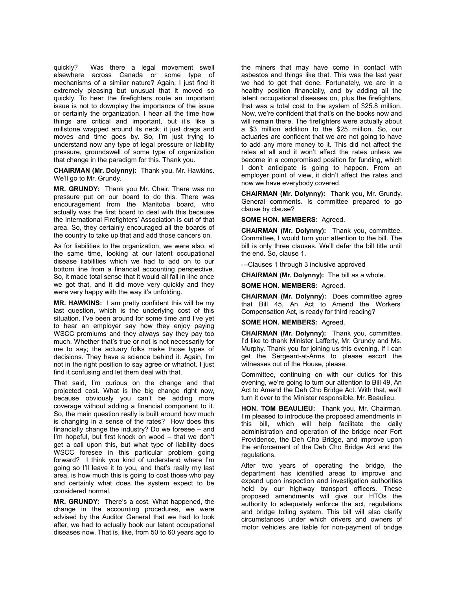quickly? Was there a legal movement swell elsewhere across Canada or some type of mechanisms of a similar nature? Again, I just find it extremely pleasing but unusual that it moved so quickly. To hear the firefighters route an important issue is not to downplay the importance of the issue or certainly the organization. I hear all the time how things are critical and important, but it's like a millstone wrapped around its neck; it just drags and moves and time goes by. So, I'm just trying to understand now any type of legal pressure or liability pressure, groundswell of some type of organization that change in the paradigm for this. Thank you.

**CHAIRMAN (Mr. Dolynny):** Thank you, Mr. Hawkins. We'll go to Mr. Grundy.

**MR. GRUNDY:** Thank you Mr. Chair. There was no pressure put on our board to do this. There was encouragement from the Manitoba board, who actually was the first board to deal with this because the International Firefighters' Association is out of that area. So, they certainly encouraged all the boards of the country to take up that and add those cancers on.

As for liabilities to the organization, we were also, at the same time, looking at our latent occupational disease liabilities which we had to add on to our bottom line from a financial accounting perspective. So, it made total sense that it would all fall in line once we got that, and it did move very quickly and they were very happy with the way it's unfolding.

**MR. HAWKINS:** I am pretty confident this will be my last question, which is the underlying cost of this situation. I've been around for some time and I've yet to hear an employer say how they enjoy paying WSCC premiums and they always say they pay too much. Whether that's true or not is not necessarily for me to say; the actuary folks make those types of decisions. They have a science behind it. Again, I'm not in the right position to say agree or whatnot. I just find it confusing and let them deal with that.

That said, I'm curious on the change and that projected cost. What is the big change right now, because obviously you can't be adding more coverage without adding a financial component to it. So, the main question really is built around how much is changing in a sense of the rates? How does this financially change the industry? Do we foresee – and I'm hopeful, but first knock on wood – that we don't get a call upon this, but what type of liability does WSCC foresee in this particular problem going forward? I think you kind of understand where I'm going so I'll leave it to you, and that's really my last area, is how much this is going to cost those who pay and certainly what does the system expect to be considered normal.

**MR. GRUNDY:** There's a cost. What happened, the change in the accounting procedures, we were advised by the Auditor General that we had to look after, we had to actually book our latent occupational diseases now. That is, like, from 50 to 60 years ago to

the miners that may have come in contact with asbestos and things like that. This was the last year we had to get that done. Fortunately, we are in a healthy position financially, and by adding all the latent occupational diseases on, plus the firefighters, that was a total cost to the system of \$25.8 million. Now, we're confident that that's on the books now and will remain there. The firefighters were actually about a \$3 million addition to the \$25 million. So, our actuaries are confident that we are not going to have to add any more money to it. This did not affect the rates at all and it won't affect the rates unless we become in a compromised position for funding, which I don't anticipate is going to happen. From an employer point of view, it didn't affect the rates and now we have everybody covered.

**CHAIRMAN (Mr. Dolynny):** Thank you, Mr. Grundy. General comments. Is committee prepared to go clause by clause?

**SOME HON. MEMBERS:** Agreed.

**CHAIRMAN (Mr. Dolynny):** Thank you, committee. Committee, I would turn your attention to the bill. The bill is only three clauses. We'll defer the bill title until the end. So, clause 1.

---Clauses 1 through 3 inclusive approved

**CHAIRMAN (Mr. Dolynny):** The bill as a whole.

**SOME HON. MEMBERS:** Agreed.

**CHAIRMAN (Mr. Dolynny):** Does committee agree that Bill 45, An Act to Amend the Workers' Compensation Act, is ready for third reading?

# **SOME HON. MEMBERS:** Agreed.

**CHAIRMAN (Mr. Dolynny):** Thank you, committee. I'd like to thank Minister Lafferty, Mr. Grundy and Ms. Murphy. Thank you for joining us this evening. If I can get the Sergeant-at-Arms to please escort the witnesses out of the House, please.

Committee, continuing on with our duties for this evening, we're going to turn our attention to Bill 49, An Act to Amend the Deh Cho Bridge Act. With that, we'll turn it over to the Minister responsible. Mr. Beaulieu.

**HON. TOM BEAULIEU:** Thank you, Mr. Chairman. I'm pleased to introduce the proposed amendments in this bill, which will help facilitate the daily administration and operation of the bridge near Fort Providence, the Deh Cho Bridge, and improve upon the enforcement of the Deh Cho Bridge Act and the regulations.

After two years of operating the bridge, the department has identified areas to improve and expand upon inspection and investigation authorities held by our highway transport officers. These proposed amendments will give our HTOs the authority to adequately enforce the act, regulations and bridge tolling system. This bill will also clarify circumstances under which drivers and owners of motor vehicles are liable for non-payment of bridge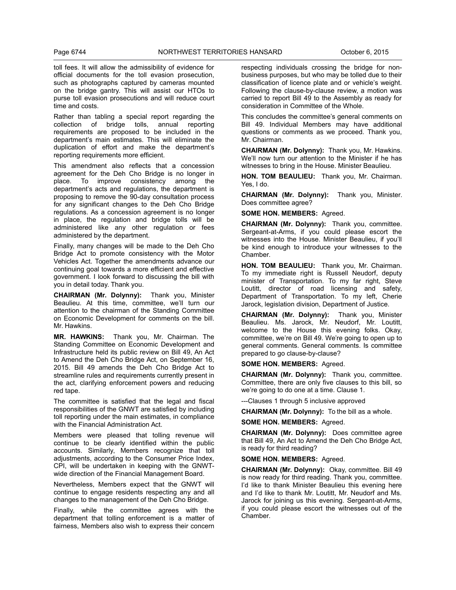toll fees. It will allow the admissibility of evidence for official documents for the toll evasion prosecution, such as photographs captured by cameras mounted on the bridge gantry. This will assist our HTOs to purse toll evasion prosecutions and will reduce court time and costs.

Rather than tabling a special report regarding the collection of bridge tolls, annual reporting requirements are proposed to be included in the department's main estimates. This will eliminate the duplication of effort and make the department's reporting requirements more efficient.

This amendment also reflects that a concession agreement for the Deh Cho Bridge is no longer in place. To improve consistency among the To improve consistency among the department's acts and regulations, the department is proposing to remove the 90-day consultation process for any significant changes to the Deh Cho Bridge regulations. As a concession agreement is no longer in place, the regulation and bridge tolls will be administered like any other regulation or fees administered by the department.

Finally, many changes will be made to the Deh Cho Bridge Act to promote consistency with the Motor Vehicles Act. Together the amendments advance our continuing goal towards a more efficient and effective government. I look forward to discussing the bill with you in detail today. Thank you.

**CHAIRMAN (Mr. Dolynny):** Thank you, Minister Beaulieu. At this time, committee, we'll turn our attention to the chairman of the Standing Committee on Economic Development for comments on the bill. Mr. Hawkins.

**MR. HAWKINS:** Thank you, Mr. Chairman. The Standing Committee on Economic Development and Infrastructure held its public review on Bill 49, An Act to Amend the Deh Cho Bridge Act, on September 16, 2015. Bill 49 amends the Deh Cho Bridge Act to streamline rules and requirements currently present in the act, clarifying enforcement powers and reducing red tape.

The committee is satisfied that the legal and fiscal responsibilities of the GNWT are satisfied by including toll reporting under the main estimates, in compliance with the Financial Administration Act.

Members were pleased that tolling revenue will continue to be clearly identified within the public accounts. Similarly, Members recognize that toll adjustments, according to the Consumer Price Index, CPI, will be undertaken in keeping with the GNWTwide direction of the Financial Management Board.

Nevertheless, Members expect that the GNWT will continue to engage residents respecting any and all changes to the management of the Deh Cho Bridge.

Finally, while the committee agrees with the department that tolling enforcement is a matter of fairness, Members also wish to express their concern

respecting individuals crossing the bridge for nonbusiness purposes, but who may be tolled due to their classification of licence plate and or vehicle's weight. Following the clause-by-clause review, a motion was carried to report Bill 49 to the Assembly as ready for consideration in Committee of the Whole.

This concludes the committee's general comments on Bill 49. Individual Members may have additional questions or comments as we proceed. Thank you, Mr. Chairman.

**CHAIRMAN (Mr. Dolynny):** Thank you, Mr. Hawkins. We'll now turn our attention to the Minister if he has witnesses to bring in the House. Minister Beaulieu.

**HON. TOM BEAULIEU:** Thank you, Mr. Chairman. Yes, I do.

**CHAIRMAN (Mr. Dolynny):** Thank you, Minister. Does committee agree?

**SOME HON. MEMBERS:** Agreed.

**CHAIRMAN (Mr. Dolynny):** Thank you, committee. Sergeant-at-Arms, if you could please escort the witnesses into the House. Minister Beaulieu, if you'll be kind enough to introduce your witnesses to the Chamber.

**HON. TOM BEAULIEU:** Thank you, Mr. Chairman. To my immediate right is Russell Neudorf, deputy minister of Transportation. To my far right, Steve Loutitt, director of road licensing and safety, Department of Transportation. To my left, Cherie Jarock, legislation division, Department of Justice.

**CHAIRMAN (Mr. Dolynny):** Thank you, Minister Beaulieu. Ms. Jarock, Mr. Neudorf, Mr. Loutitt, welcome to the House this evening folks. Okay, committee, we're on Bill 49. We're going to open up to general comments. General comments. Is committee prepared to go clause-by-clause?

**SOME HON. MEMBERS:** Agreed.

**CHAIRMAN (Mr. Dolynny):** Thank you, committee. Committee, there are only five clauses to this bill, so we're going to do one at a time. Clause 1.

---Clauses 1 through 5 inclusive approved

**CHAIRMAN (Mr. Dolynny):** To the bill as a whole.

**SOME HON. MEMBERS:** Agreed.

**CHAIRMAN (Mr. Dolynny):** Does committee agree that Bill 49, An Act to Amend the Deh Cho Bridge Act, is ready for third reading?

**SOME HON. MEMBERS:** Agreed.

**CHAIRMAN (Mr. Dolynny):** Okay, committee. Bill 49 is now ready for third reading. Thank you, committee. I'd like to thank Minister Beaulieu this evening here and I'd like to thank Mr. Loutitt, Mr. Neudorf and Ms. Jarock for joining us this evening. Sergeant-at-Arms, if you could please escort the witnesses out of the Chamber.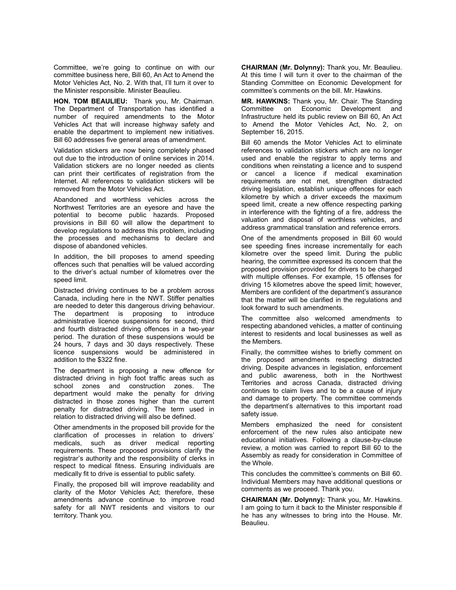Committee, we're going to continue on with our committee business here, Bill 60, An Act to Amend the Motor Vehicles Act, No. 2. With that, I'll turn it over to the Minister responsible. Minister Beaulieu.

**HON. TOM BEAULIEU:** Thank you, Mr. Chairman. The Department of Transportation has identified a number of required amendments to the Motor Vehicles Act that will increase highway safety and enable the department to implement new initiatives. Bill 60 addresses five general areas of amendment.

Validation stickers are now being completely phased out due to the introduction of online services in 2014. Validation stickers are no longer needed as clients can print their certificates of registration from the Internet. All references to validation stickers will be removed from the Motor Vehicles Act.

Abandoned and worthless vehicles across the Northwest Territories are an eyesore and have the potential to become public hazards. Proposed provisions in Bill 60 will allow the department to develop regulations to address this problem, including the processes and mechanisms to declare and dispose of abandoned vehicles.

In addition, the bill proposes to amend speeding offences such that penalties will be valued according to the driver's actual number of kilometres over the speed limit.

Distracted driving continues to be a problem across Canada, including here in the NWT. Stiffer penalties are needed to deter this dangerous driving behaviour. The department is proposing to introduce administrative licence suspensions for second, third and fourth distracted driving offences in a two-year period. The duration of these suspensions would be 24 hours, 7 days and 30 days respectively. These licence suspensions would be administered in addition to the \$322 fine.

The department is proposing a new offence for distracted driving in high foot traffic areas such as school zones and construction zones. The department would make the penalty for driving distracted in those zones higher than the current penalty for distracted driving. The term used in relation to distracted driving will also be defined.

Other amendments in the proposed bill provide for the clarification of processes in relation to drivers' medicals, such as driver medical reporting requirements. These proposed provisions clarify the registrar's authority and the responsibility of clerks in respect to medical fitness. Ensuring individuals are medically fit to drive is essential to public safety.

Finally, the proposed bill will improve readability and clarity of the Motor Vehicles Act; therefore, these amendments advance continue to improve road safety for all NWT residents and visitors to our territory. Thank you.

**CHAIRMAN (Mr. Dolynny):** Thank you, Mr. Beaulieu. At this time I will turn it over to the chairman of the Standing Committee on Economic Development for committee's comments on the bill. Mr. Hawkins.

**MR. HAWKINS:** Thank you, Mr. Chair. The Standing Committee on Economic Development and Infrastructure held its public review on Bill 60, An Act to Amend the Motor Vehicles Act, No. 2, on September 16, 2015.

Bill 60 amends the Motor Vehicles Act to eliminate references to validation stickers which are no longer used and enable the registrar to apply terms and conditions when reinstating a licence and to suspend or cancel a licence if medical examination requirements are not met, strengthen distracted driving legislation, establish unique offences for each kilometre by which a driver exceeds the maximum speed limit, create a new offence respecting parking in interference with the fighting of a fire, address the valuation and disposal of worthless vehicles, and address grammatical translation and reference errors.

One of the amendments proposed in Bill 60 would see speeding fines increase incrementally for each kilometre over the speed limit. During the public hearing, the committee expressed its concern that the proposed provision provided for drivers to be charged with multiple offenses. For example, 15 offenses for driving 15 kilometres above the speed limit; however, Members are confident of the department's assurance that the matter will be clarified in the regulations and look forward to such amendments.

The committee also welcomed amendments to respecting abandoned vehicles, a matter of continuing interest to residents and local businesses as well as the Members.

Finally, the committee wishes to briefly comment on the proposed amendments respecting distracted driving. Despite advances in legislation, enforcement and public awareness, both in the Northwest Territories and across Canada, distracted driving continues to claim lives and to be a cause of injury and damage to property. The committee commends the department's alternatives to this important road safety issue.

Members emphasized the need for consistent enforcement of the new rules also anticipate new educational initiatives. Following a clause-by-clause review, a motion was carried to report Bill 60 to the Assembly as ready for consideration in Committee of the Whole.

This concludes the committee's comments on Bill 60. Individual Members may have additional questions or comments as we proceed. Thank you.

**CHAIRMAN (Mr. Dolynny):** Thank you, Mr. Hawkins. I am going to turn it back to the Minister responsible if he has any witnesses to bring into the House. Mr. Beaulieu.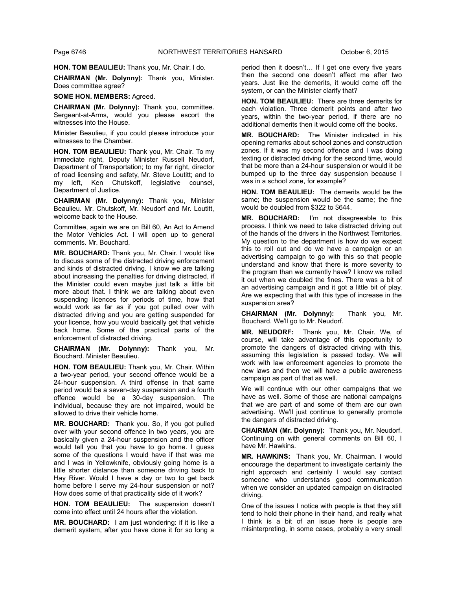**HON. TOM BEAULIEU:** Thank you, Mr. Chair. I do.

**CHAIRMAN (Mr. Dolynny):** Thank you, Minister. Does committee agree?

#### **SOME HON. MEMBERS:** Agreed.

**CHAIRMAN (Mr. Dolynny):** Thank you, committee. Sergeant-at-Arms, would you please escort the witnesses into the House.

Minister Beaulieu, if you could please introduce your witnesses to the Chamber.

**HON. TOM BEAULIEU:** Thank you, Mr. Chair. To my immediate right, Deputy Minister Russell Neudorf, Department of Transportation; to my far right, director of road licensing and safety, Mr. Steve Loutitt; and to my left, Ken Chutskoff, legislative counsel, Department of Justice.

**CHAIRMAN (Mr. Dolynny):** Thank you, Minister Beaulieu. Mr. Chutskoff, Mr. Neudorf and Mr. Loutitt, welcome back to the House.

Committee, again we are on Bill 60, An Act to Amend the Motor Vehicles Act. I will open up to general comments. Mr. Bouchard.

**MR. BOUCHARD:** Thank you, Mr. Chair. I would like to discuss some of the distracted driving enforcement and kinds of distracted driving. I know we are talking about increasing the penalties for driving distracted, if the Minister could even maybe just talk a little bit more about that. I think we are talking about even suspending licences for periods of time, how that would work as far as if you got pulled over with distracted driving and you are getting suspended for your licence, how you would basically get that vehicle back home. Some of the practical parts of the enforcement of distracted driving.

**CHAIRMAN (Mr. Dolynny):** Thank you, Mr. Bouchard. Minister Beaulieu.

**HON. TOM BEAULIEU:** Thank you, Mr. Chair. Within a two-year period, your second offence would be a 24-hour suspension. A third offense in that same period would be a seven-day suspension and a fourth offence would be a 30-day suspension. The individual, because they are not impaired, would be allowed to drive their vehicle home.

**MR. BOUCHARD:** Thank you. So, if you got pulled over with your second offence in two years, you are basically given a 24-hour suspension and the officer would tell you that you have to go home. I guess some of the questions I would have if that was me and I was in Yellowknife, obviously going home is a little shorter distance than someone driving back to Hay River. Would I have a day or two to get back home before I serve my 24-hour suspension or not? How does some of that practicality side of it work?

**HON. TOM BEAULIEU:** The suspension doesn't come into effect until 24 hours after the violation.

**MR. BOUCHARD:** I am just wondering: if it is like a demerit system, after you have done it for so long a period then it doesn't… If I get one every five years then the second one doesn't affect me after two years. Just like the demerits, it would come off the system, or can the Minister clarify that?

**HON. TOM BEAULIEU:** There are three demerits for each violation. Three demerit points and after two years, within the two-year period, if there are no additional demerits then it would come off the books.

**MR. BOUCHARD:** The Minister indicated in his opening remarks about school zones and construction zones. If it was my second offence and I was doing texting or distracted driving for the second time, would that be more than a 24-hour suspension or would it be bumped up to the three day suspension because I was in a school zone, for example?

**HON. TOM BEAULIEU:** The demerits would be the same; the suspension would be the same; the fine would be doubled from \$322 to \$644.

**MR. BOUCHARD:** I'm not disagreeable to this process. I think we need to take distracted driving out of the hands of the drivers in the Northwest Territories. My question to the department is how do we expect this to roll out and do we have a campaign or an advertising campaign to go with this so that people understand and know that there is more severity to the program than we currently have? I know we rolled it out when we doubled the fines. There was a bit of an advertising campaign and it got a little bit of play. Are we expecting that with this type of increase in the suspension area?

**CHAIRMAN (Mr. Dolynny):** Thank you, Mr. Bouchard. We'll go to Mr. Neudorf.

**MR. NEUDORF:** Thank you, Mr. Chair. We, of course, will take advantage of this opportunity to promote the dangers of distracted driving with this, assuming this legislation is passed today. We will work with law enforcement agencies to promote the new laws and then we will have a public awareness campaign as part of that as well.

We will continue with our other campaigns that we have as well. Some of those are national campaigns that we are part of and some of them are our own advertising. We'll just continue to generally promote the dangers of distracted driving.

**CHAIRMAN (Mr. Dolynny):** Thank you, Mr. Neudorf. Continuing on with general comments on Bill 60, I have Mr. Hawkins.

**MR. HAWKINS:** Thank you, Mr. Chairman. I would encourage the department to investigate certainly the right approach and certainly I would say contact someone who understands good communication when we consider an updated campaign on distracted driving.

One of the issues I notice with people is that they still tend to hold their phone in their hand, and really what I think is a bit of an issue here is people are misinterpreting, in some cases, probably a very small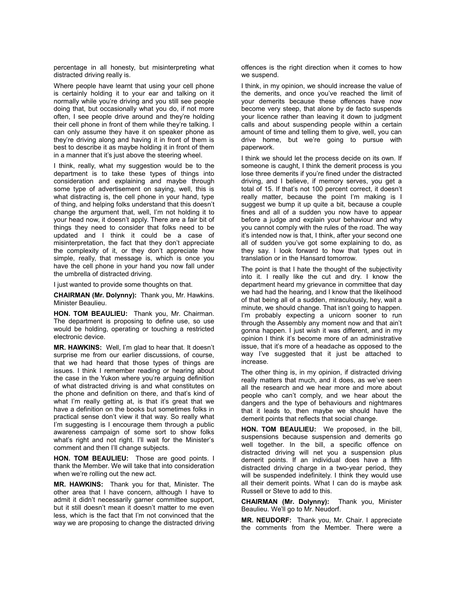percentage in all honesty, but misinterpreting what distracted driving really is.

Where people have learnt that using your cell phone is certainly holding it to your ear and talking on it normally while you're driving and you still see people doing that, but occasionally what you do, if not more often, I see people drive around and they're holding their cell phone in front of them while they're talking. I can only assume they have it on speaker phone as they're driving along and having it in front of them is best to describe it as maybe holding it in front of them in a manner that it's just above the steering wheel.

I think, really, what my suggestion would be to the department is to take these types of things into consideration and explaining and maybe through some type of advertisement on saying, well, this is what distracting is, the cell phone in your hand, type of thing, and helping folks understand that this doesn't change the argument that, well, I'm not holding it to your head now, it doesn't apply. There are a fair bit of things they need to consider that folks need to be updated and I think it could be a case of misinterpretation, the fact that they don't appreciate the complexity of it, or they don't appreciate how simple, really, that message is, which is once you have the cell phone in your hand you now fall under the umbrella of distracted driving.

I just wanted to provide some thoughts on that.

**CHAIRMAN (Mr. Dolynny):** Thank you, Mr. Hawkins. Minister Beaulieu.

**HON. TOM BEAULIEU:** Thank you, Mr. Chairman. The department is proposing to define use, so use would be holding, operating or touching a restricted electronic device.

**MR. HAWKINS:** Well, I'm glad to hear that. It doesn't surprise me from our earlier discussions, of course, that we had heard that those types of things are issues. I think I remember reading or hearing about the case in the Yukon where you're arguing definition of what distracted driving is and what constitutes on the phone and definition on there, and that's kind of what I'm really getting at, is that it's great that we have a definition on the books but sometimes folks in practical sense don't view it that way. So really what I'm suggesting is I encourage them through a public awareness campaign of some sort to show folks what's right and not right. I'll wait for the Minister's comment and then I'll change subjects.

**HON. TOM BEAULIEU:** Those are good points. I thank the Member. We will take that into consideration when we're rolling out the new act.

**MR. HAWKINS:** Thank you for that, Minister. The other area that I have concern, although I have to admit it didn't necessarily garner committee support, but it still doesn't mean it doesn't matter to me even less, which is the fact that I'm not convinced that the way we are proposing to change the distracted driving offences is the right direction when it comes to how we suspend.

I think, in my opinion, we should increase the value of the demerits, and once you've reached the limit of your demerits because these offences have now become very steep, that alone by de facto suspends your licence rather than leaving it down to judgment calls and about suspending people within a certain amount of time and telling them to give, well, you can drive home, but we're going to pursue with paperwork.

I think we should let the process decide on its own. If someone is caught, I think the demerit process is you lose three demerits if you're fined under the distracted driving, and I believe, if memory serves, you get a total of 15. If that's not 100 percent correct, it doesn't really matter, because the point I'm making is I suggest we bump it up quite a bit, because a couple fines and all of a sudden you now have to appear before a judge and explain your behaviour and why you cannot comply with the rules of the road. The way it's intended now is that, I think, after your second one all of sudden you've got some explaining to do, as they say. I look forward to how that types out in translation or in the Hansard tomorrow.

The point is that I hate the thought of the subjectivity into it. I really like the cut and dry. I know the department heard my grievance in committee that day we had had the hearing, and I know that the likelihood of that being all of a sudden, miraculously, hey, wait a minute, we should change. That isn't going to happen. I'm probably expecting a unicorn sooner to run through the Assembly any moment now and that ain't gonna happen. I just wish it was different, and in my opinion I think it's become more of an administrative issue, that it's more of a headache as opposed to the way I've suggested that it just be attached to increase.

The other thing is, in my opinion, if distracted driving really matters that much, and it does, as we've seen all the research and we hear more and more about people who can't comply, and we hear about the dangers and the type of behaviours and nightmares that it leads to, then maybe we should have the demerit points that reflects that social change.

**HON. TOM BEAULIEU:** We proposed, in the bill, suspensions because suspension and demerits go well together. In the bill, a specific offence on distracted driving will net you a suspension plus demerit points. If an individual does have a fifth distracted driving charge in a two-year period, they will be suspended indefinitely. I think they would use all their demerit points. What I can do is maybe ask Russell or Steve to add to this.

**CHAIRMAN (Mr. Dolynny):** Thank you, Minister Beaulieu. We'll go to Mr. Neudorf.

**MR. NEUDORF:** Thank you, Mr. Chair. I appreciate the comments from the Member. There were a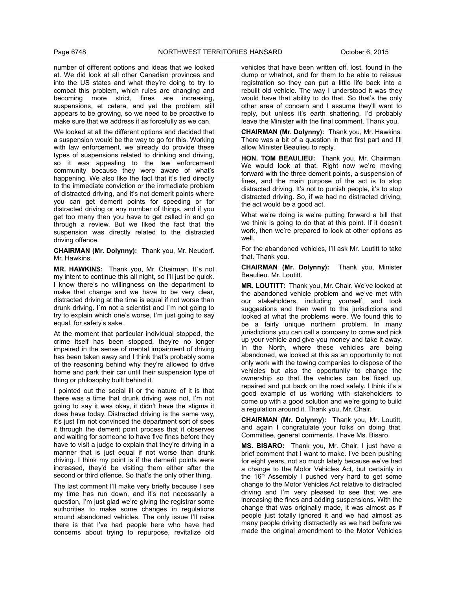number of different options and ideas that we looked at. We did look at all other Canadian provinces and into the US states and what they're doing to try to combat this problem, which rules are changing and becoming more strict, fines are increasing, suspensions, et cetera, and yet the problem still appears to be growing, so we need to be proactive to make sure that we address it as forcefully as we can.

We looked at all the different options and decided that a suspension would be the way to go for this. Working with law enforcement, we already do provide these types of suspensions related to drinking and driving, so it was appealing to the law enforcement community because they were aware of what's happening. We also like the fact that it's tied directly to the immediate conviction or the immediate problem of distracted driving, and it's not demerit points where you can get demerit points for speeding or for distracted driving or any number of things, and if you get too many then you have to get called in and go through a review. But we liked the fact that the suspension was directly related to the distracted driving offence.

**CHAIRMAN (Mr. Dolynny):** Thank you, Mr. Neudorf. Mr. Hawkins.

**MR. HAWKINS:** Thank you, Mr. Chairman. It`s not my intent to continue this all night, so I'll just be quick. I know there's no willingness on the department to make that change and we have to be very clear, distracted driving at the time is equal if not worse than drunk driving. I`m not a scientist and I`m not going to try to explain which one's worse, I'm just going to say equal, for safety's sake.

At the moment that particular individual stopped, the crime itself has been stopped, they're no longer impaired in the sense of mental impairment of driving has been taken away and I think that's probably some of the reasoning behind why they're allowed to drive home and park their car until their suspension type of thing or philosophy built behind it.

I pointed out the social ill or the nature of it is that there was a time that drunk driving was not, I'm not going to say it was okay, it didn't have the stigma it does have today. Distracted driving is the same way, it's just I'm not convinced the department sort of sees it through the demerit point process that it observes and waiting for someone to have five fines before they have to visit a judge to explain that they're driving in a manner that is just equal if not worse than drunk driving. I think my point is if the demerit points were increased, they'd be visiting them either after the second or third offence. So that's the only other thing.

The last comment I'll make very briefly because I see my time has run down, and it's not necessarily a question. I'm just glad we're giving the registrar some authorities to make some changes in regulations around abandoned vehicles. The only issue I'll raise there is that I've had people here who have had concerns about trying to repurpose, revitalize old

vehicles that have been written off, lost, found in the dump or whatnot, and for them to be able to reissue registration so they can put a little life back into a rebuilt old vehicle. The way I understood it was they would have that ability to do that. So that's the only other area of concern and I assume they'll want to reply, but unless it's earth shattering, I'd probably leave the Minister with the final comment. Thank you.

**CHAIRMAN (Mr. Dolynny):** Thank you, Mr. Hawkins. There was a bit of a question in that first part and I'll allow Minister Beaulieu to reply.

**HON. TOM BEAULIEU:** Thank you, Mr. Chairman. We would look at that. Right now we're moving forward with the three demerit points, a suspension of fines, and the main purpose of the act is to stop distracted driving. It's not to punish people, it's to stop distracted driving. So, if we had no distracted driving, the act would be a good act.

What we're doing is we're putting forward a bill that we think is going to do that at this point. If it doesn't work, then we're prepared to look at other options as well.

For the abandoned vehicles, I'll ask Mr. Loutitt to take that. Thank you.

**CHAIRMAN (Mr. Dolynny):** Thank you, Minister Beaulieu. Mr. Loutitt.

**MR. LOUTITT:** Thank you, Mr. Chair. We've looked at the abandoned vehicle problem and we've met with our stakeholders, including yourself, and took suggestions and then went to the jurisdictions and looked at what the problems were. We found this to be a fairly unique northern problem. In many jurisdictions you can call a company to come and pick up your vehicle and give you money and take it away. In the North, where these vehicles are being abandoned, we looked at this as an opportunity to not only work with the towing companies to dispose of the vehicles but also the opportunity to change the ownership so that the vehicles can be fixed up, repaired and put back on the road safely. I think it's a good example of us working with stakeholders to come up with a good solution and we're going to build a regulation around it. Thank you, Mr. Chair.

**CHAIRMAN (Mr. Dolynny):** Thank you, Mr. Loutitt, and again I congratulate your folks on doing that. Committee, general comments. I have Ms. Bisaro.

**MS. BISARO:** Thank you, Mr. Chair. I just have a brief comment that I want to make. I've been pushing for eight years, not so much lately because we've had a change to the Motor Vehicles Act, but certainly in the  $16<sup>th</sup>$  Assembly I pushed very hard to get some change to the Motor Vehicles Act relative to distracted driving and I'm very pleased to see that we are increasing the fines and adding suspensions. With the change that was originally made, it was almost as if people just totally ignored it and we had almost as many people driving distractedly as we had before we made the original amendment to the Motor Vehicles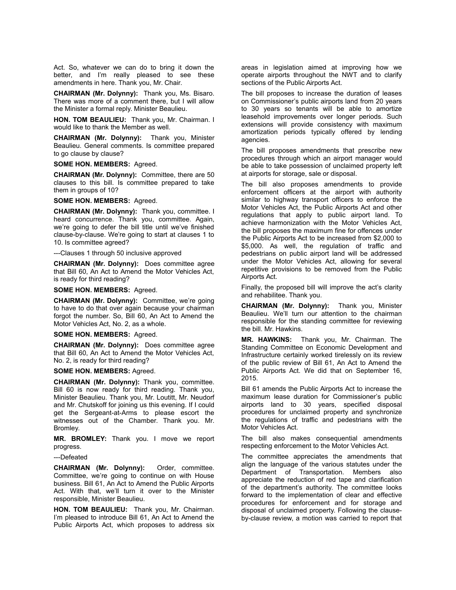Act. So, whatever we can do to bring it down the better, and I'm really pleased to see these amendments in here. Thank you, Mr. Chair.

**CHAIRMAN (Mr. Dolynny):** Thank you, Ms. Bisaro. There was more of a comment there, but I will allow the Minister a formal reply. Minister Beaulieu.

**HON. TOM BEAULIEU:** Thank you, Mr. Chairman. I would like to thank the Member as well.

**CHAIRMAN (Mr. Dolynny):** Thank you, Minister Beaulieu. General comments. Is committee prepared to go clause by clause?

# **SOME HON. MEMBERS:** Agreed.

**CHAIRMAN (Mr. Dolynny):** Committee, there are 50 clauses to this bill. Is committee prepared to take them in groups of 10?

**SOME HON. MEMBERS:** Agreed.

**CHAIRMAN (Mr. Dolynny):** Thank you, committee. I heard concurrence. Thank you, committee. Again, we're going to defer the bill title until we've finished clause-by-clause. We're going to start at clauses 1 to 10. Is committee agreed?

---Clauses 1 through 50 inclusive approved

**CHAIRMAN (Mr. Dolynny):** Does committee agree that Bill 60, An Act to Amend the Motor Vehicles Act, is ready for third reading?

**SOME HON. MEMBERS:** Agreed.

**CHAIRMAN (Mr. Dolynny):** Committee, we're going to have to do that over again because your chairman forgot the number. So, Bill 60, An Act to Amend the Motor Vehicles Act, No. 2, as a whole.

#### **SOME HON. MEMBERS:** Agreed.

**CHAIRMAN (Mr. Dolynny):** Does committee agree that Bill 60, An Act to Amend the Motor Vehicles Act, No. 2, is ready for third reading?

**SOME HON. MEMBERS:** Agreed.

**CHAIRMAN (Mr. Dolynny):** Thank you, committee. Bill 60 is now ready for third reading. Thank you, Minister Beaulieu. Thank you, Mr. Loutitt, Mr. Neudorf and Mr. Chutskoff for joining us this evening. If I could get the Sergeant-at-Arms to please escort the witnesses out of the Chamber. Thank you. Mr. Bromley.

**MR. BROMLEY:** Thank you. I move we report progress.

---Defeated

**CHAIRMAN (Mr. Dolynny):** Order, committee. Committee, we're going to continue on with House business. Bill 61, An Act to Amend the Public Airports Act. With that, we'll turn it over to the Minister responsible, Minister Beaulieu.

**HON. TOM BEAULIEU:** Thank you, Mr. Chairman. I'm pleased to introduce Bill 61, An Act to Amend the Public Airports Act, which proposes to address six areas in legislation aimed at improving how we operate airports throughout the NWT and to clarify sections of the Public Airports Act.

The bill proposes to increase the duration of leases on Commissioner's public airports land from 20 years to 30 years so tenants will be able to amortize leasehold improvements over longer periods. Such extensions will provide consistency with maximum amortization periods typically offered by lending agencies.

The bill proposes amendments that prescribe new procedures through which an airport manager would be able to take possession of unclaimed property left at airports for storage, sale or disposal.

The bill also proposes amendments to provide enforcement officers at the airport with authority similar to highway transport officers to enforce the Motor Vehicles Act, the Public Airports Act and other regulations that apply to public airport land. To achieve harmonization with the Motor Vehicles Act, the bill proposes the maximum fine for offences under the Public Airports Act to be increased from \$2,000 to \$5,000. As well, the regulation of traffic and pedestrians on public airport land will be addressed under the Motor Vehicles Act, allowing for several repetitive provisions to be removed from the Public Airports Act.

Finally, the proposed bill will improve the act's clarity and rehabilitee. Thank you.

**CHAIRMAN (Mr. Dolynny):** Thank you, Minister Beaulieu. We'll turn our attention to the chairman responsible for the standing committee for reviewing the bill. Mr. Hawkins.

**MR. HAWKINS:** Thank you, Mr. Chairman. The Standing Committee on Economic Development and Infrastructure certainly worked tirelessly on its review of the public review of Bill 61, An Act to Amend the Public Airports Act. We did that on September 16, 2015.

Bill 61 amends the Public Airports Act to increase the maximum lease duration for Commissioner's public airports land to 30 years, specified disposal procedures for unclaimed property and synchronize the regulations of traffic and pedestrians with the Motor Vehicles Act.

The bill also makes consequential amendments respecting enforcement to the Motor Vehicles Act.

The committee appreciates the amendments that align the language of the various statutes under the Department of Transportation. Members also appreciate the reduction of red tape and clarification of the department's authority. The committee looks forward to the implementation of clear and effective procedures for enforcement and for storage and disposal of unclaimed property. Following the clauseby-clause review, a motion was carried to report that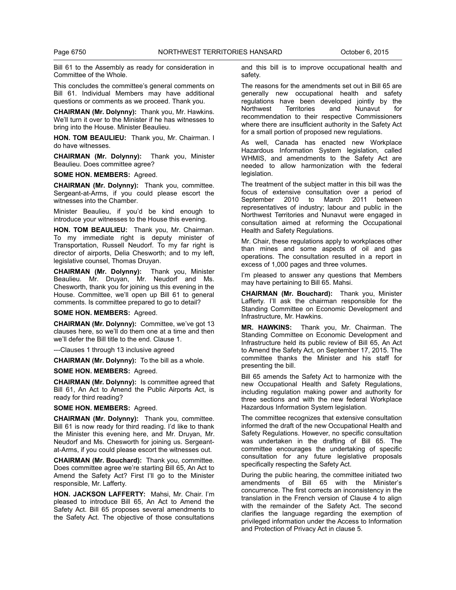Bill 61 to the Assembly as ready for consideration in Committee of the Whole.

This concludes the committee's general comments on Bill 61. Individual Members may have additional questions or comments as we proceed. Thank you.

**CHAIRMAN (Mr. Dolynny):** Thank you, Mr. Hawkins. We'll turn it over to the Minister if he has witnesses to bring into the House. Minister Beaulieu.

**HON. TOM BEAULIEU:** Thank you, Mr. Chairman. I do have witnesses.

**CHAIRMAN (Mr. Dolynny):** Thank you, Minister Beaulieu. Does committee agree?

**SOME HON. MEMBERS:** Agreed.

**CHAIRMAN (Mr. Dolynny):** Thank you, committee. Sergeant-at-Arms, if you could please escort the witnesses into the Chamber.

Minister Beaulieu, if you'd be kind enough to introduce your witnesses to the House this evening.

**HON. TOM BEAULIEU:** Thank you, Mr. Chairman. To my immediate right is deputy minister of Transportation, Russell Neudorf. To my far right is director of airports, Delia Chesworth; and to my left, legislative counsel, Thomas Druyan.

**CHAIRMAN (Mr. Dolynny):** Thank you, Minister Beaulieu. Mr. Druyan, Mr. Neudorf and Ms. Chesworth, thank you for joining us this evening in the House. Committee, we'll open up Bill 61 to general comments. Is committee prepared to go to detail?

**SOME HON. MEMBERS:** Agreed.

**CHAIRMAN (Mr. Dolynny):** Committee, we've got 13 clauses here, so we'll do them one at a time and then we'll defer the Bill title to the end. Clause 1.

---Clauses 1 through 13 inclusive agreed

**CHAIRMAN (Mr. Dolynny):** To the bill as a whole.

**SOME HON. MEMBERS:** Agreed.

**CHAIRMAN (Mr. Dolynny):** Is committee agreed that Bill 61, An Act to Amend the Public Airports Act, is ready for third reading?

**SOME HON. MEMBERS:** Agreed.

**CHAIRMAN (Mr. Dolynny):** Thank you, committee. Bill 61 is now ready for third reading. I'd like to thank the Minister this evening here, and Mr. Druyan, Mr. Neudorf and Ms. Chesworth for joining us. Sergeantat-Arms, if you could please escort the witnesses out.

**CHAIRMAN (Mr. Bouchard):** Thank you, committee. Does committee agree we're starting Bill 65, An Act to Amend the Safety Act? First I'll go to the Minister responsible, Mr. Lafferty.

**HON. JACKSON LAFFERTY:** Mahsi, Mr. Chair. I'm pleased to introduce Bill 65, An Act to Amend the Safety Act. Bill 65 proposes several amendments to the Safety Act. The objective of those consultations

and this bill is to improve occupational health and safety.

The reasons for the amendments set out in Bill 65 are generally new occupational health and safety regulations have been developed jointly by the Northwest Territories and Nunavut for recommendation to their respective Commissioners where there are insufficient authority in the Safety Act for a small portion of proposed new regulations.

As well, Canada has enacted new Workplace Hazardous Information System legislation, called WHMIS, and amendments to the Safety Act are needed to allow harmonization with the federal legislation.

The treatment of the subject matter in this bill was the focus of extensive consultation over a period of September 2010 to March 2011 between representatives of industry; labour and public in the Northwest Territories and Nunavut were engaged in consultation aimed at reforming the Occupational Health and Safety Regulations.

Mr. Chair, these regulations apply to workplaces other than mines and some aspects of oil and gas operations. The consultation resulted in a report in excess of 1,000 pages and three volumes.

I'm pleased to answer any questions that Members may have pertaining to Bill 65. Mahsi.

**CHAIRMAN (Mr. Bouchard):** Thank you, Minister Lafferty. I'll ask the chairman responsible for the Standing Committee on Economic Development and Infrastructure, Mr. Hawkins.

**MR. HAWKINS:** Thank you, Mr. Chairman. The Standing Committee on Economic Development and Infrastructure held its public review of Bill 65, An Act to Amend the Safety Act, on September 17, 2015. The committee thanks the Minister and his staff for presenting the bill.

Bill 65 amends the Safety Act to harmonize with the new Occupational Health and Safety Regulations, including regulation making power and authority for three sections and with the new federal Workplace Hazardous Information System legislation.

The committee recognizes that extensive consultation informed the draft of the new Occupational Health and Safety Regulations. However, no specific consultation was undertaken in the drafting of Bill 65. The committee encourages the undertaking of specific consultation for any future legislative proposals specifically respecting the Safety Act.

During the public hearing, the committee initiated two amendments of Bill 65 with the Minister's concurrence. The first corrects an inconsistency in the translation in the French version of Clause 4 to align with the remainder of the Safety Act. The second clarifies the language regarding the exemption of privileged information under the Access to Information and Protection of Privacy Act in clause 5.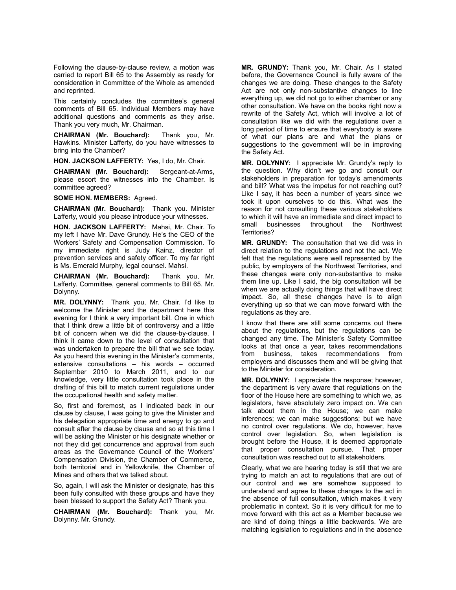Following the clause-by-clause review, a motion was carried to report Bill 65 to the Assembly as ready for consideration in Committee of the Whole as amended and reprinted.

This certainly concludes the committee's general comments of Bill 65. Individual Members may have additional questions and comments as they arise. Thank you very much, Mr. Chairman.

**CHAIRMAN (Mr. Bouchard):** Thank you, Mr. Hawkins. Minister Lafferty, do you have witnesses to bring into the Chamber?

**HON. JACKSON LAFFERTY:** Yes, I do, Mr. Chair.

**CHAIRMAN (Mr. Bouchard):** Sergeant-at-Arms, please escort the witnesses into the Chamber. Is committee agreed?

**SOME HON. MEMBERS:** Agreed.

**CHAIRMAN (Mr. Bouchard):** Thank you. Minister Lafferty, would you please introduce your witnesses.

**HON. JACKSON LAFFERTY:** Mahsi, Mr. Chair. To my left I have Mr. Dave Grundy. He's the CEO of the Workers' Safety and Compensation Commission. To my immediate right is Judy Kainz, director of prevention services and safety officer. To my far right is Ms. Emerald Murphy, legal counsel. Mahsi.

**CHAIRMAN (Mr. Bouchard):** Thank you, Mr. Lafferty. Committee, general comments to Bill 65. Mr. Dolynny.

**MR. DOLYNNY:** Thank you, Mr. Chair. I'd like to welcome the Minister and the department here this evening for I think a very important bill. One in which that I think drew a little bit of controversy and a little bit of concern when we did the clause-by-clause. I think it came down to the level of consultation that was undertaken to prepare the bill that we see today. As you heard this evening in the Minister's comments, extensive consultations – his words – occurred September 2010 to March 2011, and to our knowledge, very little consultation took place in the drafting of this bill to match current regulations under the occupational health and safety matter.

So, first and foremost, as I indicated back in our clause by clause, I was going to give the Minister and his delegation appropriate time and energy to go and consult after the clause by clause and so at this time I will be asking the Minister or his designate whether or not they did get concurrence and approval from such areas as the Governance Council of the Workers' Compensation Division, the Chamber of Commerce, both territorial and in Yellowknife, the Chamber of Mines and others that we talked about.

So, again, I will ask the Minister or designate, has this been fully consulted with these groups and have they been blessed to support the Safety Act? Thank you.

**CHAIRMAN (Mr. Bouchard):** Thank you, Mr. Dolynny. Mr. Grundy.

**MR. GRUNDY:** Thank you, Mr. Chair. As I stated before, the Governance Council is fully aware of the changes we are doing. These changes to the Safety Act are not only non-substantive changes to line everything up, we did not go to either chamber or any other consultation. We have on the books right now a rewrite of the Safety Act, which will involve a lot of consultation like we did with the regulations over a long period of time to ensure that everybody is aware of what our plans are and what the plans or suggestions to the government will be in improving the Safety Act.

**MR. DOLYNNY:** I appreciate Mr. Grundy's reply to the question. Why didn't we go and consult our stakeholders in preparation for today's amendments and bill? What was the impetus for not reaching out? Like I say, it has been a number of years since we took it upon ourselves to do this. What was the reason for not consulting these various stakeholders to which it will have an immediate and direct impact to small businesses throughout the Northwest Territories?

**MR. GRUNDY:** The consultation that we did was in direct relation to the regulations and not the act. We felt that the regulations were well represented by the public, by employers of the Northwest Territories, and these changes were only non-substantive to make them line up. Like I said, the big consultation will be when we are actually doing things that will have direct impact. So, all these changes have is to align everything up so that we can move forward with the regulations as they are.

I know that there are still some concerns out there about the regulations, but the regulations can be changed any time. The Minister's Safety Committee looks at that once a year, takes recommendations from business, takes recommendations from employers and discusses them and will be giving that to the Minister for consideration.

**MR. DOLYNNY:** I appreciate the response; however, the department is very aware that regulations on the floor of the House here are something to which we, as legislators, have absolutely zero impact on. We can talk about them in the House; we can make inferences; we can make suggestions; but we have no control over regulations. We do, however, have control over legislation. So, when legislation is brought before the House, it is deemed appropriate that proper consultation pursue. That proper consultation was reached out to all stakeholders.

Clearly, what we are hearing today is still that we are trying to match an act to regulations that are out of our control and we are somehow supposed to understand and agree to these changes to the act in the absence of full consultation, which makes it very problematic in context. So it is very difficult for me to move forward with this act as a Member because we are kind of doing things a little backwards. We are matching legislation to regulations and in the absence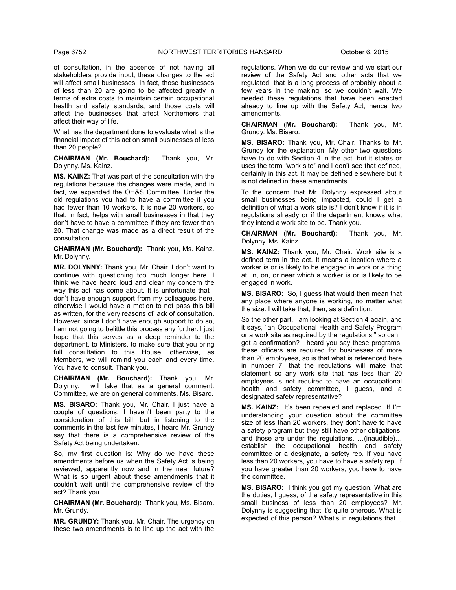of consultation, in the absence of not having all stakeholders provide input, these changes to the act will affect small businesses. In fact, those businesses of less than 20 are going to be affected greatly in terms of extra costs to maintain certain occupational health and safety standards, and those costs will affect the businesses that affect Northerners that affect their way of life.

What has the department done to evaluate what is the financial impact of this act on small businesses of less than 20 people?

**CHAIRMAN (Mr. Bouchard):** Thank you, Mr. Dolynny. Ms. Kainz.

**MS. KAINZ:** That was part of the consultation with the regulations because the changes were made, and in fact, we expanded the OH&S Committee. Under the old regulations you had to have a committee if you had fewer than 10 workers. It is now 20 workers, so that, in fact, helps with small businesses in that they don't have to have a committee if they are fewer than 20. That change was made as a direct result of the consultation.

**CHAIRMAN (Mr. Bouchard):** Thank you, Ms. Kainz. Mr. Dolynny.

**MR. DOLYNNY:** Thank you, Mr. Chair. I don't want to continue with questioning too much longer here. I think we have heard loud and clear my concern the way this act has come about. It is unfortunate that I don't have enough support from my colleagues here, otherwise I would have a motion to not pass this bill as written, for the very reasons of lack of consultation. However, since I don't have enough support to do so, I am not going to belittle this process any further. I just hope that this serves as a deep reminder to the department, to Ministers, to make sure that you bring full consultation to this House, otherwise, as Members, we will remind you each and every time. You have to consult. Thank you.

**CHAIRMAN (Mr. Bouchard):** Thank you, Mr. Dolynny. I will take that as a general comment. Committee, we are on general comments. Ms. Bisaro.

**MS. BISARO:** Thank you, Mr. Chair. I just have a couple of questions. I haven't been party to the consideration of this bill, but in listening to the comments in the last few minutes, I heard Mr. Grundy say that there is a comprehensive review of the Safety Act being undertaken.

So, my first question is: Why do we have these amendments before us when the Safety Act is being reviewed, apparently now and in the near future? What is so urgent about these amendments that it couldn't wait until the comprehensive review of the act? Thank you.

**CHAIRMAN (Mr. Bouchard):** Thank you, Ms. Bisaro. Mr. Grundy.

**MR. GRUNDY:** Thank you, Mr. Chair. The urgency on these two amendments is to line up the act with the

regulations. When we do our review and we start our review of the Safety Act and other acts that we regulated, that is a long process of probably about a few years in the making, so we couldn't wait. We needed these regulations that have been enacted already to line up with the Safety Act, hence two amendments.

**CHAIRMAN (Mr. Bouchard):** Thank you, Mr. Grundy. Ms. Bisaro.

**MS. BISARO:** Thank you, Mr. Chair. Thanks to Mr. Grundy for the explanation. My other two questions have to do with Section 4 in the act, but it states or uses the term "work site" and I don't see that defined, certainly in this act. It may be defined elsewhere but it is not defined in these amendments.

To the concern that Mr. Dolynny expressed about small businesses being impacted, could I get a definition of what a work site is? I don't know if it is in regulations already or if the department knows what they intend a work site to be. Thank you.

**CHAIRMAN (Mr. Bouchard):** Thank you, Mr. Dolynny. Ms. Kainz.

**MS. KAINZ:** Thank you, Mr. Chair. Work site is a defined term in the act. It means a location where a worker is or is likely to be engaged in work or a thing at, in, on, or near which a worker is or is likely to be engaged in work.

**MS. BISARO:** So, I guess that would then mean that any place where anyone is working, no matter what the size. I will take that, then, as a definition.

So the other part, I am looking at Section 4 again, and it says, "an Occupational Health and Safety Program or a work site as required by the regulations," so can I get a confirmation? I heard you say these programs, these officers are required for businesses of more than 20 employees, so is that what is referenced here in number 7, that the regulations will make that statement so any work site that has less than 20 employees is not required to have an occupational health and safety committee, I guess, and a designated safety representative?

**MS. KAINZ:** It's been repealed and replaced. If I'm understanding your question about the committee size of less than 20 workers, they don't have to have a safety program but they still have other obligations, and those are under the regulations. …(inaudible)… establish the occupational health and safety committee or a designate, a safety rep. If you have less than 20 workers, you have to have a safety rep. If you have greater than 20 workers, you have to have the committee.

**MS. BISARO:** I think you got my question. What are the duties, I guess, of the safety representative in this small business of less than 20 employees? Mr. Dolynny is suggesting that it's quite onerous. What is expected of this person? What's in regulations that I,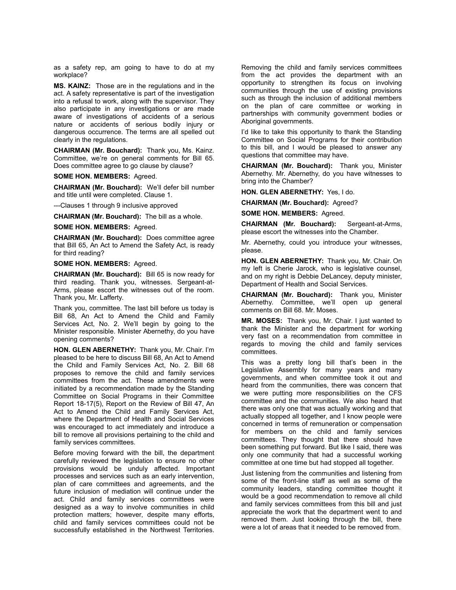as a safety rep, am going to have to do at my workplace?

**MS. KAINZ:** Those are in the regulations and in the act. A safety representative is part of the investigation into a refusal to work, along with the supervisor. They also participate in any investigations or are made aware of investigations of accidents of a serious nature or accidents of serious bodily injury or dangerous occurrence. The terms are all spelled out clearly in the regulations.

**CHAIRMAN (Mr. Bouchard):** Thank you, Ms. Kainz. Committee, we're on general comments for Bill 65. Does committee agree to go clause by clause?

**SOME HON. MEMBERS:** Agreed.

**CHAIRMAN (Mr. Bouchard):** We'll defer bill number and title until were completed. Clause 1.

---Clauses 1 through 9 inclusive approved

**CHAIRMAN (Mr. Bouchard):** The bill as a whole.

**SOME HON. MEMBERS:** Agreed.

**CHAIRMAN (Mr. Bouchard):** Does committee agree that Bill 65, An Act to Amend the Safety Act, is ready for third reading?

**SOME HON. MEMBERS:** Agreed.

**CHAIRMAN (Mr. Bouchard):** Bill 65 is now ready for third reading. Thank you, witnesses. Sergeant-at-Arms, please escort the witnesses out of the room. Thank you, Mr. Lafferty.

Thank you, committee. The last bill before us today is Bill 68, An Act to Amend the Child and Family Services Act, No. 2. We'll begin by going to the Minister responsible. Minister Abernethy, do you have opening comments?

**HON. GLEN ABERNETHY:** Thank you, Mr. Chair. I'm pleased to be here to discuss Bill 68, An Act to Amend the Child and Family Services Act, No. 2. Bill 68 proposes to remove the child and family services committees from the act. These amendments were initiated by a recommendation made by the Standing Committee on Social Programs in their Committee Report 18-17(5), Report on the Review of Bill 47, An Act to Amend the Child and Family Services Act, where the Department of Health and Social Services was encouraged to act immediately and introduce a bill to remove all provisions pertaining to the child and family services committees.

Before moving forward with the bill, the department carefully reviewed the legislation to ensure no other provisions would be unduly affected. Important processes and services such as an early intervention, plan of care committees and agreements, and the future inclusion of mediation will continue under the act. Child and family services committees were designed as a way to involve communities in child protection matters; however, despite many efforts, child and family services committees could not be successfully established in the Northwest Territories.

Removing the child and family services committees from the act provides the department with an opportunity to strengthen its focus on involving communities through the use of existing provisions such as through the inclusion of additional members on the plan of care committee or working in partnerships with community government bodies or Aboriginal governments.

I'd like to take this opportunity to thank the Standing Committee on Social Programs for their contribution to this bill, and I would be pleased to answer any questions that committee may have.

**CHAIRMAN (Mr. Bouchard):** Thank you, Minister Abernethy. Mr. Abernethy, do you have witnesses to bring into the Chamber?

**HON. GLEN ABERNETHY:** Yes, I do.

**CHAIRMAN (Mr. Bouchard):** Agreed?

**SOME HON. MEMBERS:** Agreed.

**CHAIRMAN (Mr. Bouchard):** Sergeant-at-Arms, please escort the witnesses into the Chamber.

Mr. Abernethy, could you introduce your witnesses, please.

**HON. GLEN ABERNETHY:** Thank you, Mr. Chair. On my left is Cherie Jarock, who is legislative counsel, and on my right is Debbie DeLancey, deputy minister, Department of Health and Social Services.

**CHAIRMAN (Mr. Bouchard):** Thank you, Minister Abernethy. Committee, we'll open up general comments on Bill 68. Mr. Moses.

**MR. MOSES:** Thank you, Mr. Chair. I just wanted to thank the Minister and the department for working very fast on a recommendation from committee in regards to moving the child and family services committees.

This was a pretty long bill that's been in the Legislative Assembly for many years and many governments, and when committee took it out and heard from the communities, there was concern that we were putting more responsibilities on the CFS committee and the communities. We also heard that there was only one that was actually working and that actually stopped all together, and I know people were concerned in terms of remuneration or compensation for members on the child and family services committees. They thought that there should have been something put forward. But like I said, there was only one community that had a successful working committee at one time but had stopped all together.

Just listening from the communities and listening from some of the front-line staff as well as some of the community leaders, standing committee thought it would be a good recommendation to remove all child and family services committees from this bill and just appreciate the work that the department went to and removed them. Just looking through the bill, there were a lot of areas that it needed to be removed from.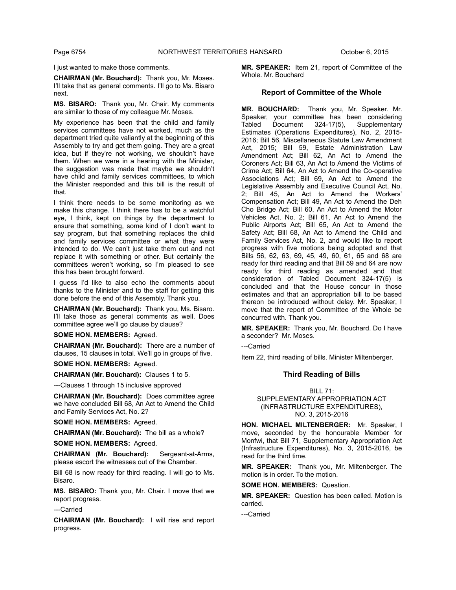I just wanted to make those comments.

**CHAIRMAN (Mr. Bouchard):** Thank you, Mr. Moses. I'll take that as general comments. I'll go to Ms. Bisaro next.

**MS. BISARO:** Thank you, Mr. Chair. My comments are similar to those of my colleague Mr. Moses.

My experience has been that the child and family services committees have not worked, much as the department tried quite valiantly at the beginning of this Assembly to try and get them going. They are a great idea, but if they're not working, we shouldn't have them. When we were in a hearing with the Minister, the suggestion was made that maybe we shouldn't have child and family services committees, to which the Minister responded and this bill is the result of that.

I think there needs to be some monitoring as we make this change. I think there has to be a watchful eye, I think, kept on things by the department to ensure that something, some kind of I don't want to say program, but that something replaces the child and family services committee or what they were intended to do. We can't just take them out and not replace it with something or other. But certainly the committees weren't working, so I'm pleased to see this has been brought forward.

I guess I'd like to also echo the comments about thanks to the Minister and to the staff for getting this done before the end of this Assembly. Thank you.

**CHAIRMAN (Mr. Bouchard):** Thank you, Ms. Bisaro. I'll take those as general comments as well. Does committee agree we'll go clause by clause?

**SOME HON. MEMBERS:** Agreed.

**CHAIRMAN (Mr. Bouchard):** There are a number of clauses, 15 clauses in total. We'll go in groups of five.

**SOME HON. MEMBERS:** Agreed.

**CHAIRMAN (Mr. Bouchard):** Clauses 1 to 5.

---Clauses 1 through 15 inclusive approved

**CHAIRMAN (Mr. Bouchard):** Does committee agree we have concluded Bill 68, An Act to Amend the Child and Family Services Act, No. 2?

**SOME HON. MEMBERS:** Agreed.

**CHAIRMAN (Mr. Bouchard):** The bill as a whole?

**SOME HON. MEMBERS:** Agreed.

**CHAIRMAN (Mr. Bouchard):** Sergeant-at-Arms, please escort the witnesses out of the Chamber.

Bill 68 is now ready for third reading. I will go to Ms. Bisaro.

**MS. BISARO:** Thank you, Mr. Chair. I move that we report progress.

---Carried

**CHAIRMAN (Mr. Bouchard):** I will rise and report progress.

**MR. SPEAKER:** Item 21, report of Committee of the Whole. Mr. Bouchard

#### **Report of Committee of the Whole**

**MR. BOUCHARD:** Thank you, Mr. Speaker. Mr. Speaker, your committee has been considering<br>Tabled Document 324-17(5), Supplementary Tabled Document 324-17(5), Supplementary Estimates (Operations Expenditures), No. 2, 2015- 2016; Bill 56, Miscellaneous Statute Law Amendment Act, 2015; Bill 59, Estate Administration Law Amendment Act; Bill 62, An Act to Amend the Coroners Act; Bill 63, An Act to Amend the Victims of Crime Act; Bill 64, An Act to Amend the Co-operative Associations Act; Bill 69, An Act to Amend the Legislative Assembly and Executive Council Act, No. 2; Bill 45, An Act to Amend the Workers' Compensation Act; Bill 49, An Act to Amend the Deh Cho Bridge Act; Bill 60, An Act to Amend the Motor Vehicles Act, No. 2; Bill 61, An Act to Amend the Public Airports Act; Bill 65, An Act to Amend the Safety Act; Bill 68, An Act to Amend the Child and Family Services Act, No. 2, and would like to report progress with five motions being adopted and that Bills 56, 62, 63, 69, 45, 49, 60, 61, 65 and 68 are ready for third reading and that Bill 59 and 64 are now ready for third reading as amended and that consideration of Tabled Document 324-17(5) is concluded and that the House concur in those estimates and that an appropriation bill to be based thereon be introduced without delay. Mr. Speaker, I move that the report of Committee of the Whole be concurred with. Thank you.

**MR. SPEAKER:** Thank you, Mr. Bouchard. Do I have a seconder? Mr. Moses.

---Carried

Item 22, third reading of bills. Minister Miltenberger.

# **Third Reading of Bills**

BILL 71: SUPPLEMENTARY APPROPRIATION ACT (INFRASTRUCTURE EXPENDITURES), NO. 3, 2015-2016

**HON. MICHAEL MILTENBERGER:** Mr. Speaker, I move, seconded by the honourable Member for Monfwi, that Bill 71, Supplementary Appropriation Act (Infrastructure Expenditures), No. 3, 2015-2016, be read for the third time.

**MR. SPEAKER:** Thank you, Mr. Miltenberger. The motion is in order. To the motion.

**SOME HON. MEMBERS:** Question.

**MR. SPEAKER:** Question has been called. Motion is carried.

---Carried